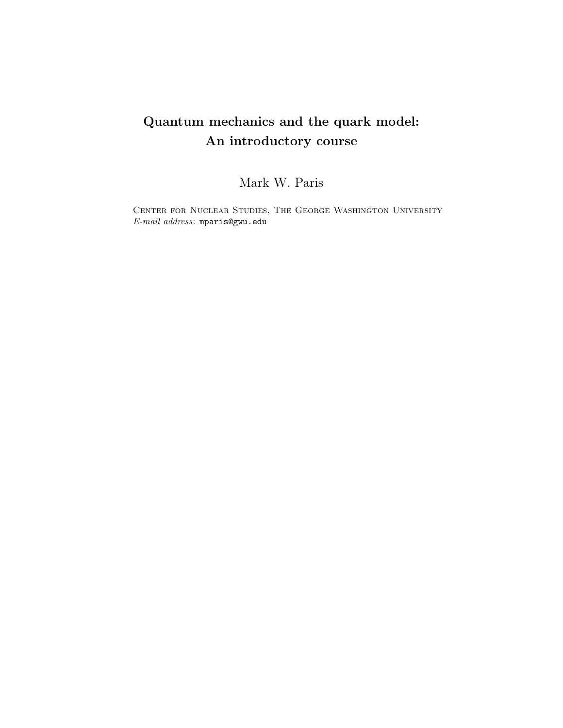# Quantum mechanics and the quark model: An introductory course

Mark W. Paris

Center for Nuclear Studies, The George Washington University *E-mail address*: mparis@gwu.edu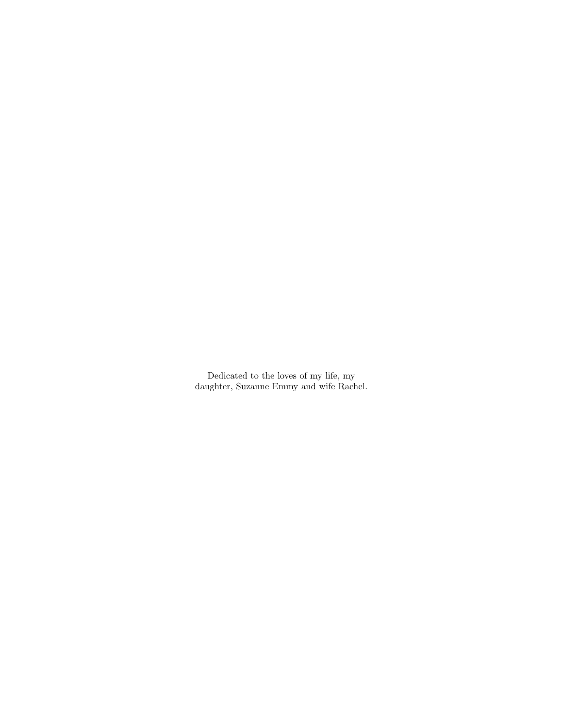Dedicated to the loves of my life, my daughter, Suzanne Emmy and wife Rachel.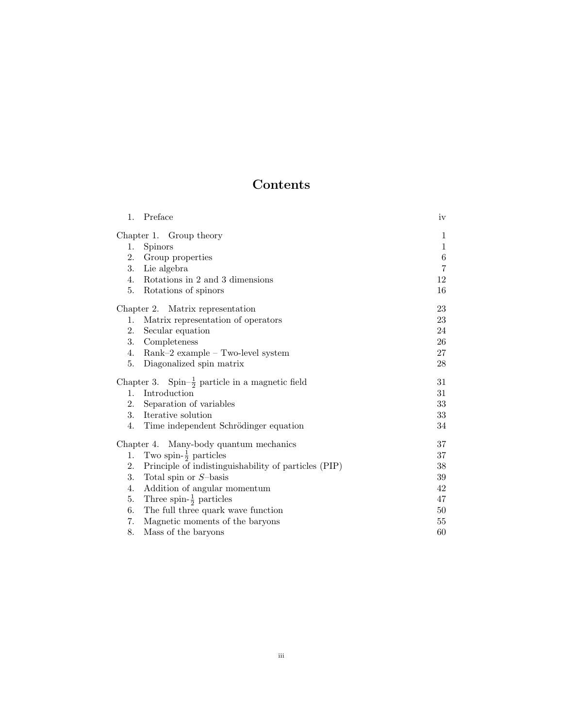# Contents

| 1.                                     | Preface                                                     | iv             |  |  |  |  |  |
|----------------------------------------|-------------------------------------------------------------|----------------|--|--|--|--|--|
|                                        | Chapter 1. Group theory                                     | $\mathbf{1}$   |  |  |  |  |  |
| 1.                                     | <b>Spinors</b>                                              | $\mathbf{1}$   |  |  |  |  |  |
| 2.                                     | Group properties                                            | $\,6\,$        |  |  |  |  |  |
| 3.                                     | Lie algebra                                                 | $\overline{7}$ |  |  |  |  |  |
| 4.                                     | Rotations in 2 and 3 dimensions                             | 12             |  |  |  |  |  |
| 5.                                     | Rotations of spinors                                        | 16             |  |  |  |  |  |
| Chapter 2. Matrix representation       | 23                                                          |                |  |  |  |  |  |
| 1.                                     | Matrix representation of operators                          | 23             |  |  |  |  |  |
| 2.                                     | Secular equation                                            | 24             |  |  |  |  |  |
| 3.                                     | Completeness                                                | 26             |  |  |  |  |  |
| 4.                                     | $Rank-2$ example $-$ Two-level system                       | 27             |  |  |  |  |  |
| 5.                                     | Diagonalized spin matrix                                    | 28             |  |  |  |  |  |
|                                        | Chapter 3. Spin- $\frac{1}{2}$ particle in a magnetic field | 31             |  |  |  |  |  |
| 1.                                     | Introduction                                                | 31             |  |  |  |  |  |
| 2.                                     | Separation of variables                                     | 33             |  |  |  |  |  |
| 3.                                     | Iterative solution                                          | 33             |  |  |  |  |  |
| 4.                                     | Time independent Schrödinger equation                       | 34             |  |  |  |  |  |
| Chapter 4. Many-body quantum mechanics | 37                                                          |                |  |  |  |  |  |
| 1.                                     | Two spin- $\frac{1}{2}$ particles                           | 37             |  |  |  |  |  |
| 2.                                     | Principle of indistinguishability of particles (PIP)        | 38             |  |  |  |  |  |
| 3.                                     | Total spin or $S$ -basis                                    | 39             |  |  |  |  |  |
| 4.                                     | Addition of angular momentum                                | 42             |  |  |  |  |  |
| 5.                                     | Three spin- $\frac{1}{2}$ particles                         | 47             |  |  |  |  |  |
| 6.                                     | The full three quark wave function                          |                |  |  |  |  |  |
| 7.                                     | Magnetic moments of the baryons                             | 55             |  |  |  |  |  |
| 8.                                     | Mass of the baryons                                         | 60             |  |  |  |  |  |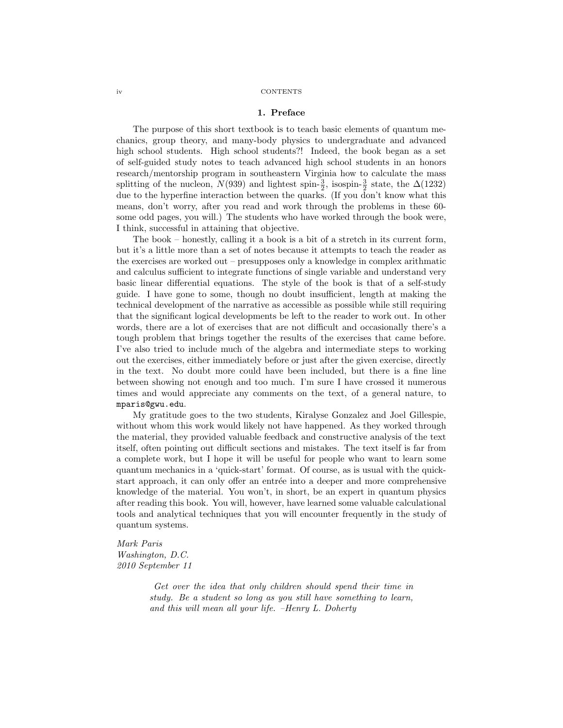#### iv CONTENTS

### 1. Preface

The purpose of this short textbook is to teach basic elements of quantum mechanics, group theory, and many-body physics to undergraduate and advanced high school students. High school students?! Indeed, the book began as a set of self-guided study notes to teach advanced high school students in an honors research/mentorship program in southeastern Virginia how to calculate the mass splitting of the nucleon,  $N(939)$  and lightest spin- $\frac{3}{2}$ , isospin- $\frac{3}{2}$  state, the  $\Delta(1232)$ due to the hyperfine interaction between the quarks. (If you don't know what this means, don't worry, after you read and work through the problems in these 60 some odd pages, you will.) The students who have worked through the book were, I think, successful in attaining that objective.

The book – honestly, calling it a book is a bit of a stretch in its current form, but it's a little more than a set of notes because it attempts to teach the reader as the exercises are worked out – presupposes only a knowledge in complex arithmatic and calculus sufficient to integrate functions of single variable and understand very basic linear differential equations. The style of the book is that of a self-study guide. I have gone to some, though no doubt insufficient, length at making the technical development of the narrative as accessible as possible while still requiring that the significant logical developments be left to the reader to work out. In other words, there are a lot of exercises that are not difficult and occasionally there's a tough problem that brings together the results of the exercises that came before. I've also tried to include much of the algebra and intermediate steps to working out the exercises, either immediately before or just after the given exercise, directly in the text. No doubt more could have been included, but there is a fine line between showing not enough and too much. I'm sure I have crossed it numerous times and would appreciate any comments on the text, of a general nature, to mparis@gwu.edu.

My gratitude goes to the two students, Kiralyse Gonzalez and Joel Gillespie, without whom this work would likely not have happened. As they worked through the material, they provided valuable feedback and constructive analysis of the text itself, often pointing out difficult sections and mistakes. The text itself is far from a complete work, but I hope it will be useful for people who want to learn some quantum mechanics in a 'quick-start' format. Of course, as is usual with the quickstart approach, it can only offer an entrée into a deeper and more comprehensive knowledge of the material. You won't, in short, be an expert in quantum physics after reading this book. You will, however, have learned some valuable calculational tools and analytical techniques that you will encounter frequently in the study of quantum systems.

*Mark Paris Washington, D.C. 2010 September 11*

> *Get over the idea that only children should spend their time in study. Be a student so long as you still have something to learn, and this will mean all your life. –Henry L. Doherty*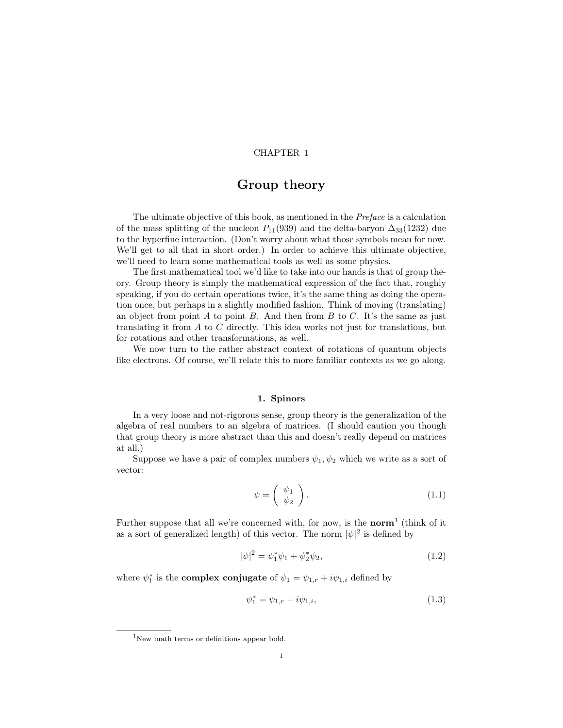## CHAPTER 1

# Group theory

The ultimate objective of this book, as mentioned in the *Preface* is a calculation of the mass splitting of the nucleon  $P_{11}(939)$  and the delta-baryon  $\Delta_{33}(1232)$  due to the hyperfine interaction. (Don't worry about what those symbols mean for now. We'll get to all that in short order.) In order to achieve this ultimate objective, we'll need to learn some mathematical tools as well as some physics.

The first mathematical tool we'd like to take into our hands is that of group theory. Group theory is simply the mathematical expression of the fact that, roughly speaking, if you do certain operations twice, it's the same thing as doing the operation once, but perhaps in a slightly modified fashion. Think of moving (translating) an object from point A to point B. And then from B to C. It's the same as just translating it from A to C directly. This idea works not just for translations, but for rotations and other transformations, as well.

We now turn to the rather abstract context of rotations of quantum objects like electrons. Of course, we'll relate this to more familiar contexts as we go along.

# 1. Spinors

In a very loose and not-rigorous sense, group theory is the generalization of the algebra of real numbers to an algebra of matrices. (I should caution you though that group theory is more abstract than this and doesn't really depend on matrices at all.)

Suppose we have a pair of complex numbers  $\psi_1, \psi_2$  which we write as a sort of vector:

$$
\psi = \left(\begin{array}{c} \psi_1 \\ \psi_2 \end{array}\right). \tag{1.1}
$$

Further suppose that all we're concerned with, for now, is the **norm**<sup>1</sup> (think of it as a sort of generalized length) of this vector. The norm  $|\psi|^2$  is defined by

$$
|\psi|^2 = \psi_1^* \psi_1 + \psi_2^* \psi_2,\tag{1.2}
$$

where  $\psi_1^*$  is the **complex conjugate** of  $\psi_1 = \psi_{1,r} + i\psi_{1,i}$  defined by

$$
\psi_1^* = \psi_{1,r} - i\psi_{1,i},\tag{1.3}
$$

 $1$ New math terms or definitions appear bold.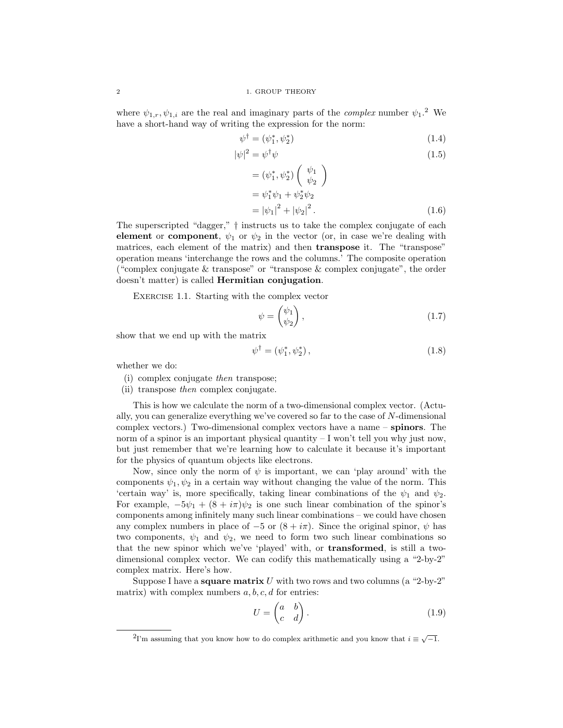where  $\psi_{1,r}, \psi_{1,i}$  are the real and imaginary parts of the *complex* number  $\psi_1$ <sup>2</sup>. We have a short-hand way of writing the expression for the norm:

$$
\psi^{\dagger} = (\psi_1^*, \psi_2^*) \tag{1.4}
$$

$$
|\psi|^2 = \psi^\dagger \psi \tag{1.5}
$$

$$
= (\psi_1^*, \psi_2^*) \begin{pmatrix} \psi_1 \\ \psi_2 \end{pmatrix}
$$
  
=  $\psi_1^* \psi_1 + \psi_2^* \psi_2$   
=  $|\psi_1|^2 + |\psi_2|^2$ . (1.6)

The superscripted "dagger," † instructs us to take the complex conjugate of each element or component,  $\psi_1$  or  $\psi_2$  in the vector (or, in case we're dealing with matrices, each element of the matrix) and then transpose it. The "transpose" operation means 'interchange the rows and the columns.' The composite operation ("complex conjugate & transpose" or "transpose & complex conjugate", the order doesn't matter) is called Hermitian conjugation.

EXERCISE 1.1. Starting with the complex vector

$$
\psi = \begin{pmatrix} \psi_1 \\ \psi_2 \end{pmatrix},\tag{1.7}
$$

show that we end up with the matrix

$$
\psi^{\dagger} = (\psi_1^*, \psi_2^*), \qquad (1.8)
$$

whether we do:

- (i) complex conjugate *then* transpose;
- (ii) transpose *then* complex conjugate.

This is how we calculate the norm of a two-dimensional complex vector. (Actually, you can generalize everything we've covered so far to the case of N-dimensional complex vectors.) Two-dimensional complex vectors have a name – spinors. The norm of a spinor is an important physical quantity – I won't tell you why just now, but just remember that we're learning how to calculate it because it's important for the physics of quantum objects like electrons.

Now, since only the norm of  $\psi$  is important, we can 'play around' with the components  $\psi_1, \psi_2$  in a certain way without changing the value of the norm. This 'certain way' is, more specifically, taking linear combinations of the  $\psi_1$  and  $\psi_2$ . For example,  $-5\psi_1 + (8 + i\pi)\psi_2$  is one such linear combination of the spinor's components among infinitely many such linear combinations – we could have chosen any complex numbers in place of  $-5$  or  $(8 + i\pi)$ . Since the original spinor,  $\psi$  has two components,  $\psi_1$  and  $\psi_2$ , we need to form two such linear combinations so that the new spinor which we've 'played' with, or transformed, is still a twodimensional complex vector. We can codify this mathematically using a "2-by-2" complex matrix. Here's how.

Suppose I have a **square matrix** U with two rows and two columns (a "2-by-2" matrix) with complex numbers  $a, b, c, d$  for entries:

$$
U = \begin{pmatrix} a & b \\ c & d \end{pmatrix}.
$$
 (1.9)

<sup>&</sup>lt;sup>2</sup>I'm assuming that you know how to do complex arithmetic and you know that  $i \equiv \sqrt{-1}$ .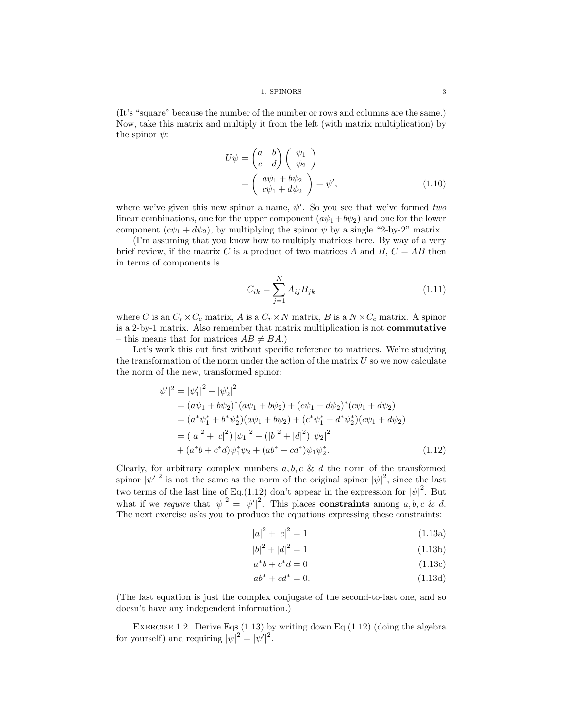(It's "square" because the number of the number or rows and columns are the same.) Now, take this matrix and multiply it from the left (with matrix multiplication) by the spinor  $\psi$ :

$$
U\psi = \begin{pmatrix} a & b \\ c & d \end{pmatrix} \begin{pmatrix} \psi_1 \\ \psi_2 \end{pmatrix}
$$
  
= 
$$
\begin{pmatrix} a\psi_1 + b\psi_2 \\ c\psi_1 + d\psi_2 \end{pmatrix} = \psi',
$$
 (1.10)

where we've given this new spinor a name,  $\psi'$ . So you see that we've formed *two* linear combinations, one for the upper component  $(a\psi_1+b\psi_2)$  and one for the lower component  $(c\psi_1 + d\psi_2)$ , by multiplying the spinor  $\psi$  by a single "2-by-2" matrix.

(I'm assuming that you know how to multiply matrices here. By way of a very brief review, if the matrix C is a product of two matrices A and B,  $C = AB$  then in terms of components is

$$
C_{ik} = \sum_{j=1}^{N} A_{ij} B_{jk}
$$
 (1.11)

where C is an  $C_r \times C_c$  matrix, A is a  $C_r \times N$  matrix, B is a  $N \times C_c$  matrix. A spinor is a 2-by-1 matrix. Also remember that matrix multiplication is not commutative – this means that for matrices  $AB \neq BA$ .)

Let's work this out first without specific reference to matrices. We're studying the transformation of the norm under the action of the matrix  $U$  so we now calculate the norm of the new, transformed spinor:

$$
|\psi'|^2 = |\psi'_1|^2 + |\psi'_2|^2
$$
  
=  $(a\psi_1 + b\psi_2)^*(a\psi_1 + b\psi_2) + (c\psi_1 + d\psi_2)^*(c\psi_1 + d\psi_2)$   
=  $(a^*\psi_1^* + b^*\psi_2^*)(a\psi_1 + b\psi_2) + (c^*\psi_1^* + d^*\psi_2^*)(c\psi_1 + d\psi_2)$   
=  $(|a|^2 + |c|^2) |\psi_1|^2 + (|b|^2 + |d|^2) |\psi_2|^2$   
+  $(a^*b + c^*d)\psi_1^*\psi_2 + (ab^* + cd^*)\psi_1\psi_2^*.$  (1.12)

Clearly, for arbitrary complex numbers  $a, b, c \& d$  the norm of the transformed spinor  $|\psi'|^2$  is not the same as the norm of the original spinor  $|\psi|^2$ , since the last | two terms of the last line of Eq.(1.12) don't appear in the expression for  $|\psi|^2$ . But what if we *require* that  $|\psi|^2 = |\psi'|^2$ . This places **constraints** among a, b, c & d. The next exercise asks you to produce the equations expressing these constraints:

$$
|a|^2 + |c|^2 = 1\tag{1.13a}
$$

$$
|b|^2 + |d|^2 = 1\tag{1.13b}
$$

$$
a^*b + c^*d = 0 \tag{1.13c}
$$

$$
ab^* + cd^* = 0.\t(1.13d)
$$

(The last equation is just the complex conjugate of the second-to-last one, and so doesn't have any independent information.)

EXERCISE 1.2. Derive Eqs. $(1.13)$  by writing down Eq. $(1.12)$  (doing the algebra for yourself) and requiring  $|\psi|^2 = |\psi'|^2$ .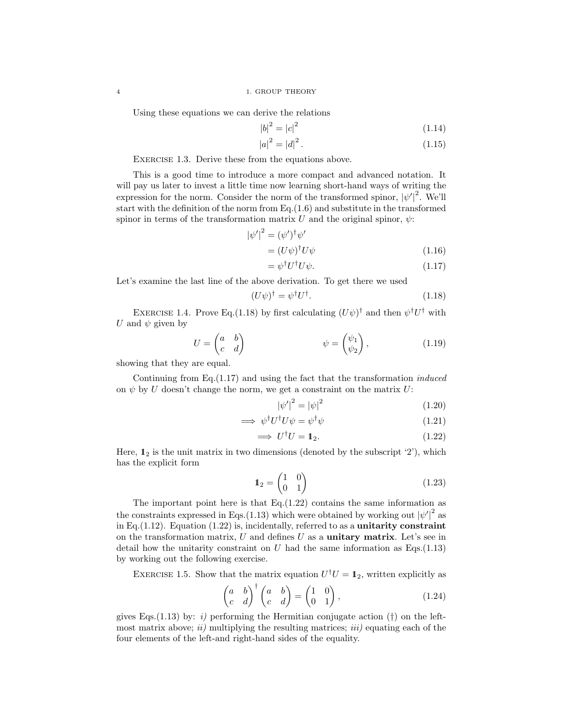Using these equations we can derive the relations

$$
|b|^2 = |c|^2 \tag{1.14}
$$

$$
|a|^2 = |d|^2. \tag{1.15}
$$

EXERCISE 1.3. Derive these from the equations above.

This is a good time to introduce a more compact and advanced notation. It will pay us later to invest a little time now learning short-hand ways of writing the expression for the norm. Consider the norm of the transformed spinor,  $|\psi'|^2$ . We'll start with the definition of the norm from Eq.(1.6) and substitute in the transformed spinor in terms of the transformation matrix U and the original spinor,  $\psi$ :

$$
|\psi'|^2 = (\psi')^\dagger \psi'
$$
  
=  $(U\psi)^\dagger U\psi$  (1.16)

$$
= \psi^{\dagger} U^{\dagger} U \psi. \tag{1.17}
$$

Let's examine the last line of the above derivation. To get there we used

$$
(U\psi)^{\dagger} = \psi^{\dagger}U^{\dagger}.
$$
\n(1.18)

EXERCISE 1.4. Prove Eq.(1.18) by first calculating  $(U\psi)^{\dagger}$  and then  $\psi^{\dagger}U^{\dagger}$  with U and  $\psi$  given by

$$
U = \begin{pmatrix} a & b \\ c & d \end{pmatrix} \qquad \qquad \psi = \begin{pmatrix} \psi_1 \\ \psi_2 \end{pmatrix}, \qquad (1.19)
$$

showing that they are equal.

Continuing from Eq.(1.17) and using the fact that the transformation *induced* on  $\psi$  by U doesn't change the norm, we get a constraint on the matrix U:

$$
\left|\psi'\right|^2 = \left|\psi\right|^2\tag{1.20}
$$

$$
\implies \psi^{\dagger} U^{\dagger} U \psi = \psi^{\dagger} \psi \tag{1.21}
$$

$$
\implies U^{\dagger}U = \mathbf{1}_2. \tag{1.22}
$$

Here,  $\mathbb{1}_2$  is the unit matrix in two dimensions (denoted by the subscript '2'), which has the explicit form

$$
\mathbf{1}_2 = \begin{pmatrix} 1 & 0 \\ 0 & 1 \end{pmatrix} \tag{1.23}
$$

The important point here is that Eq.(1.22) contains the same information as the constraints expressed in Eqs.(1.13) which were obtained by working out  $|\psi'|^2$  as in Eq.  $(1.12)$ . Equation  $(1.22)$  is, incidentally, referred to as a unitarity constraint on the transformation matrix,  $U$  and defines  $U$  as a **unitary matrix**. Let's see in detail how the unitarity constraint on U had the same information as  $Eqs. (1.13)$ by working out the following exercise.

EXERCISE 1.5. Show that the matrix equation  $U^{\dagger}U = \mathbb{1}_2$ , written explicitly as

$$
\begin{pmatrix} a & b \\ c & d \end{pmatrix}^{\dagger} \begin{pmatrix} a & b \\ c & d \end{pmatrix} = \begin{pmatrix} 1 & 0 \\ 0 & 1 \end{pmatrix}, \tag{1.24}
$$

gives Eqs.(1.13) by: *i*) performing the Hermitian conjugate action  $(†)$  on the leftmost matrix above; *ii)* multiplying the resulting matrices; *iii)* equating each of the four elements of the left-and right-hand sides of the equality.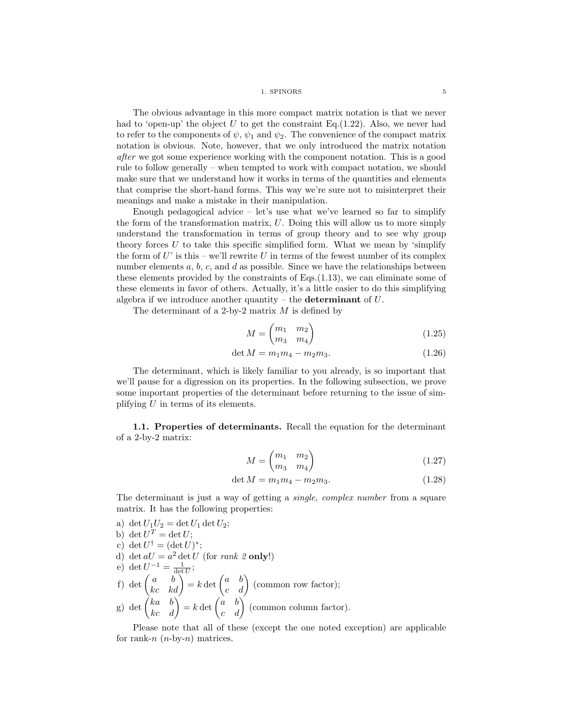1. SPINORS 5

The obvious advantage in this more compact matrix notation is that we never had to 'open-up' the object U to get the constraint Eq.  $(1.22)$ . Also, we never had to refer to the components of  $\psi$ ,  $\psi_1$  and  $\psi_2$ . The convenience of the compact matrix notation is obvious. Note, however, that we only introduced the matrix notation *after* we got some experience working with the component notation. This is a good rule to follow generally – when tempted to work with compact notation, we should make sure that we understand how it works in terms of the quantities and elements that comprise the short-hand forms. This way we're sure not to misinterpret their meanings and make a mistake in their manipulation.

Enough pedagogical advice  $-$  let's use what we've learned so far to simplify the form of the transformation matrix, U. Doing this will allow us to more simply understand the transformation in terms of group theory and to see why group theory forces  $U$  to take this specific simplified form. What we mean by 'simplify the form of  $U'$  is this – we'll rewrite  $U$  in terms of the fewest number of its complex number elements  $a, b, c$ , and  $d$  as possible. Since we have the relationships between these elements provided by the constraints of Eqs.(1.13), we can eliminate some of these elements in favor of others. Actually, it's a little easier to do this simplifying algebra if we introduce another quantity – the **determinant** of  $U$ .

The determinant of a 2-by-2 matrix  $M$  is defined by

$$
M = \begin{pmatrix} m_1 & m_2 \\ m_3 & m_4 \end{pmatrix} \tag{1.25}
$$

$$
\det M = m_1 m_4 - m_2 m_3. \tag{1.26}
$$

The determinant, which is likely familiar to you already, is so important that we'll pause for a digression on its properties. In the following subsection, we prove some important properties of the determinant before returning to the issue of simplifying  $U$  in terms of its elements.

1.1. Properties of determinants. Recall the equation for the determinant of a 2-by-2 matrix:

$$
M = \begin{pmatrix} m_1 & m_2 \\ m_3 & m_4 \end{pmatrix} \tag{1.27}
$$

$$
\det M = m_1 m_4 - m_2 m_3. \tag{1.28}
$$

The determinant is just a way of getting a *single, complex number* from a square matrix. It has the following properties:

a) det  $U_1U_2 = \det U_1 \det U_2$ ;

b) 
$$
\det U^T = \det U;
$$

c) 
$$
\det U^{\dagger} = (\det U)^{*};
$$

d) det  $aU = a^2 \det U$  (for *rank 2* only!)

e) 
$$
\det U^{-1} = \frac{1}{\det U};
$$

f) det  $\begin{pmatrix} a & b \\ kc & kd \end{pmatrix} = k \det \begin{pmatrix} a & b \\ c & d \end{pmatrix}$  (common row factor); g) det  $\begin{pmatrix} ka & b \\ kc & d \end{pmatrix} = k \det \begin{pmatrix} a & b \\ c & d \end{pmatrix}$  (common column factor).

Please note that all of these (except the one noted exception) are applicable for rank-n  $(n-by-n)$  matrices.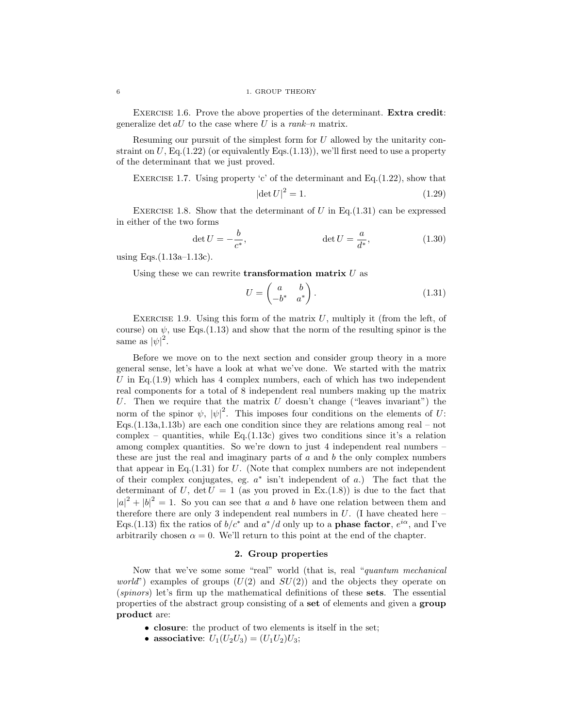EXERCISE 1.6. Prove the above properties of the determinant. **Extra credit:** generalize det  $aU$  to the case where U is a  $rank-n$  matrix.

Resuming our pursuit of the simplest form for U allowed by the unitarity constraint on  $U$ , Eq.(1.22) (or equivalently Eqs.(1.13)), we'll first need to use a property of the determinant that we just proved.

EXERCISE 1.7. Using property 'c' of the determinant and Eq. $(1.22)$ , show that

$$
\left|\det U\right|^2 = 1.\tag{1.29}
$$

EXERCISE 1.8. Show that the determinant of U in Eq.  $(1.31)$  can be expressed in either of the two forms

$$
\det U = -\frac{b}{c^*}, \qquad \qquad \det U = \frac{a}{d^*}, \qquad (1.30)
$$

using Eqs.(1.13a–1.13c).

Using these we can rewrite **transformation matrix**  $U$  as

$$
U = \begin{pmatrix} a & b \\ -b^* & a^* \end{pmatrix}.
$$
 (1.31)

EXERCISE 1.9. Using this form of the matrix  $U$ , multiply it (from the left, of course) on  $\psi$ , use Eqs.(1.13) and show that the norm of the resulting spinor is the same as  $|\psi|^2$ .

Before we move on to the next section and consider group theory in a more general sense, let's have a look at what we've done. We started with the matrix U in Eq.  $(1.9)$  which has 4 complex numbers, each of which has two independent real components for a total of 8 independent real numbers making up the matrix U. Then we require that the matrix  $U$  doesn't change ("leaves invariant") the norm of the spinor  $\psi$ ,  $|\psi|^2$ . This imposes four conditions on the elements of U: Eqs.  $(1.13a, 1.13b)$  are each one condition since they are relations among real – not complex – quantities, while Eq.(1.13c) gives two conditions since it's a relation among complex quantities. So we're down to just 4 independent real numbers – these are just the real and imaginary parts of  $a$  and  $b$  the only complex numbers that appear in Eq. $(1.31)$  for U. (Note that complex numbers are not independent of their complex conjugates, eg.  $a^*$  isn't independent of a.) The fact that the determinant of U, det  $U = 1$  (as you proved in Ex.(1.8)) is due to the fact that  $|a|^2 + |b|^2 = 1$ . So you can see that a and b have one relation between them and therefore there are only 3 independent real numbers in  $U$ . (I have cheated here – Eqs.(1.13) fix the ratios of  $b/c^*$  and  $a^*/d$  only up to a **phase factor**,  $e^{i\alpha}$ , and I've arbitrarily chosen  $\alpha = 0$ . We'll return to this point at the end of the chapter.

### 2. Group properties

Now that we've some some "real" world (that is, real "*quantum mechanical world*") examples of groups  $(U(2)$  and  $SU(2)$  and the objects they operate on (*spinors*) let's firm up the mathematical definitions of these sets. The essential properties of the abstract group consisting of a set of elements and given a group product are:

- closure: the product of two elements is itself in the set;
- associative:  $U_1(U_2U_3) = (U_1U_2)U_3$ ;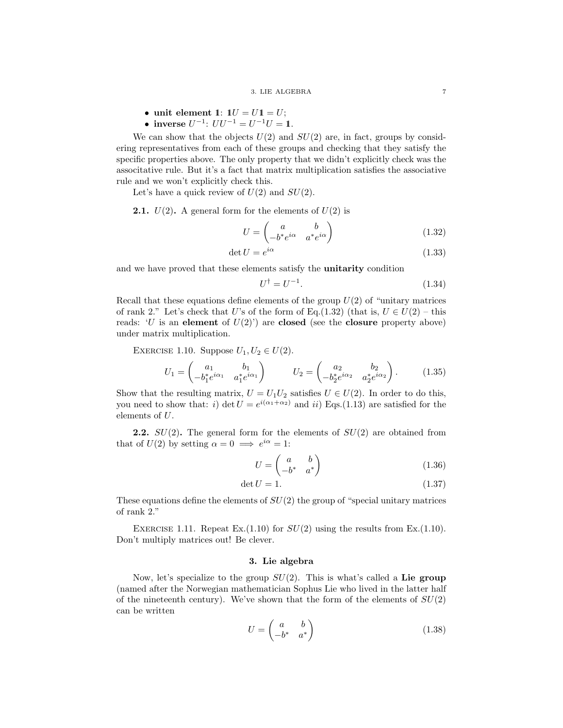- unit element 1:  $1U = U1 = U;$
- inverse  $U^{-1}$ :  $UU^{-1} = U^{-1}U = \mathbb{1}$ .

We can show that the objects  $U(2)$  and  $SU(2)$  are, in fact, groups by considering representatives from each of these groups and checking that they satisfy the specific properties above. The only property that we didn't explicitly check was the associtative rule. But it's a fact that matrix multiplication satisfies the associative rule and we won't explicitly check this.

Let's have a quick review of  $U(2)$  and  $SU(2)$ .

**2.1.**  $U(2)$ . A general form for the elements of  $U(2)$  is

$$
U = \begin{pmatrix} a & b \\ -b^* e^{i\alpha} & a^* e^{i\alpha} \end{pmatrix}
$$
 (1.32)

$$
\det U = e^{i\alpha} \tag{1.33}
$$

and we have proved that these elements satisfy the unitarity condition

$$
U^{\dagger} = U^{-1}.\tag{1.34}
$$

Recall that these equations define elements of the group  $U(2)$  of "unitary matrices" of rank 2." Let's check that U's of the form of Eq.(1.32) (that is,  $U \in U(2)$  – this reads: 'U is an element of  $U(2)$ ') are closed (see the closure property above) under matrix multiplication.

EXERCISE 1.10. Suppose  $U_1, U_2 \in U(2)$ .

$$
U_1 = \begin{pmatrix} a_1 & b_1 \\ -b_1^* e^{i\alpha_1} & a_1^* e^{i\alpha_1} \end{pmatrix} \qquad U_2 = \begin{pmatrix} a_2 & b_2 \\ -b_2^* e^{i\alpha_2} & a_2^* e^{i\alpha_2} \end{pmatrix} . \tag{1.35}
$$

Show that the resulting matrix,  $U = U_1 U_2$  satisfies  $U \in U(2)$ . In order to do this, you need to show that: i) det  $U = e^{i(\alpha_1 + \alpha_2)}$  and ii) Eqs.(1.13) are satisfied for the elements of U.

**2.2.**  $SU(2)$ . The general form for the elements of  $SU(2)$  are obtained from that of  $U(2)$  by setting  $\alpha = 0 \implies e^{i\alpha} = 1$ :

$$
U = \begin{pmatrix} a & b \\ -b^* & a^* \end{pmatrix} \tag{1.36}
$$

$$
\det U = 1. \tag{1.37}
$$

These equations define the elements of  $SU(2)$  the group of "special unitary matrices" of rank 2."

EXERCISE 1.11. Repeat Ex.  $(1.10)$  for  $SU(2)$  using the results from Ex.  $(1.10)$ . Don't multiply matrices out! Be clever.

## 3. Lie algebra

Now, let's specialize to the group  $SU(2)$ . This is what's called a Lie group (named after the Norwegian mathematician Sophus Lie who lived in the latter half of the nineteenth century). We've shown that the form of the elements of  $SU(2)$ can be written

$$
U = \begin{pmatrix} a & b \\ -b^* & a^* \end{pmatrix} \tag{1.38}
$$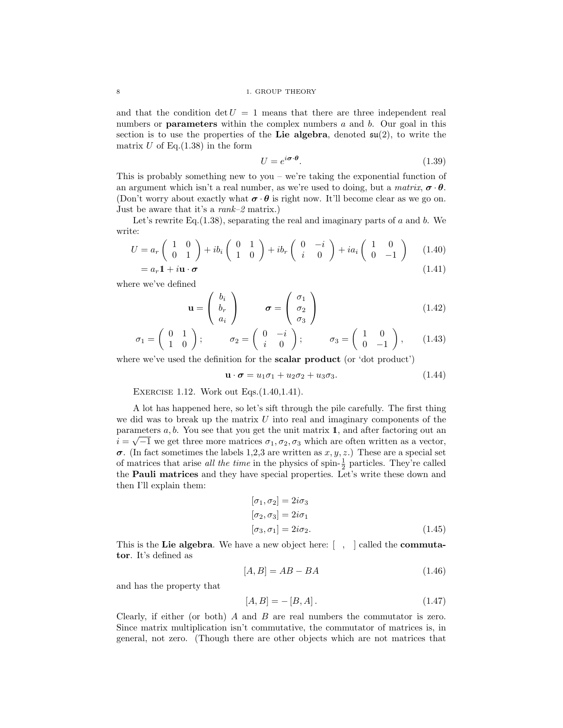### 8 1. GROUP THEORY

and that the condition  $\det U = 1$  means that there are three independent real numbers or **parameters** within the complex numbers  $a$  and  $b$ . Our goal in this section is to use the properties of the Lie algebra, denoted  $\mathfrak{su}(2)$ , to write the matrix  $U$  of Eq.(1.38) in the form

$$
U = e^{i\boldsymbol{\sigma}\cdot\boldsymbol{\theta}}.\tag{1.39}
$$

This is probably something new to you – we're taking the exponential function of an argument which isn't a real number, as we're used to doing, but a *matrix*,  $\sigma \cdot \theta$ . (Don't worry about exactly what  $\sigma \cdot \theta$  is right now. It'll become clear as we go on. Just be aware that it's a *rank–2* matrix.)

Let's rewrite Eq.  $(1.38)$ , separating the real and imaginary parts of a and b. We write:

$$
U = a_r \begin{pmatrix} 1 & 0 \\ 0 & 1 \end{pmatrix} + ib_i \begin{pmatrix} 0 & 1 \\ 1 & 0 \end{pmatrix} + ib_r \begin{pmatrix} 0 & -i \\ i & 0 \end{pmatrix} + ia_i \begin{pmatrix} 1 & 0 \\ 0 & -1 \end{pmatrix}
$$
 (1.40)  
=  $a_r \mathbf{1} + i \mathbf{u} \cdot \boldsymbol{\sigma}$  (1.41)

where we've defined

$$
\mathbf{u} = \begin{pmatrix} b_i \\ b_r \\ a_i \end{pmatrix} \qquad \sigma = \begin{pmatrix} \sigma_1 \\ \sigma_2 \\ \sigma_3 \end{pmatrix} \tag{1.42}
$$

$$
\sigma_1 = \begin{pmatrix} 0 & 1 \\ 1 & 0 \end{pmatrix}; \qquad \sigma_2 = \begin{pmatrix} 0 & -i \\ i & 0 \end{pmatrix}; \qquad \sigma_3 = \begin{pmatrix} 1 & 0 \\ 0 & -1 \end{pmatrix}, \qquad (1.43)
$$

where we've used the definition for the **scalar product** (or 'dot product')

$$
\mathbf{u} \cdot \boldsymbol{\sigma} = u_1 \sigma_1 + u_2 \sigma_2 + u_3 \sigma_3. \tag{1.44}
$$

Exercise 1.12. Work out Eqs.(1.40,1.41).

A lot has happened here, so let's sift through the pile carefully. The first thing we did was to break up the matrix  $U$  into real and imaginary components of the parameters  $a, b$ . You see that you get the unit matrix 1, and after factoring out an  $i = \sqrt{-1}$  we get three more matrices  $\sigma_1, \sigma_2, \sigma_3$  which are often written as a vector,  $\sigma$ . (In fact sometimes the labels 1,2,3 are written as x, y, z.) These are a special set of matrices that arise *all the time* in the physics of spin- $\frac{1}{2}$  particles. They're called the Pauli matrices and they have special properties. Let's write these down and then I'll explain them:

$$
[\sigma_1, \sigma_2] = 2i\sigma_3
$$
  
\n
$$
[\sigma_2, \sigma_3] = 2i\sigma_1
$$
  
\n
$$
[\sigma_3, \sigma_1] = 2i\sigma_2.
$$
\n(1.45)

This is the Lie algebra. We have a new object here:  $\lceil \, , \, \rceil$  called the **commuta**tor. It's defined as

$$
[A,B] = AB - BA \tag{1.46}
$$

and has the property that

$$
[A, B] = -[B, A]. \t(1.47)
$$

Clearly, if either (or both) A and B are real numbers the commutator is zero. Since matrix multiplication isn't commutative, the commutator of matrices is, in general, not zero. (Though there are other objects which are not matrices that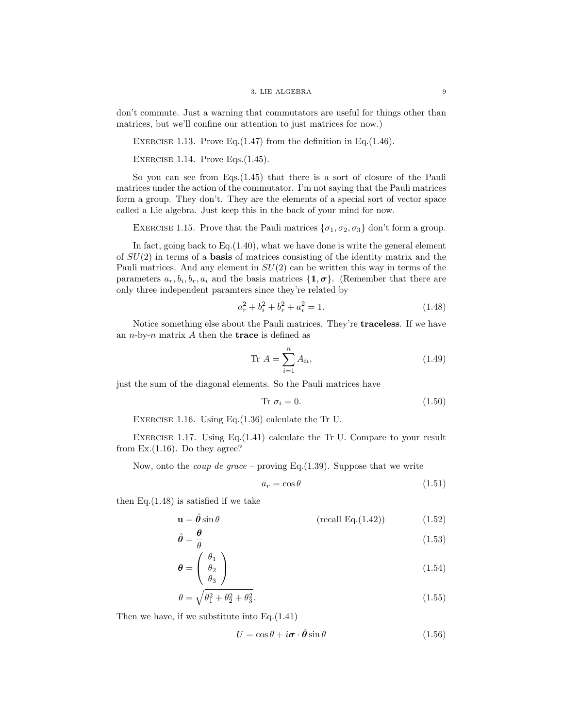### 3. LIE ALGEBRA 9

don't commute. Just a warning that commutators are useful for things other than matrices, but we'll confine our attention to just matrices for now.)

EXERCISE 1.13. Prove Eq. $(1.47)$  from the definition in Eq. $(1.46)$ .

EXERCISE 1.14. Prove Eqs. $(1.45)$ .

So you can see from Eqs.(1.45) that there is a sort of closure of the Pauli matrices under the action of the commutator. I'm not saying that the Pauli matrices form a group. They don't. They are the elements of a special sort of vector space called a Lie algebra. Just keep this in the back of your mind for now.

EXERCISE 1.15. Prove that the Pauli matrices  $\{\sigma_1, \sigma_2, \sigma_3\}$  don't form a group.

In fact, going back to  $Eq.(1.40)$ , what we have done is write the general element of  $SU(2)$  in terms of a **basis** of matrices consisting of the identity matrix and the Pauli matrices. And any element in  $SU(2)$  can be written this way in terms of the parameters  $a_r, b_i, b_r, a_i$  and the basis matrices  $\{1, \sigma\}$ . (Remember that there are only three independent paramters since they're related by

$$
a_r^2 + b_i^2 + b_r^2 + a_i^2 = 1.
$$
\n(1.48)

Notice something else about the Pauli matrices. They're traceless. If we have an  $n$ -by- $n$  matrix  $A$  then the **trace** is defined as

$$
\text{Tr } A = \sum_{i=1}^{n} A_{ii},\tag{1.49}
$$

just the sum of the diagonal elements. So the Pauli matrices have

$$
Tr \sigma_i = 0. \tag{1.50}
$$

Exercise 1.16. Using Eq.(1.36) calculate the Tr U.

Exercise 1.17. Using Eq.(1.41) calculate the Tr U. Compare to your result from  $Ex.(1.16)$ . Do they agree?

Now, onto the *coup de grace* – proving Eq.(1.39). Suppose that we write

$$
a_r = \cos \theta \tag{1.51}
$$

then Eq. $(1.48)$  is satisfied if we take

$$
\mathbf{u} = \hat{\boldsymbol{\theta}} \sin \theta \qquad (\text{recall Eq.}(1.42)) \tag{1.52}
$$

$$
\hat{\theta} = \frac{\theta}{\theta} \tag{1.53}
$$

$$
\boldsymbol{\theta} = \begin{pmatrix} \theta_1 \\ \theta_2 \\ \theta_3 \end{pmatrix} \tag{1.54}
$$

$$
\theta = \sqrt{\theta_1^2 + \theta_2^2 + \theta_3^2}.\tag{1.55}
$$

Then we have, if we substitute into Eq.(1.41)

$$
U = \cos \theta + i \boldsymbol{\sigma} \cdot \hat{\boldsymbol{\theta}} \sin \theta \qquad (1.56)
$$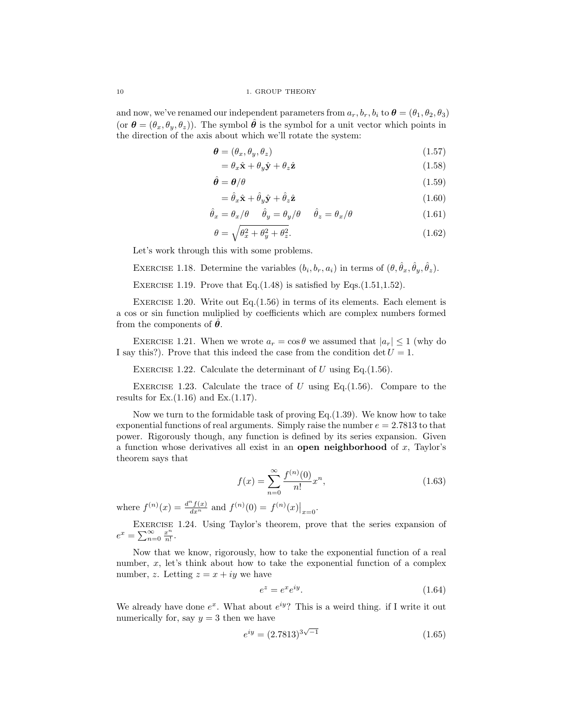10 1. GROUP THEORY

and now, we've renamed our independent parameters from  $a_r, b_r, b_i$  to  $\boldsymbol{\theta} = (\theta_1, \theta_2, \theta_3)$ (or  $\boldsymbol{\theta} = (\theta_x, \theta_y, \theta_z)$ ). The symbol  $\boldsymbol{\hat{\theta}}$  is the symbol for a unit vector which points in the direction of the axis about which we'll rotate the system:

$$
\boldsymbol{\theta} = (\theta_x, \theta_y, \theta_z) \tag{1.57}
$$

$$
= \theta_x \hat{\mathbf{x}} + \theta_y \hat{\mathbf{y}} + \theta_z \hat{\mathbf{z}} \tag{1.58}
$$

$$
\hat{\theta} = \theta/\theta \tag{1.59}
$$

$$
= \hat{\theta}_x \hat{\mathbf{x}} + \hat{\theta}_y \hat{\mathbf{y}} + \hat{\theta}_z \hat{\mathbf{z}} \tag{1.60}
$$

$$
\hat{\theta}_x = \theta_x/\theta \qquad \hat{\theta}_y = \theta_y/\theta \qquad \hat{\theta}_z = \theta_x/\theta \tag{1.61}
$$

$$
\theta = \sqrt{\theta_x^2 + \theta_y^2 + \theta_z^2}.\tag{1.62}
$$

Let's work through this with some problems.

EXERCISE 1.18. Determine the variables  $(b_i, b_r, a_i)$  in terms of  $(\theta, \hat{\theta}_x, \hat{\theta}_y, \hat{\theta}_z)$ .

EXERCISE 1.19. Prove that Eq. $(1.48)$  is satisfied by Eqs. $(1.51, 1.52)$ .

EXERCISE 1.20. Write out Eq. $(1.56)$  in terms of its elements. Each element is a cos or sin function muliplied by coefficients which are complex numbers formed from the components of  $\ddot{\theta}$ .

EXERCISE 1.21. When we wrote  $a_r = \cos \theta$  we assumed that  $|a_r| \leq 1$  (why do I say this?). Prove that this indeed the case from the condition det  $U = 1$ .

EXERCISE 1.22. Calculate the determinant of U using Eq.  $(1.56)$ .

EXERCISE 1.23. Calculate the trace of U using Eq.  $(1.56)$ . Compare to the results for  $Ex.(1.16)$  and  $Ex.(1.17)$ .

Now we turn to the formidable task of proving Eq.  $(1.39)$ . We know how to take exponential functions of real arguments. Simply raise the number  $e = 2.7813$  to that power. Rigorously though, any function is defined by its series expansion. Given a function whose derivatives all exist in an open neighborhood of  $x$ , Taylor's theorem says that

$$
f(x) = \sum_{n=0}^{\infty} \frac{f^{(n)}(0)}{n!} x^n,
$$
\n(1.63)

where  $f^{(n)}(x) = \frac{d^n f(x)}{dx^n}$  and  $f^{(n)}(0) = f^{(n)}(x)|_{x=0}$ .

Exercise 1.24. Using Taylor's theorem, prove that the series expansion of  $e^x = \sum_{n=0}^{\infty} \frac{x^n}{n!}$  $\frac{x^{\prime\prime}}{n!}$ .

Now that we know, rigorously, how to take the exponential function of a real number,  $x$ , let's think about how to take the exponential function of a complex number, z. Letting  $z = x + iy$  we have

$$
e^z = e^x e^{iy}.\tag{1.64}
$$

We already have done  $e^x$ . What about  $e^{iy}$ ? This is a weird thing. if I write it out numerically for, say  $y = 3$  then we have

$$
e^{iy} = (2.7813)^{3\sqrt{-1}} \tag{1.65}
$$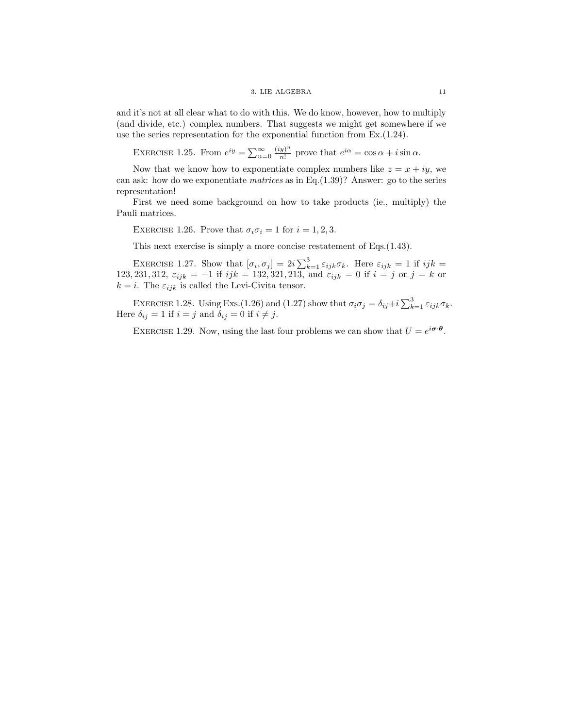and it's not at all clear what to do with this. We do know, however, how to multiply (and divide, etc.) complex numbers. That suggests we might get somewhere if we use the series representation for the exponential function from Ex.(1.24).

EXERCISE 1.25. From  $e^{iy} = \sum_{n=0}^{\infty} \frac{(iy)^n}{n!}$  $\frac{y^{\alpha}}{n!}$  prove that  $e^{i\alpha} = \cos \alpha + i \sin \alpha$ .

Now that we know how to exponentiate complex numbers like  $z = x + iy$ , we can ask: how do we exponentiate *matrices* as in Eq.(1.39)? Answer: go to the series representation!

First we need some background on how to take products (ie., multiply) the Pauli matrices.

EXERCISE 1.26. Prove that  $\sigma_i \sigma_i = 1$  for  $i = 1, 2, 3$ .

This next exercise is simply a more concise restatement of Eqs.(1.43).

EXERCISE 1.27. Show that  $[\sigma_i, \sigma_j] = 2i \sum_{k=1}^3 \varepsilon_{ijk} \sigma_k$ . Here  $\varepsilon_{ijk} = 1$  if  $ijk =$ 123, 231, 312,  $\varepsilon_{ijk} = -1$  if  $ijk = 132, 321, 213$ , and  $\varepsilon_{ijk} = 0$  if  $i = j$  or  $j = k$  or  $k = i.$  The  $\varepsilon_{ijk}$  is called the Levi-Civita tensor.

EXERCISE 1.28. Using Exs.(1.26) and (1.27) show that  $\sigma_i \sigma_j = \delta_{ij} + i \sum_{k=1}^3 \varepsilon_{ijk} \sigma_k$ . Here  $\delta_{ij} = 1$  if  $i = j$  and  $\delta_{ij} = 0$  if  $i \neq j$ .

EXERCISE 1.29. Now, using the last four problems we can show that  $U = e^{i\boldsymbol{\sigma} \cdot \boldsymbol{\theta}}$ .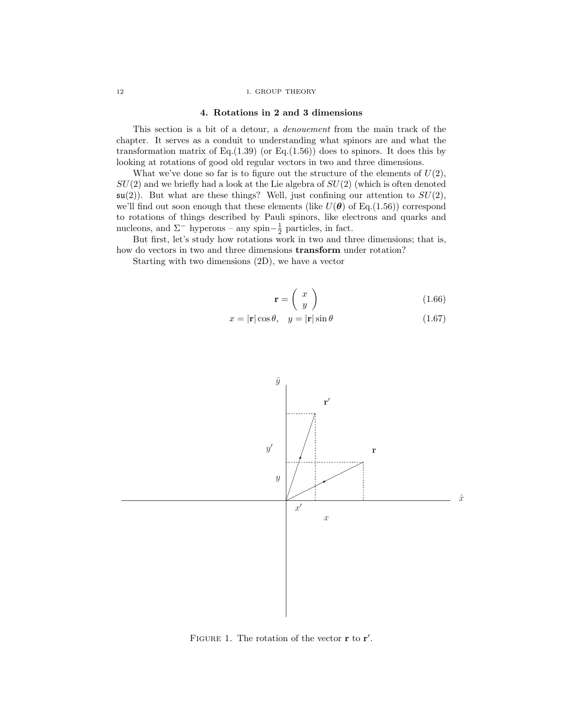### 12 1. GROUP THEORY

### 4. Rotations in 2 and 3 dimensions

This section is a bit of a detour, a *denouement* from the main track of the chapter. It serves as a conduit to understanding what spinors are and what the transformation matrix of Eq. $(1.39)$  (or Eq. $(1.56)$ ) does to spinors. It does this by looking at rotations of good old regular vectors in two and three dimensions.

What we've done so far is to figure out the structure of the elements of  $U(2)$ ,  $SU(2)$  and we briefly had a look at the Lie algebra of  $SU(2)$  (which is often denoted  $\mathfrak{su}(2)$ ). But what are these things? Well, just confining our attention to  $SU(2)$ , we'll find out soon enough that these elements (like  $U(\theta)$  of Eq.(1.56)) correspond to rotations of things described by Pauli spinors, like electrons and quarks and nucleons, and  $\Sigma^-$  hyperons – any spin– $\frac{1}{2}$  particles, in fact.

But first, let's study how rotations work in two and three dimensions; that is, how do vectors in two and three dimensions transform under rotation?

Starting with two dimensions (2D), we have a vector

$$
\mathbf{r} = \left(\begin{array}{c} x \\ y \end{array}\right) \tag{1.66}
$$

$$
x = |\mathbf{r}| \cos \theta, \quad y = |\mathbf{r}| \sin \theta \tag{1.67}
$$



FIGURE 1. The rotation of the vector  $\mathbf r$  to  $\mathbf r'$ .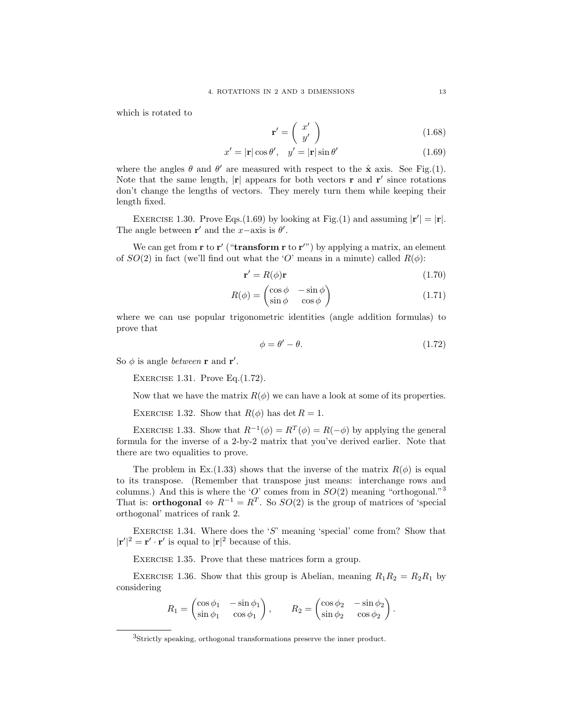which is rotated to

$$
\mathbf{r}' = \left(\begin{array}{c} x' \\ y' \end{array}\right) \tag{1.68}
$$

$$
x' = |\mathbf{r}| \cos \theta', \quad y' = |\mathbf{r}| \sin \theta' \tag{1.69}
$$

where the angles  $\theta$  and  $\theta'$  are measured with respect to the  $\hat{\mathbf{x}}$  axis. See Fig.(1). Note that the same length,  $|\mathbf{r}|$  appears for both vectors  $\mathbf{r}$  and  $\mathbf{r}'$  since rotations don't change the lengths of vectors. They merely turn them while keeping their length fixed.

EXERCISE 1.30. Prove Eqs.(1.69) by looking at Fig.(1) and assuming  $|\mathbf{r}'| = |\mathbf{r}|$ . The angle between  $\mathbf{r}'$  and the x-axis is  $\theta'$ .

We can get from  $\mathbf r$  to  $\mathbf r'$  ("**transform**  $\mathbf r$  to  $\mathbf r''$ ) by applying a matrix, an element of  $SO(2)$  in fact (we'll find out what the 'O' means in a minute) called  $R(\phi)$ :

$$
\mathbf{r}' = R(\phi)\mathbf{r} \tag{1.70}
$$

$$
R(\phi) = \begin{pmatrix} \cos \phi & -\sin \phi \\ \sin \phi & \cos \phi \end{pmatrix}
$$
 (1.71)

where we can use popular trigonometric identities (angle addition formulas) to prove that

$$
\phi = \theta' - \theta. \tag{1.72}
$$

So  $\phi$  is angle *between* **r** and **r'**.

EXERCISE 1.31. Prove  $Eq.(1.72)$ .

Now that we have the matrix  $R(\phi)$  we can have a look at some of its properties.

EXERCISE 1.32. Show that  $R(\phi)$  has det  $R = 1$ .

EXERCISE 1.33. Show that  $R^{-1}(\phi) = R^{T}(\phi) = R(-\phi)$  by applying the general formula for the inverse of a 2-by-2 matrix that you've derived earlier. Note that there are two equalities to prove.

The problem in Ex.(1.33) shows that the inverse of the matrix  $R(\phi)$  is equal to its transpose. (Remember that transpose just means: interchange rows and columns.) And this is where the 'O' comes from in  $SO(2)$  meaning "orthogonal."<sup>3</sup> That is: **orthogonal**  $\Leftrightarrow R^{-1} = R^T$ . So  $SO(2)$  is the group of matrices of 'special orthogonal' matrices of rank 2.

EXERCISE 1.34. Where does the 'S' meaning 'special' come from? Show that  $|\mathbf{r}'|^2 = \mathbf{r}' \cdot \mathbf{r}'$  is equal to  $|\mathbf{r}|^2$  because of this.

EXERCISE 1.35. Prove that these matrices form a group.

EXERCISE 1.36. Show that this group is Abelian, meaning  $R_1R_2 = R_2R_1$  by considering

$$
R_1 = \begin{pmatrix} \cos \phi_1 & -\sin \phi_1 \\ \sin \phi_1 & \cos \phi_1 \end{pmatrix}, \qquad R_2 = \begin{pmatrix} \cos \phi_2 & -\sin \phi_2 \\ \sin \phi_2 & \cos \phi_2 \end{pmatrix}.
$$

<sup>3</sup>Strictly speaking, orthogonal transformations preserve the inner product.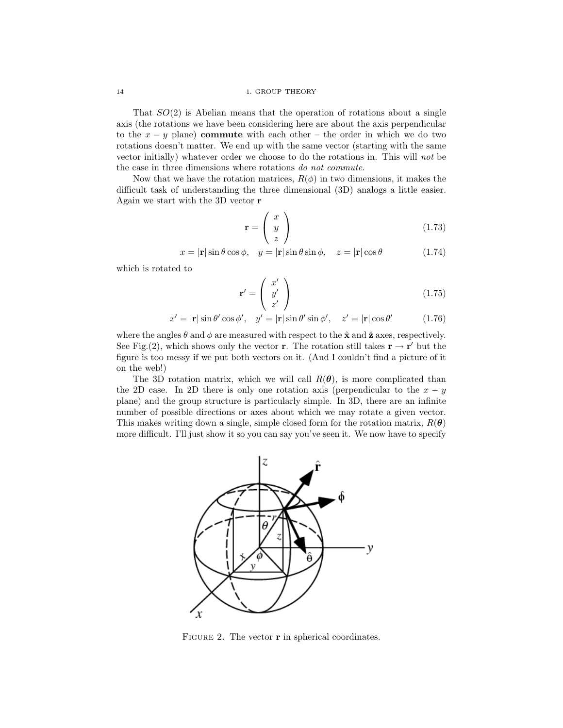That  $SO(2)$  is Abelian means that the operation of rotations about a single axis (the rotations we have been considering here are about the axis perpendicular to the  $x - y$  plane) commute with each other – the order in which we do two rotations doesn't matter. We end up with the same vector (starting with the same vector initially) whatever order we choose to do the rotations in. This will *not* be the case in three dimensions where rotations *do not commute*.

Now that we have the rotation matrices,  $R(\phi)$  in two dimensions, it makes the difficult task of understanding the three dimensional (3D) analogs a little easier. Again we start with the 3D vector r

$$
\mathbf{r} = \left(\begin{array}{c} x \\ y \\ z \end{array}\right) \tag{1.73}
$$

$$
x = |\mathbf{r}| \sin \theta \cos \phi, \quad y = |\mathbf{r}| \sin \theta \sin \phi, \quad z = |\mathbf{r}| \cos \theta \tag{1.74}
$$

which is rotated to

$$
\mathbf{r}' = \begin{pmatrix} x' \\ y' \\ z' \end{pmatrix} \tag{1.75}
$$

$$
x' = |\mathbf{r}| \sin \theta' \cos \phi', \quad y' = |\mathbf{r}| \sin \theta' \sin \phi', \quad z' = |\mathbf{r}| \cos \theta'
$$
 (1.76)

where the angles  $\theta$  and  $\phi$  are measured with respect to the  $\hat{\mathbf{x}}$  and  $\hat{\mathbf{z}}$  axes, respectively. See Fig.(2), which shows only the vector **r**. The rotation still takes  $\mathbf{r} \to \mathbf{r}'$  but the figure is too messy if we put both vectors on it. (And I couldn't find a picture of it on the web!)

The 3D rotation matrix, which we will call  $R(\theta)$ , is more complicated than the 2D case. In 2D there is only one rotation axis (perpendicular to the  $x - y$ plane) and the group structure is particularly simple. In 3D, there are an infinite number of possible directions or axes about which we may rotate a given vector. This makes writing down a single, simple closed form for the rotation matrix,  $R(\theta)$ more difficult. I'll just show it so you can say you've seen it. We now have to specify



FIGURE 2. The vector **r** in spherical coordinates.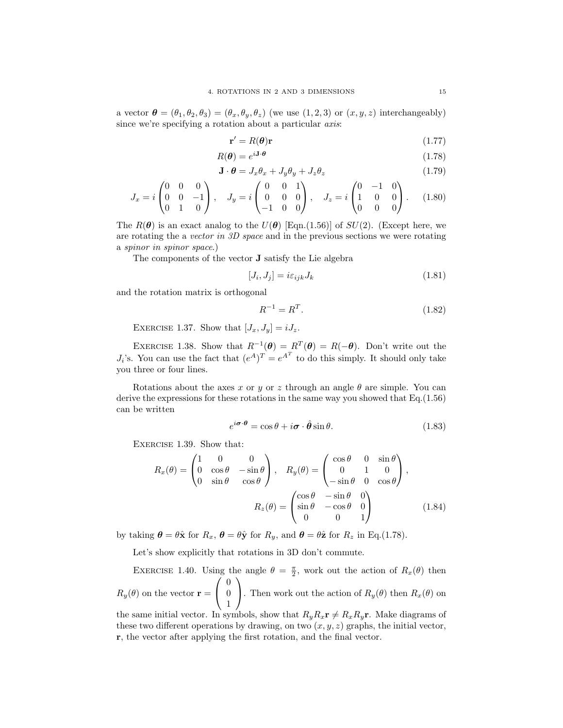a vector  $\boldsymbol{\theta} = (\theta_1, \theta_2, \theta_3) = (\theta_x, \theta_y, \theta_z)$  (we use  $(1, 2, 3)$  or  $(x, y, z)$  interchangeably) since we're specifying a rotation about a particular *axis*:

$$
\mathbf{r}' = R(\boldsymbol{\theta})\mathbf{r} \tag{1.77}
$$

$$
R(\theta) = e^{i\mathbf{J}\cdot\theta} \tag{1.78}
$$

$$
\mathbf{J} \cdot \boldsymbol{\theta} = J_x \theta_x + J_y \theta_y + J_z \theta_z \tag{1.79}
$$

$$
J_x = i \begin{pmatrix} 0 & 0 & 0 \\ 0 & 0 & -1 \\ 0 & 1 & 0 \end{pmatrix}, \quad J_y = i \begin{pmatrix} 0 & 0 & 1 \\ 0 & 0 & 0 \\ -1 & 0 & 0 \end{pmatrix}, \quad J_z = i \begin{pmatrix} 0 & -1 & 0 \\ 1 & 0 & 0 \\ 0 & 0 & 0 \end{pmatrix}.
$$
 (1.80)

The  $R(\theta)$  is an exact analog to the  $U(\theta)$  [Eqn.(1.56)] of  $SU(2)$ . (Except here, we are rotating the a *vector in 3D space* and in the previous sections we were rotating a *spinor in spinor space*.)

The components of the vector J satisfy the Lie algebra

$$
[J_i, J_j] = i\varepsilon_{ijk} J_k \tag{1.81}
$$

and the rotation matrix is orthogonal

$$
R^{-1} = R^T.
$$
\n(1.82)

EXERCISE 1.37. Show that  $[J_x, J_y] = iJ_z$ .

EXERCISE 1.38. Show that  $R^{-1}(\theta) = R^T(\theta) = R(-\theta)$ . Don't write out the  $J_i$ 's. You can use the fact that  $(e^A)^T = e^{A^T}$  to do this simply. It should only take you three or four lines.

Rotations about the axes x or y or z through an angle  $\theta$  are simple. You can derive the expressions for these rotations in the same way you showed that Eq.(1.56) can be written

$$
e^{i\boldsymbol{\sigma}\cdot\boldsymbol{\theta}} = \cos\theta + i\boldsymbol{\sigma}\cdot\hat{\boldsymbol{\theta}}\sin\theta.
$$
 (1.83)

EXERCISE 1.39. Show that:

$$
R_x(\theta) = \begin{pmatrix} 1 & 0 & 0 \\ 0 & \cos \theta & -\sin \theta \\ 0 & \sin \theta & \cos \theta \end{pmatrix}, \quad R_y(\theta) = \begin{pmatrix} \cos \theta & 0 & \sin \theta \\ 0 & 1 & 0 \\ -\sin \theta & 0 & \cos \theta \end{pmatrix},
$$

$$
R_z(\theta) = \begin{pmatrix} \cos \theta & -\sin \theta & 0 \\ \sin \theta & -\cos \theta & 0 \\ 0 & 0 & 1 \end{pmatrix}
$$
(1.84)

by taking  $\theta = \theta \hat{\mathbf{x}}$  for  $R_x$ ,  $\theta = \theta \hat{\mathbf{y}}$  for  $R_y$ , and  $\theta = \theta \hat{\mathbf{z}}$  for  $R_z$  in Eq.(1.78).

Let's show explicitly that rotations in 3D don't commute.

EXERCISE 1.40. Using the angle  $\theta = \frac{\pi}{2}$ , work out the action of  $R_x(\theta)$  then  $R_y(\theta)$  on the vector  $\mathbf{r} =$  $\sqrt{ }$  $\mathcal{L}$ 0 0 1  $\setminus$ . Then work out the action of  $R_y(\theta)$  then  $R_x(\theta)$  on

the same initial vector. In symbols, show that  $R_yR_x\mathbf{r} \neq R_xR_y\mathbf{r}$ . Make diagrams of these two different operations by drawing, on two  $(x, y, z)$  graphs, the initial vector, r, the vector after applying the first rotation, and the final vector.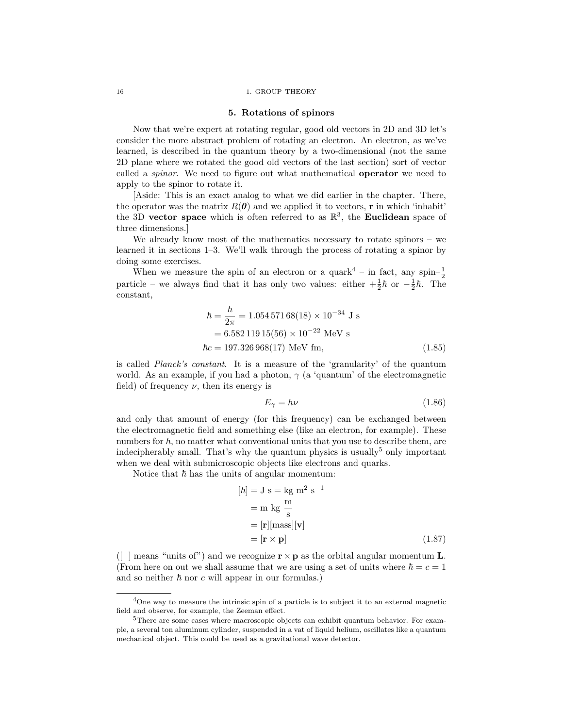### 5. Rotations of spinors

Now that we're expert at rotating regular, good old vectors in 2D and 3D let's consider the more abstract problem of rotating an electron. An electron, as we've learned, is described in the quantum theory by a two-dimensional (not the same 2D plane where we rotated the good old vectors of the last section) sort of vector called a *spinor*. We need to figure out what mathematical operator we need to apply to the spinor to rotate it.

[Aside: This is an exact analog to what we did earlier in the chapter. There, the operator was the matrix  $R(\theta)$  and we applied it to vectors, **r** in which 'inhabit' the 3D vector space which is often referred to as  $\mathbb{R}^3$ , the Euclidean space of three dimensions.]

We already know most of the mathematics necessary to rotate spinors – we learned it in sections 1–3. We'll walk through the process of rotating a spinor by doing some exercises.

When we measure the spin of an electron or a quark<sup>4</sup> – in fact, any spin– $\frac{1}{2}$ particle – we always find that it has only two values: either  $+\frac{1}{2}\hbar$  or  $-\frac{1}{2}\hbar$ . The constant,

$$
\hbar = \frac{h}{2\pi} = 1.054\,571\,68(18) \times 10^{-34}\text{ J s}
$$
  
= 6.58211915(56) \times 10^{-22}\text{ MeV s}  

$$
\hbar c = 197.326\,968(17)\text{ MeV fm},\tag{1.85}
$$

is called *Planck's constant*. It is a measure of the 'granularity' of the quantum world. As an example, if you had a photon,  $\gamma$  (a 'quantum' of the electromagnetic field) of frequency  $\nu$ , then its energy is

$$
E_{\gamma} = h\nu \tag{1.86}
$$

and only that amount of energy (for this frequency) can be exchanged between the electromagnetic field and something else (like an electron, for example). These numbers for  $\hbar$ , no matter what conventional units that you use to describe them, are indecipherably small. That's why the quantum physics is usually<sup>5</sup> only important when we deal with submicroscopic objects like electrons and quarks.

Notice that  $\hbar$  has the units of angular momentum:

$$
[\hbar] = J \text{ s} = \text{kg m}^2 \text{ s}^{-1}
$$
  
= m kg  $\frac{\text{m}}{\text{s}}$   
=  $[\mathbf{r}][\text{mass}][\mathbf{v}]$   
=  $[\mathbf{r} \times \mathbf{p}]$  (1.87)

([ ] means "units of") and we recognize  $\mathbf{r}\times\mathbf{p}$  as the orbital angular momentum  $\mathbf{L}.$ (From here on out we shall assume that we are using a set of units where  $\hbar = c = 1$ ) and so neither  $h$  nor c will appear in our formulas.)

<sup>&</sup>lt;sup>4</sup>One way to measure the intrinsic spin of a particle is to subject it to an external magnetic field and observe, for example, the Zeeman effect.

<sup>5</sup>There are some cases where macroscopic objects can exhibit quantum behavior. For example, a several ton aluminum cylinder, suspended in a vat of liquid helium, oscillates like a quantum mechanical object. This could be used as a gravitational wave detector.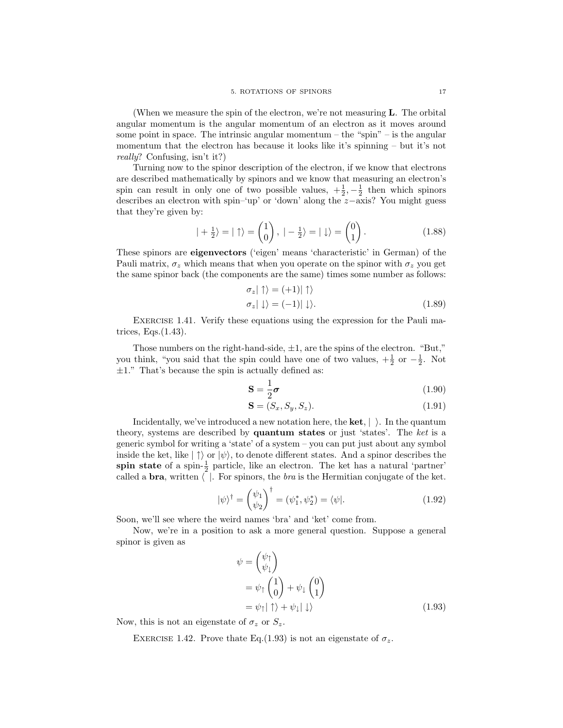(When we measure the spin of the electron, we're not measuring L. The orbital angular momentum is the angular momentum of an electron as it moves around some point in space. The intrinsic angular momentum – the "spin"  $-$  is the angular momentum that the electron has because it looks like it's spinning – but it's not *really*? Confusing, isn't it?)

Turning now to the spinor description of the electron, if we know that electrons are described mathematically by spinors and we know that measuring an electron's spin can result in only one of two possible values,  $+\frac{1}{2}, -\frac{1}{2}$  then which spinors describes an electron with spin–'up' or 'down' along the z−axis? You might guess that they're given by:

$$
|+\frac{1}{2}\rangle = |\uparrow\rangle = \begin{pmatrix} 1\\0 \end{pmatrix}, \; |-\frac{1}{2}\rangle = | \downarrow\rangle = \begin{pmatrix} 0\\1 \end{pmatrix}.
$$
 (1.88)

These spinors are eigenvectors ('eigen' means 'characteristic' in German) of the Pauli matrix,  $\sigma_z$  which means that when you operate on the spinor with  $\sigma_z$  you get the same spinor back (the components are the same) times some number as follows:

$$
\begin{aligned}\n\sigma_z \mid \uparrow \rangle &= (+1) \mid \uparrow \rangle \\
\sigma_z \mid \downarrow \rangle &= (-1) \mid \downarrow \rangle.\n\end{aligned} \tag{1.89}
$$

Exercise 1.41. Verify these equations using the expression for the Pauli matrices, Eqs.(1.43).

Those numbers on the right-hand-side,  $\pm 1$ , are the spins of the electron. "But," you think, "you said that the spin could have one of two values,  $+\frac{1}{2}$  or  $-\frac{1}{2}$ . Not  $\pm 1$ ." That's because the spin is actually defined as:

$$
\mathbf{S} = \frac{1}{2}\boldsymbol{\sigma} \tag{1.90}
$$

$$
\mathbf{S} = (S_x, S_y, S_z). \tag{1.91}
$$

Incidentally, we've introduced a new notation here, the **ket**,  $|\rangle$ . In the quantum theory, systems are described by quantum states or just 'states'. The *ket* is a generic symbol for writing a 'state' of a system – you can put just about any symbol inside the ket, like  $|\uparrow\rangle$  or  $|\psi\rangle$ , to denote different states. And a spinor describes the spin state of a spin- $\frac{1}{2}$  particle, like an electron. The ket has a natural 'partner' called a **bra**, written  $\langle \cdot \rangle$ . For spinors, the *bra* is the Hermitian conjugate of the ket.

$$
|\psi\rangle^{\dagger} = \begin{pmatrix} \psi_1 \\ \psi_2 \end{pmatrix}^{\dagger} = (\psi_1^*, \psi_2^*) = \langle \psi |.
$$
 (1.92)

Soon, we'll see where the weird names 'bra' and 'ket' come from.

Now, we're in a position to ask a more general question. Suppose a general spinor is given as

$$
\psi = \begin{pmatrix} \psi_{\uparrow} \\ \psi_{\downarrow} \end{pmatrix}
$$
  
=  $\psi_{\uparrow} \begin{pmatrix} 1 \\ 0 \end{pmatrix} + \psi_{\downarrow} \begin{pmatrix} 0 \\ 1 \end{pmatrix}$   
=  $\psi_{\uparrow} | \uparrow \rangle + \psi_{\downarrow} | \downarrow \rangle$  (1.93)

Now, this is not an eigenstate of  $\sigma_z$  or  $S_z$ .

EXERCISE 1.42. Prove thate Eq.(1.93) is not an eigenstate of  $\sigma_z$ .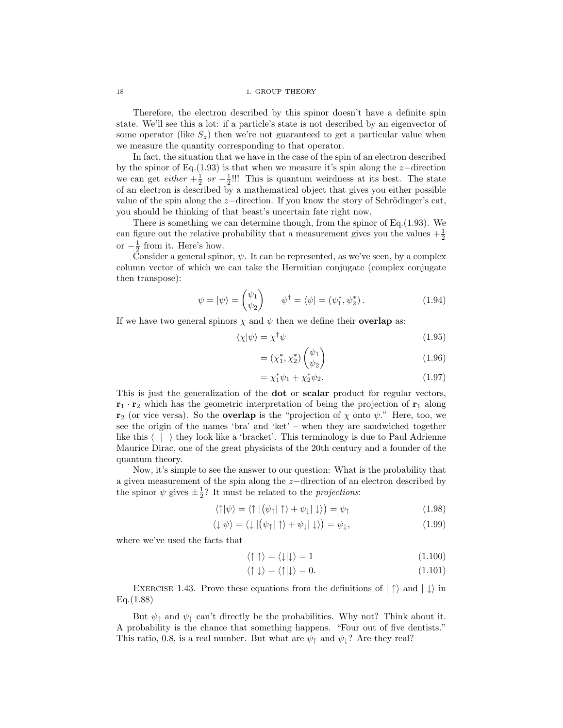18 18 1. GROUP THEORY

Therefore, the electron described by this spinor doesn't have a definite spin state. We'll see this a lot: if a particle's state is not described by an eigenvector of some operator (like  $S_z$ ) then we're not guaranteed to get a particular value when we measure the quantity corresponding to that operator.

In fact, the situation that we have in the case of the spin of an electron described by the spinor of Eq.(1.93) is that when we measure it's spin along the z−direction we can get *either*  $+\frac{1}{2}$  *or*  $-\frac{1}{2}$ !!! This is quantum weirdness at its best. The state of an electron is described by a mathematical object that gives you either possible value of the spin along the z−direction. If you know the story of Schrödinger's cat, you should be thinking of that beast's uncertain fate right now.

There is something we can determine though, from the spinor of Eq.  $(1.93)$ . We can figure out the relative probability that a measurement gives you the values  $+\frac{1}{2}$ or  $-\frac{1}{2}$  from it. Here's how.

Consider a general spinor,  $\psi$ . It can be represented, as we've seen, by a complex column vector of which we can take the Hermitian conjugate (complex conjugate then transpose):

$$
\psi = |\psi\rangle = \begin{pmatrix} \psi_1 \\ \psi_2 \end{pmatrix} \qquad \psi^{\dagger} = \langle \psi | = (\psi_1^*, \psi_2^*).
$$
 (1.94)

If we have two general spinors  $\chi$  and  $\psi$  then we define their **overlap** as:

$$
\langle \chi | \psi \rangle = \chi^{\dagger} \psi \tag{1.95}
$$

$$
= (\chi_1^*, \chi_2^*) \begin{pmatrix} \psi_1 \\ \psi_2 \end{pmatrix} \tag{1.96}
$$

$$
= \chi_1^* \psi_1 + \chi_2^* \psi_2. \tag{1.97}
$$

This is just the generalization of the dot or scalar product for regular vectors,  $\mathbf{r}_1 \cdot \mathbf{r}_2$  which has the geometric interpretation of being the projection of  $\mathbf{r}_1$  along  $\mathbf{r}_2$  (or vice versa). So the **overlap** is the "projection of  $\chi$  onto  $\psi$ ." Here, too, we see the origin of the names 'bra' and 'ket' – when they are sandwiched together like this  $\langle \ | \ \rangle$  they look like a 'bracket'. This terminology is due to Paul Adrienne Maurice Dirac, one of the great physicists of the 20th century and a founder of the quantum theory.

Now, it's simple to see the answer to our question: What is the probability that a given measurement of the spin along the z−direction of an electron described by the spinor  $\psi$  gives  $\pm \frac{1}{2}$ ? It must be related to the *projections*:

$$
\langle \uparrow | \psi \rangle = \langle \uparrow | (\psi_{\uparrow} | \uparrow \rangle + \psi_{\downarrow} | \downarrow \rangle) = \psi_{\uparrow} \tag{1.98}
$$

$$
\langle \downarrow | \psi \rangle = \langle \downarrow | (\psi_{\uparrow} | \uparrow \rangle + \psi_{\downarrow} | \downarrow \rangle) = \psi_{\downarrow}, \tag{1.99}
$$

where we've used the facts that

$$
\langle \uparrow | \uparrow \rangle = \langle \downarrow | \downarrow \rangle = 1 \tag{1.100}
$$

$$
\langle \uparrow | \downarrow \rangle = \langle \uparrow | \downarrow \rangle = 0. \tag{1.101}
$$

EXERCISE 1.43. Prove these equations from the definitions of  $|\uparrow\rangle$  and  $|\downarrow\rangle$  in Eq.(1.88)

But  $\psi_{\uparrow}$  and  $\psi_{\downarrow}$  can't directly be the probabilities. Why not? Think about it. A probability is the chance that something happens. "Four out of five dentists." This ratio, 0.8, is a real number. But what are  $\psi_{\uparrow}$  and  $\psi_{\downarrow}$ ? Are they real?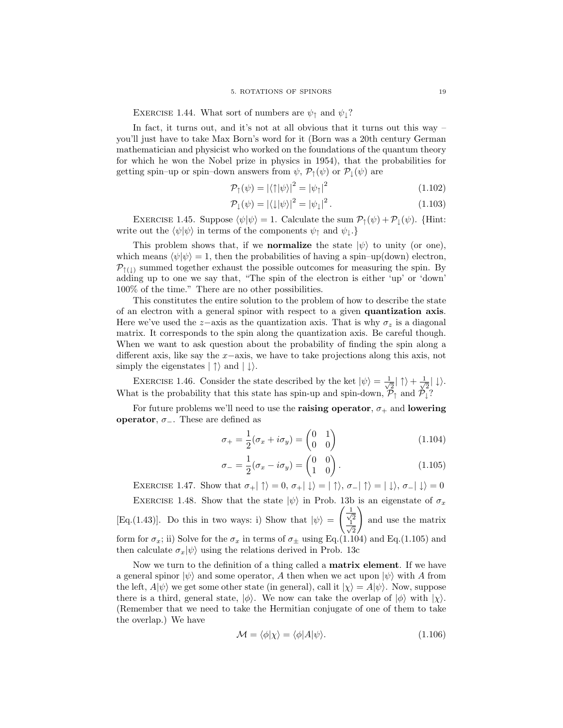EXERCISE 1.44. What sort of numbers are  $\psi_{\uparrow}$  and  $\psi_{\downarrow}$ ?

In fact, it turns out, and it's not at all obvious that it turns out this way – you'll just have to take Max Born's word for it (Born was a 20th century German mathematician and physicist who worked on the foundations of the quantum theory for which he won the Nobel prize in physics in 1954), that the probabilities for getting spin–up or spin–down answers from  $\psi$ ,  $\mathcal{P}_{\uparrow}(\psi)$  or  $\mathcal{P}_{\downarrow}(\psi)$  are

$$
\mathcal{P}_{\uparrow}(\psi) = |\langle \uparrow | \psi \rangle|^2 = |\psi_{\uparrow}|^2 \tag{1.102}
$$

$$
\mathcal{P}_{\downarrow}(\psi) = |\langle \downarrow | \psi \rangle|^2 = |\psi_{\downarrow}|^2. \tag{1.103}
$$

EXERCISE 1.45. Suppose  $\langle \psi | \psi \rangle = 1$ . Calculate the sum  $\mathcal{P}_{\uparrow}(\psi) + \mathcal{P}_{\downarrow}(\psi)$ . {Hint: write out the  $\langle \psi | \psi \rangle$  in terms of the components  $\psi_{\uparrow}$  and  $\psi_{\downarrow}$ .}

This problem shows that, if we **normalize** the state  $|\psi\rangle$  to unity (or one), which means  $\langle \psi | \psi \rangle = 1$ , then the probabilities of having a spin–up(down) electron,  $P_{\uparrow(\perp)}$  summed together exhaust the possible outcomes for measuring the spin. By adding up to one we say that, "The spin of the electron is either 'up' or 'down' 100% of the time." There are no other possibilities.

This constitutes the entire solution to the problem of how to describe the state of an electron with a general spinor with respect to a given quantization axis. Here we've used the z-axis as the quantization axis. That is why  $\sigma_z$  is a diagonal matrix. It corresponds to the spin along the quantization axis. Be careful though. When we want to ask question about the probability of finding the spin along a different axis, like say the x−axis, we have to take projections along this axis, not simply the eigenstates  $|\uparrow\rangle$  and  $|\downarrow\rangle$ .

EXERCISE 1.46. Consider the state described by the ket  $|\psi\rangle = \frac{1}{\sqrt{\pi}}$  $\frac{1}{2}|\uparrow\rangle + \frac{1}{\sqrt{2}}$  $\frac{1}{2}|\downarrow\rangle.$ What is the probability that this state has spin-up and spin-down,  $\mathcal{P}_{\uparrow}$  and  $\mathcal{P}_{\downarrow}$ ?

For future problems we'll need to use the **raising operator**,  $\sigma_{+}$  and **lowering** operator,  $\sigma_-\$ . These are defined as

$$
\sigma_+ = \frac{1}{2}(\sigma_x + i\sigma_y) = \begin{pmatrix} 0 & 1 \\ 0 & 0 \end{pmatrix} \tag{1.104}
$$

$$
\sigma_{-} = \frac{1}{2}(\sigma_x - i\sigma_y) = \begin{pmatrix} 0 & 0 \\ 1 & 0 \end{pmatrix}.
$$
\n(1.105)

EXERCISE 1.47. Show that  $\sigma_+|\uparrow\rangle = 0$ ,  $\sigma_+|\downarrow\rangle = |\uparrow\rangle$ ,  $\sigma_-|\uparrow\rangle = |\downarrow\rangle$ ,  $\sigma_-|\downarrow\rangle = 0$ EXERCISE 1.48. Show that the state  $|\psi\rangle$  in Prob. 13b is an eigenstate of  $\sigma_x$ [Eq.(1.43)]. Do this in two ways: i) Show that  $|\psi\rangle =$  $\left(\frac{1}{\sqrt{2}}\right)$ 2  $\frac{1}{\sqrt{2}}$ 2  $\setminus$ and use the matrix form for  $\sigma_x$ ; ii) Solve for the  $\sigma_x$  in terms of  $\sigma_{\pm}$  using Eq.(1.104) and Eq.(1.105) and then calculate  $\sigma_x|\psi\rangle$  using the relations derived in Prob. 13c

Now we turn to the definition of a thing called a **matrix element**. If we have a general spinor  $|\psi\rangle$  and some operator, A then when we act upon  $|\psi\rangle$  with A from the left,  $A|\psi\rangle$  we get some other state (in general), call it  $|\chi\rangle = A|\psi\rangle$ . Now, suppose there is a third, general state,  $|\phi\rangle$ . We now can take the overlap of  $|\phi\rangle$  with  $|\chi\rangle$ . (Remember that we need to take the Hermitian conjugate of one of them to take the overlap.) We have

$$
\mathcal{M} = \langle \phi | \chi \rangle = \langle \phi | A | \psi \rangle. \tag{1.106}
$$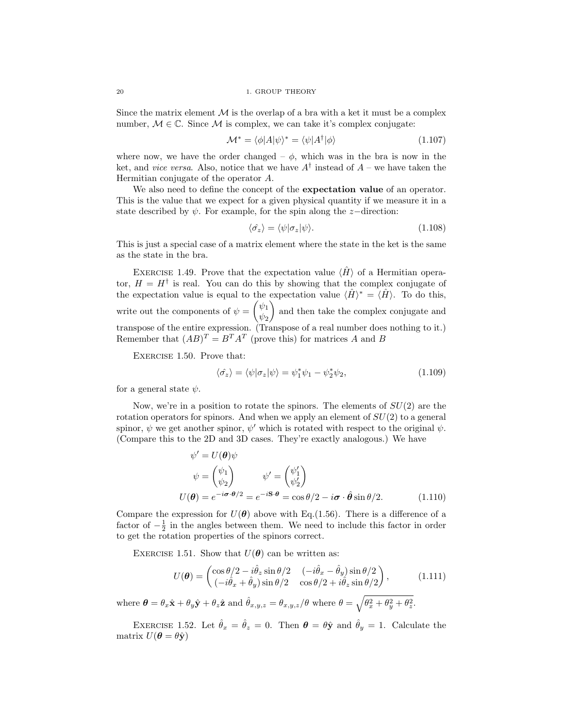20 1. GROUP THEORY

Since the matrix element  $\mathcal M$  is the overlap of a bra with a ket it must be a complex number,  $M \in \mathbb{C}$ . Since M is complex, we can take it's complex conjugate:

$$
\mathcal{M}^* = \langle \phi | A | \psi \rangle^* = \langle \psi | A^\dagger | \phi \rangle \tag{1.107}
$$

where now, we have the order changed –  $\phi$ , which was in the bra is now in the ket, and *vice versa*. Also, notice that we have  $A^{\dagger}$  instead of  $A$  – we have taken the Hermitian conjugate of the operator A.

We also need to define the concept of the **expectation value** of an operator. This is the value that we expect for a given physical quantity if we measure it in a state described by  $\psi$ . For example, for the spin along the *z*-direction:

$$
\langle \hat{\sigma}_z \rangle = \langle \psi | \sigma_z | \psi \rangle. \tag{1.108}
$$

This is just a special case of a matrix element where the state in the ket is the same as the state in the bra.

EXERCISE 1.49. Prove that the expectation value  $\langle \hat{H} \rangle$  of a Hermitian operator,  $H = H^{\dagger}$  is real. You can do this by showing that the complex conjugate of the expectation value is equal to the expectation value  $\langle \hat{H} \rangle^* = \langle \hat{H} \rangle$ . To do this, write out the components of  $\psi = \begin{pmatrix} \psi_1 \\ \psi_2 \end{pmatrix}$  $\psi_2$  and then take the complex conjugate and transpose of the entire expression. (Transpose of a real number does nothing to it.) Remember that  $(AB)^{T} = B^{T}A^{T}$  (prove this) for matrices A and B

EXERCISE 1.50. Prove that:

$$
\langle \hat{\sigma_z} \rangle = \langle \psi | \sigma_z | \psi \rangle = \psi_1^* \psi_1 - \psi_2^* \psi_2, \tag{1.109}
$$

for a general state  $\psi$ .

Now, we're in a position to rotate the spinors. The elements of  $SU(2)$  are the rotation operators for spinors. And when we apply an element of  $SU(2)$  to a general spinor,  $\psi$  we get another spinor,  $\psi'$  which is rotated with respect to the original  $\psi$ . (Compare this to the 2D and 3D cases. They're exactly analogous.) We have

$$
\psi' = U(\boldsymbol{\theta})\psi
$$
  
\n
$$
\psi = \begin{pmatrix} \psi_1 \\ \psi_2 \end{pmatrix} \qquad \psi' = \begin{pmatrix} \psi'_1 \\ \psi'_2 \end{pmatrix}
$$
  
\n
$$
U(\boldsymbol{\theta}) = e^{-i\boldsymbol{\sigma} \cdot \boldsymbol{\theta}/2} = e^{-i\mathbf{S} \cdot \boldsymbol{\theta}} = \cos \theta/2 - i\boldsymbol{\sigma} \cdot \hat{\boldsymbol{\theta}} \sin \theta/2.
$$
 (1.110)

Compare the expression for  $U(\theta)$  above with Eq.(1.56). There is a difference of a factor of  $-\frac{1}{2}$  in the angles between them. We need to include this factor in order to get the rotation properties of the spinors correct.

EXERCISE 1.51. Show that  $U(\theta)$  can be written as:

$$
U(\theta) = \begin{pmatrix} \cos \theta/2 - i\hat{\theta}_z \sin \theta/2 & (-i\hat{\theta}_x - \hat{\theta}_y) \sin \theta/2 \\ (-i\hat{\theta}_x + \hat{\theta}_y) \sin \theta/2 & \cos \theta/2 + i\hat{\theta}_z \sin \theta/2 \end{pmatrix},\tag{1.111}
$$

where  $\boldsymbol{\theta} = \theta_x \hat{\mathbf{x}} + \theta_y \hat{\mathbf{y}} + \theta_z \hat{\mathbf{z}}$  and  $\hat{\theta}_{x,y,z} = \theta_{x,y,z}/\theta$  where  $\theta = \sqrt{\theta_x^2 + \theta_y^2 + \theta_z^2}$ .

EXERCISE 1.52. Let  $\hat{\theta}_x = \hat{\theta}_z = 0$ . Then  $\theta = \theta \hat{\mathbf{y}}$  and  $\hat{\theta}_y = 1$ . Calculate the matrix  $U(\boldsymbol{\theta} = \theta \hat{\mathbf{y}})$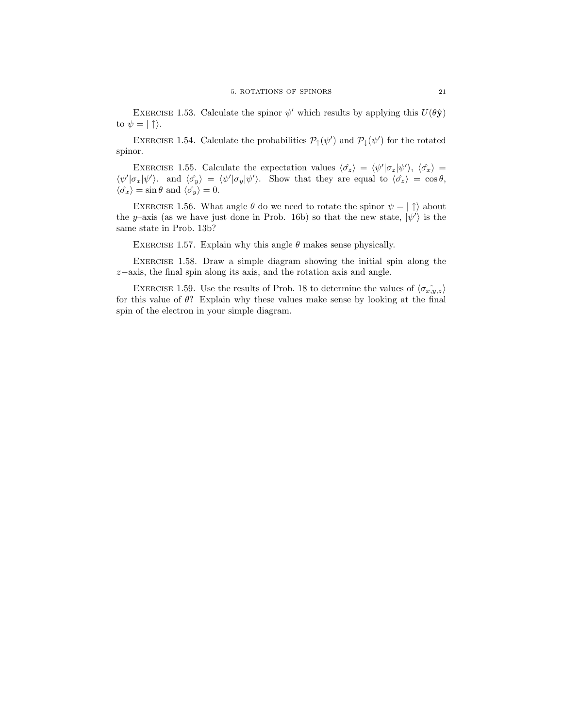EXERCISE 1.53. Calculate the spinor  $\psi'$  which results by applying this  $U(\theta \hat{\mathbf{y}})$ to  $\psi = | \uparrow \rangle$ .

EXERCISE 1.54. Calculate the probabilities  $\mathcal{P}_{\uparrow}(\psi')$  and  $\mathcal{P}_{\downarrow}(\psi')$  for the rotated spinor.

EXERCISE 1.55. Calculate the expectation values  $\langle \hat{\sigma_z} \rangle = \langle \psi' | \sigma_z | \psi' \rangle$ ,  $\langle \hat{\sigma_x} \rangle =$  $\langle \psi' | \sigma_x | \psi' \rangle$ , and  $\langle \hat{\sigma_y} \rangle = \langle \psi' | \sigma_y | \psi' \rangle$ . Show that they are equal to  $\langle \hat{\sigma_z} \rangle = \cos \theta$ ,  $\langle \hat{\sigma_x} \rangle = \sin \theta$  and  $\langle \hat{\sigma_y} \rangle = 0$ .

EXERCISE 1.56. What angle  $\theta$  do we need to rotate the spinor  $\psi = |\uparrow\rangle$  about the y-axis (as we have just done in Prob. 16b) so that the new state,  $|\psi'\rangle$  is the same state in Prob. 13b?

EXERCISE 1.57. Explain why this angle  $\theta$  makes sense physically.

Exercise 1.58. Draw a simple diagram showing the initial spin along the z−axis, the final spin along its axis, and the rotation axis and angle.

EXERCISE 1.59. Use the results of Prob. 18 to determine the values of  $\langle \hat{\sigma}_{x,y,z} \rangle$ for this value of  $\theta$ ? Explain why these values make sense by looking at the final spin of the electron in your simple diagram.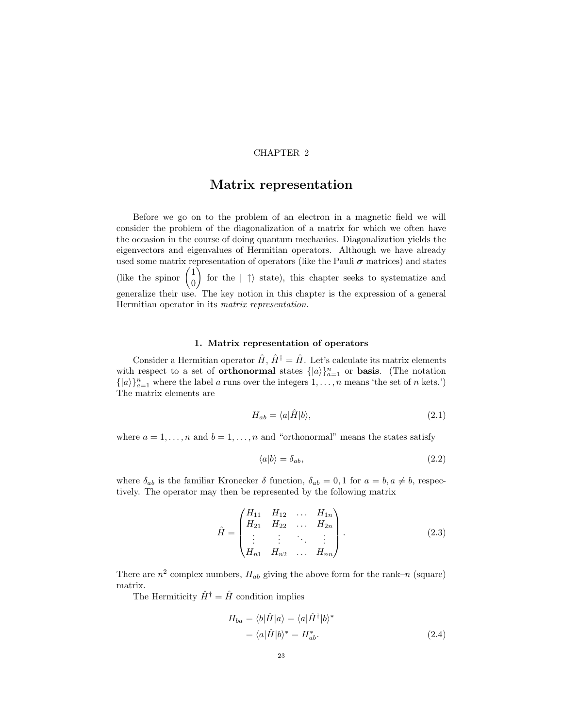## CHAPTER 2

# Matrix representation

Before we go on to the problem of an electron in a magnetic field we will consider the problem of the diagonalization of a matrix for which we often have the occasion in the course of doing quantum mechanics. Diagonalization yields the eigenvectors and eigenvalues of Hermitian operators. Although we have already used some matrix representation of operators (like the Pauli  $\sigma$  matrices) and states (like the spinor 1 0 for the  $|\uparrow\rangle$  state), this chapter seeks to systematize and generalize their use. The key notion in this chapter is the expression of a general Hermitian operator in its *matrix representation*.

# 1. Matrix representation of operators

Consider a Hermitian operator  $\hat{H}$ ,  $\hat{H}^{\dagger} = \hat{H}$ . Let's calculate its matrix elements with respect to a set of **orthonormal** states  $\{|a\rangle\}_{a=1}^n$  or **basis**. (The notation  $\{|a\rangle\}_{a=1}^n$  where the label a runs over the integers  $1, \ldots, n$  means 'the set of n kets.') The matrix elements are

$$
H_{ab} = \langle a|\hat{H}|b\rangle, \tag{2.1}
$$

where  $a = 1, \ldots, n$  and  $b = 1, \ldots, n$  and "orthonormal" means the states satisfy

$$
\langle a|b\rangle = \delta_{ab},\tag{2.2}
$$

where  $\delta_{ab}$  is the familiar Kronecker  $\delta$  function,  $\delta_{ab} = 0, 1$  for  $a = b, a \neq b$ , respectively. The operator may then be represented by the following matrix

$$
\hat{H} = \begin{pmatrix} H_{11} & H_{12} & \dots & H_{1n} \\ H_{21} & H_{22} & \dots & H_{2n} \\ \vdots & \vdots & \ddots & \vdots \\ H_{n1} & H_{n2} & \dots & H_{nn} \end{pmatrix}.
$$
\n(2.3)

There are  $n^2$  complex numbers,  $H_{ab}$  giving the above form for the rank–n (square) matrix.

The Hermiticity  $\hat{H}^{\dagger} = \hat{H}$  condition implies

$$
H_{ba} = \langle b|\hat{H}|a\rangle = \langle a|\hat{H}^{\dagger}|b\rangle^*
$$
  
=  $\langle a|\hat{H}|b\rangle^* = H_{ab}^*.$  (2.4)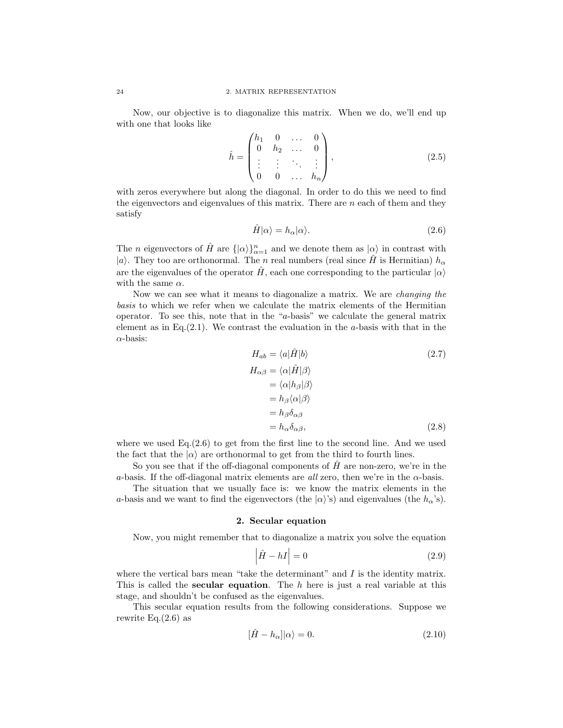Now, our objective is to diagonalize this matrix. When we do, we'll end up with one that looks like

$$
\hat{h} = \begin{pmatrix} h_1 & 0 & \dots & 0 \\ 0 & h_2 & \dots & 0 \\ \vdots & \vdots & \ddots & \vdots \\ 0 & 0 & \dots & h_n \end{pmatrix},
$$
\n(2.5)

with zeros everywhere but along the diagonal. In order to do this we need to find the eigenvectors and eigenvalues of this matrix. There are  $n$  each of them and they satisfy

$$
\hat{H}|\alpha\rangle = h_{\alpha}|\alpha\rangle.
$$
 (2.6)

The *n* eigenvectors of  $\hat{H}$  are  $\{|\alpha\rangle\}_{\alpha=1}^n$  and we denote them as  $|\alpha\rangle$  in contrast with |a). They too are orthonormal. The n real numbers (real since  $\hat{H}$  is Hermitian)  $h_{\alpha}$ are the eigenvalues of the operator  $\hat{H}$ , each one corresponding to the particular  $|\alpha\rangle$ with the same  $\alpha$ .

Now we can see what it means to diagonalize a matrix. We are *changing the basis* to which we refer when we calculate the matrix elements of the Hermitian operator. To see this, note that in the "a-basis" we calculate the general matrix element as in Eq. $(2.1)$ . We contrast the evaluation in the a-basis with that in the  $\alpha$ -basis:

$$
H_{ab} = \langle a|\hat{H}|b\rangle \tag{2.7}
$$

$$
H_{\alpha\beta} = \langle \alpha | \hat{H} | \beta \rangle
$$
  
=  $\langle \alpha | h_{\beta} | \beta \rangle$   
=  $h_{\beta} \langle \alpha | \beta \rangle$   
=  $h_{\beta} \delta_{\alpha\beta}$   
=  $h_{\alpha} \delta_{\alpha\beta}$ , (2.8)

where we used  $Eq.(2.6)$  to get from the first line to the second line. And we used the fact that the  $|\alpha\rangle$  are orthonormal to get from the third to fourth lines.

So you see that if the off-diagonal components of  $H$  are non-zero, we're in the a-basis. If the off-diagonal matrix elements are *all* zero, then we're in the  $\alpha$ -basis.

The situation that we usually face is: we know the matrix elements in the a-basis and we want to find the eigenvectors (the  $|\alpha\rangle$ 's) and eigenvalues (the  $h_{\alpha}$ 's).

# 2. Secular equation

Now, you might remember that to diagonalize a matrix you solve the equation

$$
\left|\hat{H} - hI\right| = 0\tag{2.9}
$$

where the vertical bars mean "take the determinant" and  $I$  is the identity matrix. This is called the **secular equation**. The  $h$  here is just a real variable at this stage, and shouldn't be confused as the eigenvalues.

This secular equation results from the following considerations. Suppose we rewrite  $Eq.(2.6)$  as

$$
[\hat{H} - h_{\alpha}]|\alpha\rangle = 0.
$$
\n(2.10)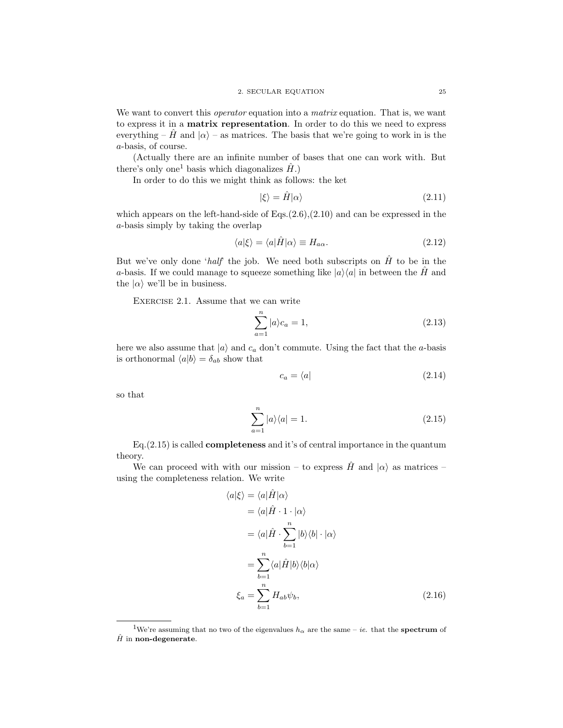We want to convert this *operator* equation into a *matrix* equation. That is, we want to express it in a matrix representation. In order to do this we need to express everything – H and  $|\alpha\rangle$  – as matrices. The basis that we're going to work in is the a-basis, of course.

(Actually there are an infinite number of bases that one can work with. But there's only one<sup>1</sup> basis which diagonalizes  $\hat{H}$ .)

In order to do this we might think as follows: the ket

$$
|\xi\rangle = \hat{H}|\alpha\rangle \tag{2.11}
$$

which appears on the left-hand-side of  $Eqs. (2.6)$ , $(2.10)$  and can be expressed in the a-basis simply by taking the overlap

$$
\langle a|\xi\rangle = \langle a|\hat{H}|\alpha\rangle \equiv H_{a\alpha}.
$$
\n(2.12)

But we've only done '*half*' the job. We need both subscripts on  $\hat{H}$  to be in the a-basis. If we could manage to squeeze something like  $|a\rangle\langle a|$  in between the  $\hat{H}$  and the  $|\alpha\rangle$  we'll be in business.

EXERCISE 2.1. Assume that we can write

$$
\sum_{a=1}^{n} |a\rangle c_a = 1,\tag{2.13}
$$

here we also assume that  $|a\rangle$  and  $c_a$  don't commute. Using the fact that the a-basis is orthonormal  $\langle a|b \rangle = \delta_{ab}$  show that

$$
c_a = \langle a | \tag{2.14}
$$

so that

$$
\sum_{a=1}^{n} |a\rangle\langle a| = 1.
$$
\n(2.15)

Eq.(2.15) is called completeness and it's of central importance in the quantum theory.

We can proceed with with our mission – to express  $\hat{H}$  and  $|\alpha\rangle$  as matrices – using the completeness relation. We write

$$
\langle a|\xi \rangle = \langle a|\hat{H}|\alpha \rangle
$$
  
\n
$$
= \langle a|\hat{H} \cdot 1 \cdot |\alpha \rangle
$$
  
\n
$$
= \langle a|\hat{H} \cdot \sum_{b=1}^{n} |b\rangle \langle b| \cdot |\alpha \rangle
$$
  
\n
$$
= \sum_{b=1}^{n} \langle a|\hat{H}|b\rangle \langle b|\alpha \rangle
$$
  
\n
$$
\xi_a = \sum_{b=1}^{n} H_{ab} \psi_b,
$$
 (2.16)

<sup>&</sup>lt;sup>1</sup>We're assuming that no two of the eigenvalues  $h_{\alpha}$  are the same – ie. that the **spectrum** of  $\hat{H}$  in non-degenerate.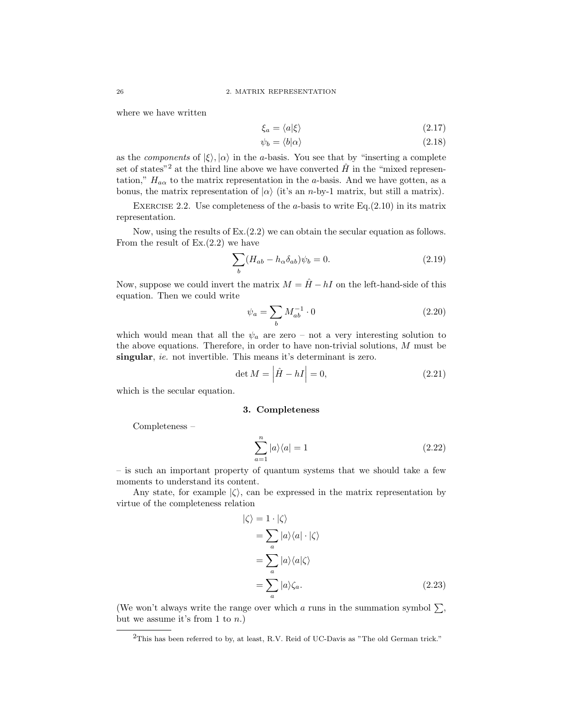where we have written

$$
\xi_a = \langle a|\xi\rangle \tag{2.17}
$$

$$
\psi_b = \langle b | \alpha \rangle \tag{2.18}
$$

as the *components* of  $|\xi\rangle$ ,  $|\alpha\rangle$  in the *a*-basis. You see that by "inserting a complete set of states<sup>"2</sup> at the third line above we have converted  $\hat{H}$  in the "mixed representation,"  $H_{a\alpha}$  to the matrix representation in the a-basis. And we have gotten, as a bonus, the matrix representation of  $|\alpha\rangle$  (it's an n-by-1 matrix, but still a matrix).

EXERCISE 2.2. Use completeness of the  $a$ -basis to write Eq.(2.10) in its matrix representation.

Now, using the results of Ex.(2.2) we can obtain the secular equation as follows. From the result of  $Ex.(2.2)$  we have

$$
\sum_{b} (H_{ab} - h_{\alpha} \delta_{ab}) \psi_b = 0.
$$
\n(2.19)

Now, suppose we could invert the matrix  $M = \hat{H} - hI$  on the left-hand-side of this equation. Then we could write

$$
\psi_a = \sum_b M_{ab}^{-1} \cdot 0 \tag{2.20}
$$

which would mean that all the  $\psi_a$  are zero – not a very interesting solution to the above equations. Therefore, in order to have non-trivial solutions,  $M$  must be singular, *ie.* not invertible. This means it's determinant is zero.

$$
\det M = |\hat{H} - hI| = 0,\t(2.21)
$$

which is the secular equation.

# 3. Completeness

Completeness –

$$
\sum_{a=1}^{n} |a\rangle\langle a| = 1\tag{2.22}
$$

– is such an important property of quantum systems that we should take a few moments to understand its content.

Any state, for example  $|\zeta\rangle$ , can be expressed in the matrix representation by virtue of the completeness relation

$$
\begin{aligned}\n|\zeta\rangle &= 1 \cdot |\zeta\rangle \\
&= \sum_{a} |a\rangle\langle a| \cdot |\zeta\rangle \\
&= \sum_{a} |a\rangle\langle a|\zeta\rangle \\
&= \sum_{a} |a\rangle\zeta_a.\n\end{aligned} \tag{2.23}
$$

(We won't always write the range over which a runs in the summation symbol  $\Sigma$ , but we assume it's from 1 to  $n$ .)

<sup>&</sup>lt;sup>2</sup>This has been referred to by, at least, R.V. Reid of UC-Davis as "The old German trick."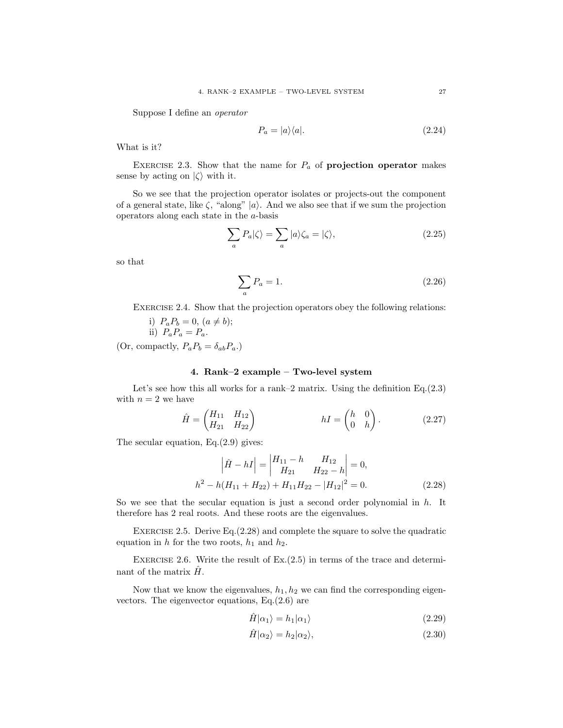Suppose I define an *operator*

$$
P_a = |a\rangle\langle a|.\tag{2.24}
$$

What is it?

EXERCISE 2.3. Show that the name for  $P_a$  of **projection operator** makes sense by acting on  $|\zeta\rangle$  with it.

So we see that the projection operator isolates or projects-out the component of a general state, like  $\zeta$ , "along" |a). And we also see that if we sum the projection operators along each state in the a-basis

$$
\sum_{a} P_a|\zeta\rangle = \sum_{a} |a\rangle \zeta_a = |\zeta\rangle,\tag{2.25}
$$

so that

$$
\sum_{a} P_a = 1. \tag{2.26}
$$

EXERCISE 2.4. Show that the projection operators obey the following relations:

i) 
$$
P_a P_b = 0, (a \neq b);
$$
  
ii)  $P_a P_a = P_a.$ 

(Or, compactly,  $P_a P_b = \delta_{ab} P_a$ .)

## 4. Rank–2 example – Two-level system

Let's see how this all works for a rank–2 matrix. Using the definition  $Eq.(2.3)$ with  $n = 2$  we have

$$
\hat{H} = \begin{pmatrix} H_{11} & H_{12} \\ H_{21} & H_{22} \end{pmatrix} \qquad \qquad hI = \begin{pmatrix} h & 0 \\ 0 & h \end{pmatrix}.
$$
 (2.27)

The secular equation,  $Eq.(2.9)$  gives:

$$
\left| \hat{H} - hI \right| = \begin{vmatrix} H_{11} - h & H_{12} \\ H_{21} & H_{22} - h \end{vmatrix} = 0,
$$
  

$$
h^2 - h(H_{11} + H_{22}) + H_{11}H_{22} - |H_{12}|^2 = 0.
$$
 (2.28)

So we see that the secular equation is just a second order polynomial in  $h$ . It therefore has 2 real roots. And these roots are the eigenvalues.

EXERCISE 2.5. Derive Eq. $(2.28)$  and complete the square to solve the quadratic equation in h for the two roots,  $h_1$  and  $h_2$ .

EXERCISE 2.6. Write the result of  $Ex.(2.5)$  in terms of the trace and determinant of the matrix  $H$ .

Now that we know the eigenvalues,  $h_1, h_2$  we can find the corresponding eigenvectors. The eigenvector equations, Eq.(2.6) are

$$
\hat{H}|\alpha_1\rangle = h_1|\alpha_1\rangle \tag{2.29}
$$

$$
\hat{H}|\alpha_2\rangle = h_2|\alpha_2\rangle,\tag{2.30}
$$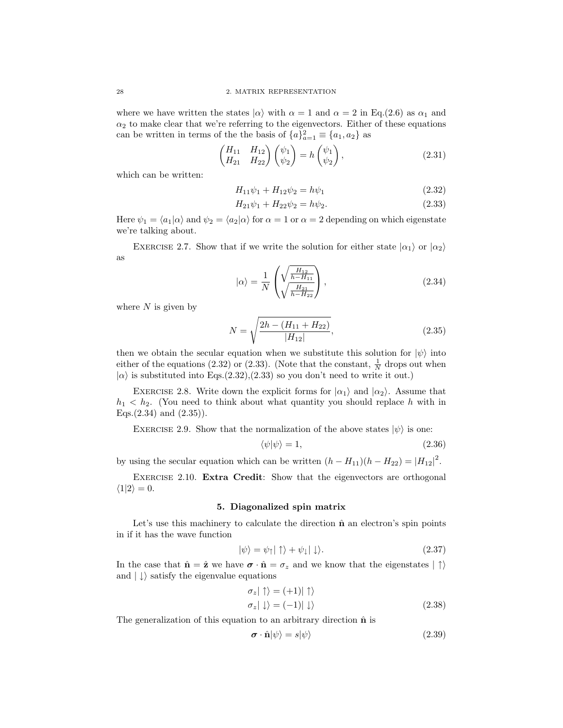where we have written the states  $|\alpha\rangle$  with  $\alpha = 1$  and  $\alpha = 2$  in Eq.(2.6) as  $\alpha_1$  and  $\alpha_2$  to make clear that we're referring to the eigenvectors. Either of these equations can be written in terms of the the basis of  ${a}^2_{a=1} \equiv {a_1, a_2}$  as

$$
\begin{pmatrix} H_{11} & H_{12} \\ H_{21} & H_{22} \end{pmatrix} \begin{pmatrix} \psi_1 \\ \psi_2 \end{pmatrix} = h \begin{pmatrix} \psi_1 \\ \psi_2 \end{pmatrix},
$$
\n(2.31)

which can be written:

$$
H_{11}\psi_1 + H_{12}\psi_2 = h\psi_1 \tag{2.32}
$$

$$
H_{21}\psi_1 + H_{22}\psi_2 = h\psi_2.
$$
\n(2.33)

Here  $\psi_1 = \langle a_1 | \alpha \rangle$  and  $\psi_2 = \langle a_2 | \alpha \rangle$  for  $\alpha = 1$  or  $\alpha = 2$  depending on which eigenstate we're talking about.

EXERCISE 2.7. Show that if we write the solution for either state  $|\alpha_1\rangle$  or  $|\alpha_2\rangle$ as

$$
|\alpha\rangle = \frac{1}{N} \left( \sqrt{\frac{H_{12}}{h - H_{11}}} \right),
$$
\n(2.34)

where  $N$  is given by

$$
N = \sqrt{\frac{2h - (H_{11} + H_{22})}{|H_{12}|}},
$$
\n(2.35)

then we obtain the secular equation when we substitute this solution for  $|\psi\rangle$  into either of the equations (2.32) or (2.33). (Note that the constant,  $\frac{1}{N}$  drops out when  $|\alpha\rangle$  is substituted into Eqs.(2.32),(2.33) so you don't need to write it out.)

EXERCISE 2.8. Write down the explicit forms for  $|\alpha_1\rangle$  and  $|\alpha_2\rangle$ . Assume that  $h_1 < h_2$ . (You need to think about what quantity you should replace h with in Eqs. $(2.34)$  and  $(2.35)$ .

EXERCISE 2.9. Show that the normalization of the above states  $|\psi\rangle$  is one:

$$
\langle \psi | \psi \rangle = 1,\tag{2.36}
$$

by using the secular equation which can be written  $(h - H_{11})(h - H_{22}) = |H_{12}|^2$ .

EXERCISE 2.10. **Extra Credit:** Show that the eigenvectors are orthogonal  $\langle 1|2 \rangle = 0.$ 

### 5. Diagonalized spin matrix

Let's use this machinery to calculate the direction  $\hat{\mathbf{n}}$  an electron's spin points in if it has the wave function

$$
|\psi\rangle = \psi_{\uparrow}|\uparrow\rangle + \psi_{\downarrow}|\downarrow\rangle. \tag{2.37}
$$

In the case that  $\hat{\mathbf{n}} = \hat{\mathbf{z}}$  we have  $\boldsymbol{\sigma} \cdot \hat{\mathbf{n}} = \sigma_z$  and we know that the eigenstates  $|\uparrow\rangle$ and  $|\downarrow\rangle$  satisfy the eigenvalue equations

$$
\sigma_z |\uparrow\rangle = (+1)| \uparrow\rangle \n\sigma_z |\downarrow\rangle = (-1)| \downarrow\rangle
$$
\n(2.38)

The generalization of this equation to an arbitrary direction  $\hat{\mathbf{n}}$  is

$$
\boldsymbol{\sigma} \cdot \hat{\mathbf{n}} |\psi\rangle = s |\psi\rangle \tag{2.39}
$$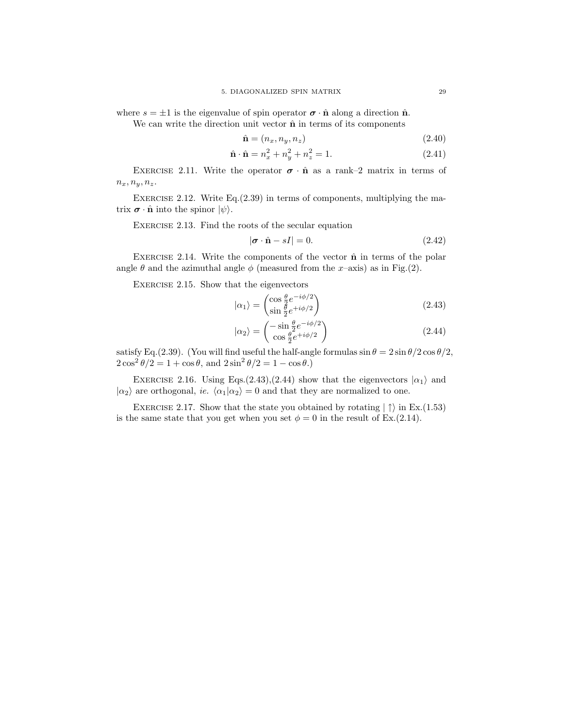where  $s = \pm 1$  is the eigenvalue of spin operator  $\sigma \cdot \hat{\mathbf{n}}$  along a direction  $\hat{\mathbf{n}}$ .

We can write the direction unit vector  $\hat{\mathbf{n}}$  in terms of its components

$$
\hat{\mathbf{n}} = (n_x, n_y, n_z) \tag{2.40}
$$

$$
\hat{\mathbf{n}} \cdot \hat{\mathbf{n}} = n_x^2 + n_y^2 + n_z^2 = 1. \tag{2.41}
$$

EXERCISE 2.11. Write the operator  $\sigma \cdot \hat{\mathbf{n}}$  as a rank–2 matrix in terms of  $n_x, n_y, n_z.$ 

EXERCISE 2.12. Write Eq. $(2.39)$  in terms of components, multiplying the matrix  $\boldsymbol{\sigma} \cdot \hat{\mathbf{n}}$  into the spinor  $|\psi\rangle$ .

EXERCISE 2.13. Find the roots of the secular equation

$$
|\boldsymbol{\sigma} \cdot \hat{\mathbf{n}} - sI| = 0. \tag{2.42}
$$

EXERCISE 2.14. Write the components of the vector  $\hat{\mathbf{n}}$  in terms of the polar angle  $\theta$  and the azimuthal angle  $\phi$  (measured from the x-axis) as in Fig.(2).

Exercise 2.15. Show that the eigenvectors

$$
|\alpha_1\rangle = \begin{pmatrix} \cos\frac{\theta}{2}e^{-i\phi/2} \\ \sin\frac{\theta}{2}e^{+i\phi/2} \end{pmatrix}
$$
 (2.43)

$$
|\alpha_2\rangle = \begin{pmatrix} -\sin\frac{\theta}{2}e^{-i\phi/2} \\ \cos\frac{\theta}{2}e^{+i\phi/2} \end{pmatrix}
$$
 (2.44)

satisfy Eq.(2.39). (You will find useful the half-angle formulas  $\sin \theta = 2 \sin \theta / 2 \cos \theta / 2$ ,  $2\cos^2{\theta/2} = 1 + \cos{\theta}$ , and  $2\sin^2{\theta/2} = 1 - \cos{\theta}$ .

EXERCISE 2.16. Using Eqs. $(2.43),(2.44)$  show that the eigenvectors  $|\alpha_1\rangle$  and  $|\alpha_2\rangle$  are orthogonal, *ie.*  $\langle \alpha_1 | \alpha_2 \rangle = 0$  and that they are normalized to one.

EXERCISE 2.17. Show that the state you obtained by rotating  $|\uparrow\rangle$  in Ex.(1.53) is the same state that you get when you set  $\phi = 0$  in the result of Ex.(2.14).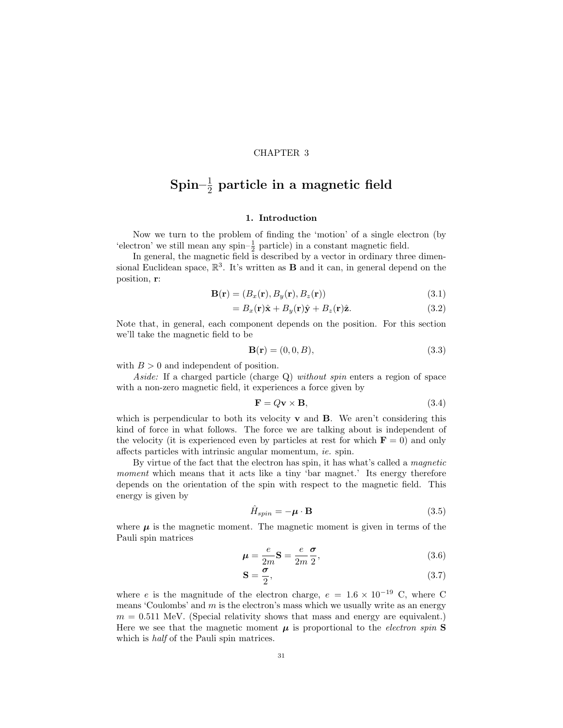## CHAPTER 3

# $\mathrm{Spin-}\frac{1}{2}$  particle in a magnetic field

## 1. Introduction

Now we turn to the problem of finding the 'motion' of a single electron (by 'electron' we still mean any spin- $\frac{1}{2}$  particle) in a constant magnetic field.

In general, the magnetic field is described by a vector in ordinary three dimensional Euclidean space,  $\mathbb{R}^3$ . It's written as **B** and it can, in general depend on the position, r:

$$
\mathbf{B}(\mathbf{r}) = (B_x(\mathbf{r}), B_y(\mathbf{r}), B_z(\mathbf{r})) \tag{3.1}
$$

$$
=B_x(\mathbf{r})\hat{\mathbf{x}}+B_y(\mathbf{r})\hat{\mathbf{y}}+B_z(\mathbf{r})\hat{\mathbf{z}}.
$$
\n(3.2)

Note that, in general, each component depends on the position. For this section we'll take the magnetic field to be

$$
\mathbf{B}(\mathbf{r}) = (0, 0, B),\tag{3.3}
$$

with  $B > 0$  and independent of position.

*Aside:* If a charged particle (charge Q) *without spin* enters a region of space with a non-zero magnetic field, it experiences a force given by

$$
\mathbf{F} = Q\mathbf{v} \times \mathbf{B},\tag{3.4}
$$

which is perpendicular to both its velocity  $\bf{v}$  and  $\bf{B}$ . We aren't considering this kind of force in what follows. The force we are talking about is independent of the velocity (it is experienced even by particles at rest for which  $\mathbf{F} = 0$ ) and only affects particles with intrinsic angular momentum, *ie.* spin.

By virtue of the fact that the electron has spin, it has what's called a *magnetic moment* which means that it acts like a tiny 'bar magnet.' Its energy therefore depends on the orientation of the spin with respect to the magnetic field. This energy is given by

$$
\hat{H}_{spin} = -\mu \cdot \mathbf{B} \tag{3.5}
$$

where  $\mu$  is the magnetic moment. The magnetic moment is given in terms of the Pauli spin matrices

$$
\mu = \frac{e}{2m} \mathbf{S} = \frac{e}{2m} \frac{\sigma}{2},\tag{3.6}
$$

$$
\mathbf{S} = \frac{\boldsymbol{\sigma}}{2},\tag{3.7}
$$

where e is the magnitude of the electron charge,  $e = 1.6 \times 10^{-19}$  C, where C means 'Coulombs' and  $m$  is the electron's mass which we usually write as an energy  $m = 0.511$  MeV. (Special relativity shows that mass and energy are equivalent.) Here we see that the magnetic moment  $\mu$  is proportional to the *electron spin*  $S$ which is *half* of the Pauli spin matrices.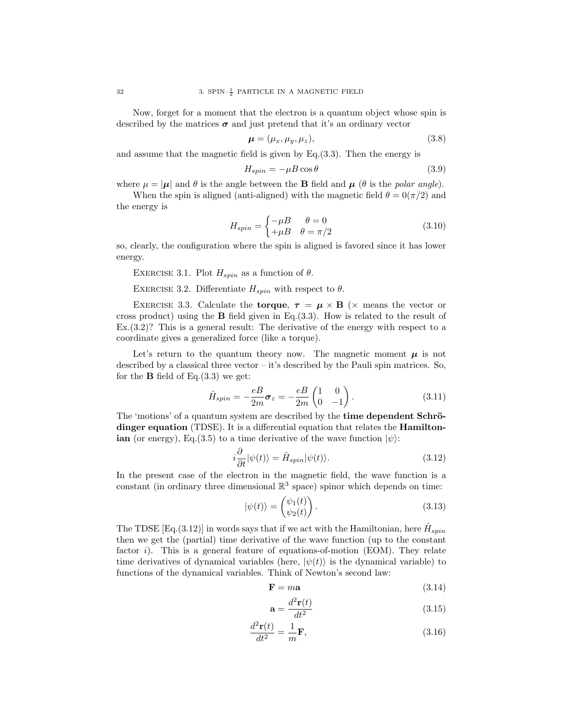Now, forget for a moment that the electron is a quantum object whose spin is described by the matrices  $\sigma$  and just pretend that it's an ordinary vector

$$
\boldsymbol{\mu} = (\mu_x, \mu_y, \mu_z), \tag{3.8}
$$

and assume that the magnetic field is given by Eq.(3.3). Then the energy is

$$
H_{spin} = -\mu \cos \theta \tag{3.9}
$$

where  $\mu = |\mu|$  and  $\theta$  is the angle between the **B** field and  $\mu$  ( $\theta$  is the *polar angle*).

When the spin is aligned (anti-aligned) with the magnetic field  $\theta = 0(\pi/2)$  and the energy is

$$
H_{spin} = \begin{cases} -\mu B & \theta = 0\\ +\mu B & \theta = \pi/2 \end{cases}
$$
 (3.10)

so, clearly, the configuration where the spin is aligned is favored since it has lower energy.

EXERCISE 3.1. Plot  $H_{spin}$  as a function of  $\theta$ .

EXERCISE 3.2. Differentiate  $H_{spin}$  with respect to  $\theta$ .

EXERCISE 3.3. Calculate the torque,  $\tau = \mu \times B$  ( $\times$  means the vector or cross product) using the B field given in Eq.(3.3). How is related to the result of Ex.(3.2)? This is a general result: The derivative of the energy with respect to a coordinate gives a generalized force (like a torque).

Let's return to the quantum theory now. The magnetic moment  $\mu$  is not described by a classical three vector – it's described by the Pauli spin matrices. So, for the  $\bf{B}$  field of Eq.(3.3) we get:

$$
\hat{H}_{spin} = -\frac{eB}{2m}\sigma_z = -\frac{eB}{2m} \begin{pmatrix} 1 & 0\\ 0 & -1 \end{pmatrix}.
$$
\n(3.11)

The 'motions' of a quantum system are described by the **time dependent Schrö**dinger equation (TDSE). It is a differential equation that relates the Hamiltonian (or energy), Eq.(3.5) to a time derivative of the wave function  $|\psi\rangle$ :

$$
i\frac{\partial}{\partial t}|\psi(t)\rangle = \hat{H}_{spin}|\psi(t)\rangle.
$$
\n(3.12)

In the present case of the electron in the magnetic field, the wave function is a constant (in ordinary three dimensional  $\mathbb{R}^3$  space) spinor which depends on time:

$$
|\psi(t)\rangle = \begin{pmatrix} \psi_1(t) \\ \psi_2(t) \end{pmatrix} . \tag{3.13}
$$

The TDSE [Eq.(3.12)] in words says that if we act with the Hamiltonian, here  $\hat{H}_{spin}$ then we get the (partial) time derivative of the wave function (up to the constant factor i). This is a general feature of equations-of-motion (EOM). They relate time derivatives of dynamical variables (here,  $|\psi(t)\rangle$  is the dynamical variable) to functions of the dynamical variables. Think of Newton's second law:

$$
\mathbf{F} = m\mathbf{a} \tag{3.14}
$$

$$
\mathbf{a} = \frac{d^2 \mathbf{r}(t)}{dt^2} \tag{3.15}
$$

$$
\frac{d^2 \mathbf{r}(t)}{dt^2} = \frac{1}{m} \mathbf{F},\tag{3.16}
$$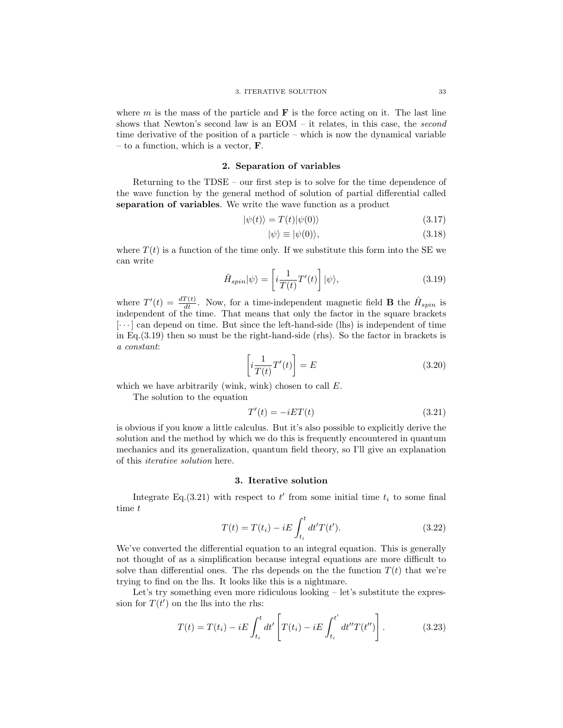where  $m$  is the mass of the particle and  $\bf{F}$  is the force acting on it. The last line shows that Newton's second law is an EOM – it relates, in this case, the *second* time derivative of the position of a particle – which is now the dynamical variable – to a function, which is a vector,  $\bf{F}$ .

# 2. Separation of variables

Returning to the TDSE – our first step is to solve for the time dependence of the wave function by the general method of solution of partial differential called separation of variables. We write the wave function as a product

$$
|\psi(t)\rangle = T(t)|\psi(0)\rangle \tag{3.17}
$$

$$
|\psi\rangle \equiv |\psi(0)\rangle,\tag{3.18}
$$

where  $T(t)$  is a function of the time only. If we substitute this form into the SE we can write

$$
\hat{H}_{spin}|\psi\rangle = \left[i\frac{1}{T(t)}T'(t)\right]|\psi\rangle,\tag{3.19}
$$

where  $T'(t) = \frac{dT(t)}{dt}$ . Now, for a time-independent magnetic field **B** the  $\hat{H}_{spin}$  is independent of the time. That means that only the factor in the square brackets  $[\cdots]$  can depend on time. But since the left-hand-side (lhs) is independent of time in Eq.(3.19) then so must be the right-hand-side (rhs). So the factor in brackets is *a constant*:

$$
\left[i\frac{1}{T(t)}T'(t)\right] = E\tag{3.20}
$$

which we have arbitrarily (wink, wink) chosen to call E.

The solution to the equation

$$
T'(t) = -iET(t) \tag{3.21}
$$

is obvious if you know a little calculus. But it's also possible to explicitly derive the solution and the method by which we do this is frequently encountered in quantum mechanics and its generalization, quantum field theory, so I'll give an explanation of this *iterative solution* here.

### 3. Iterative solution

Integrate Eq.(3.21) with respect to  $t'$  from some initial time  $t_i$  to some final time t

$$
T(t) = T(t_i) - iE \int_{t_i}^{t} dt' T(t').
$$
\n(3.22)

We've converted the differential equation to an integral equation. This is generally not thought of as a simplification because integral equations are more difficult to solve than differential ones. The rhs depends on the the function  $T(t)$  that we're trying to find on the lhs. It looks like this is a nightmare.

Let's try something even more ridiculous looking – let's substitute the expression for  $T(t')$  on the lhs into the rhs:

$$
T(t) = T(t_i) - iE \int_{t_i}^t dt' \left[ T(t_i) - iE \int_{t_i}^{t'} dt'' T(t'') \right].
$$
 (3.23)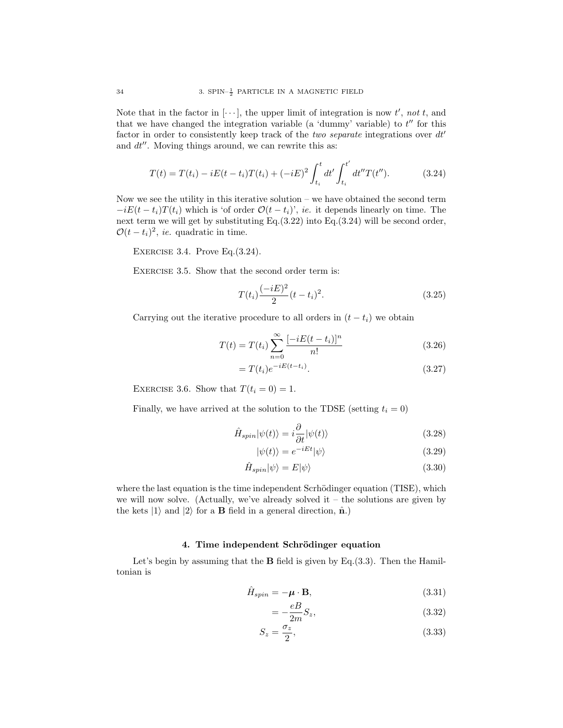Note that in the factor in  $[\cdots]$ , the upper limit of integration is now  $t'$ , not t, and that we have changed the integration variable (a 'dummy' variable) to  $t''$  for this factor in order to consistently keep track of the *two separate* integrations over  $dt'$ and  $dt''$ . Moving things around, we can rewrite this as:

$$
T(t) = T(t_i) - iE(t - t_i)T(t_i) + (-iE)^2 \int_{t_i}^t dt' \int_{t_i}^{t'} dt'' T(t'').
$$
 (3.24)

Now we see the utility in this iterative solution – we have obtained the second term  $-iE(t - t_i)T(t_i)$  which is 'of order  $\mathcal{O}(t - t_i)$ ', *ie.* it depends linearly on time. The next term we will get by substituting Eq.(3.22) into Eq.(3.24) will be second order,  $\mathcal{O}(t-t_i)^2$ , *ie.* quadratic in time.

EXERCISE 3.4. Prove Eq. $(3.24)$ .

EXERCISE 3.5. Show that the second order term is:

$$
T(t_i)\frac{(-iE)^2}{2}(t-t_i)^2.
$$
\n(3.25)

Carrying out the iterative procedure to all orders in  $(t - t_i)$  we obtain

$$
T(t) = T(t_i) \sum_{n=0}^{\infty} \frac{[-iE(t - t_i)]^n}{n!}
$$
\n(3.26)

$$
=T(t_i)e^{-iE(t-t_i)}.\tag{3.27}
$$

EXERCISE 3.6. Show that  $T(t_i = 0) = 1$ .

Finally, we have arrived at the solution to the TDSE (setting  $t_i = 0$ )

$$
\hat{H}_{spin}|\psi(t)\rangle = i\frac{\partial}{\partial t}|\psi(t)\rangle
$$
\n(3.28)

$$
|\psi(t)\rangle = e^{-iEt}|\psi\rangle \tag{3.29}
$$

$$
\hat{H}_{spin}|\psi\rangle = E|\psi\rangle \tag{3.30}
$$

where the last equation is the time independent Scrhödinger equation (TISE), which we will now solve. (Actually, we've already solved it – the solutions are given by the kets  $|1\rangle$  and  $|2\rangle$  for a **B** field in a general direction,  $\hat{\mathbf{n}}$ .)

## 4. Time independent Schrödinger equation

Let's begin by assuming that the  $B$  field is given by Eq.(3.3). Then the Hamiltonian is

$$
\hat{H}_{spin} = -\mu \cdot \mathbf{B},\tag{3.31}
$$

$$
=-\frac{eB}{2m}S_z,\t\t(3.32)
$$

$$
S_z = \frac{\sigma_z}{2},\tag{3.33}
$$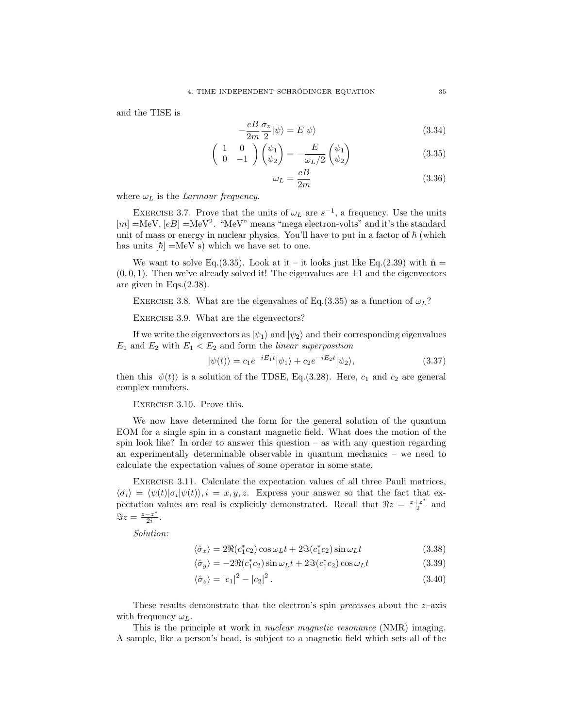and the TISE is

$$
-\frac{eB}{2m}\frac{\sigma_z}{2}|\psi\rangle = E|\psi\rangle \tag{3.34}
$$

$$
\begin{pmatrix} 1 & 0 \ 0 & -1 \end{pmatrix} \begin{pmatrix} \psi_1 \\ \psi_2 \end{pmatrix} = -\frac{E}{\omega_L/2} \begin{pmatrix} \psi_1 \\ \psi_2 \end{pmatrix}
$$
 (3.35)

$$
\omega_L = \frac{eB}{2m} \tag{3.36}
$$

where  $\omega_L$  is the *Larmour frequency*.

EXERCISE 3.7. Prove that the units of  $\omega_L$  are  $s^{-1}$ , a frequency. Use the units  $[m] = \text{MeV}, [eB] = \text{MeV}^2$ . "MeV" means "mega electron-volts" and it's the standard unit of mass or energy in nuclear physics. You'll have to put in a factor of  $\hbar$  (which has units  $[\hbar] = \text{MeV}$  s) which we have set to one.

We want to solve Eq.(3.35). Look at it – it looks just like Eq.(2.39) with  $\hat{\mathbf{n}} =$  $(0, 0, 1)$ . Then we've already solved it! The eigenvalues are  $\pm 1$  and the eigenvectors are given in Eqs.(2.38).

EXERCISE 3.8. What are the eigenvalues of Eq.(3.35) as a function of  $\omega_L$ ?

EXERCISE 3.9. What are the eigenvectors?

If we write the eigenvectors as  $|\psi_1\rangle$  and  $|\psi_2\rangle$  and their corresponding eigenvalues  $E_1$  and  $E_2$  with  $E_1 < E_2$  and form the *linear superposition* 

$$
|\psi(t)\rangle = c_1 e^{-iE_1 t} |\psi_1\rangle + c_2 e^{-iE_2 t} |\psi_2\rangle, \qquad (3.37)
$$

then this  $|\psi(t)\rangle$  is a solution of the TDSE, Eq.(3.28). Here,  $c_1$  and  $c_2$  are general complex numbers.

Exercise 3.10. Prove this.

We now have determined the form for the general solution of the quantum EOM for a single spin in a constant magnetic field. What does the motion of the spin look like? In order to answer this question – as with any question regarding an experimentally determinable observable in quantum mechanics – we need to calculate the expectation values of some operator in some state.

Exercise 3.11. Calculate the expectation values of all three Pauli matrices,  $\langle \hat{\sigma_i} \rangle = \langle \psi(t) | \sigma_i | \psi(t) \rangle, i = x, y, z.$  Express your answer so that the fact that expectation values are real is explicitly demonstrated. Recall that  $\Re z = \frac{z+z^*}{2}$  $\frac{z}{2}$  and  $\Im z = \frac{z-z^*}{2i}$  $\frac{-z}{2i}$ .

*Solution:*

$$
\langle \hat{\sigma}_x \rangle = 2\Re(c_1^* c_2) \cos \omega_L t + 2\Im(c_1^* c_2) \sin \omega_L t \tag{3.38}
$$

$$
\langle \hat{\sigma}_y \rangle = -2\Re(c_1^* c_2) \sin \omega_L t + 2\Im(c_1^* c_2) \cos \omega_L t \tag{3.39}
$$

$$
\langle \hat{\sigma}_z \rangle = |c_1|^2 - |c_2|^2. \tag{3.40}
$$

These results demonstrate that the electron's spin *precesses* about the z–axis with frequency  $\omega_L$ .

This is the principle at work in *nuclear magnetic resonance* (NMR) imaging. A sample, like a person's head, is subject to a magnetic field which sets all of the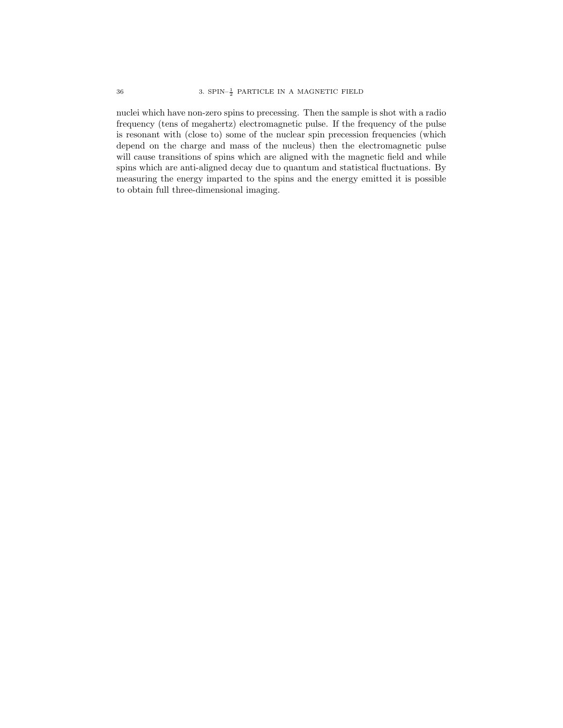nuclei which have non-zero spins to precessing. Then the sample is shot with a radio frequency (tens of megahertz) electromagnetic pulse. If the frequency of the pulse is resonant with (close to) some of the nuclear spin precession frequencies (which depend on the charge and mass of the nucleus) then the electromagnetic pulse will cause transitions of spins which are aligned with the magnetic field and while spins which are anti-aligned decay due to quantum and statistical fluctuations. By measuring the energy imparted to the spins and the energy emitted it is possible to obtain full three-dimensional imaging.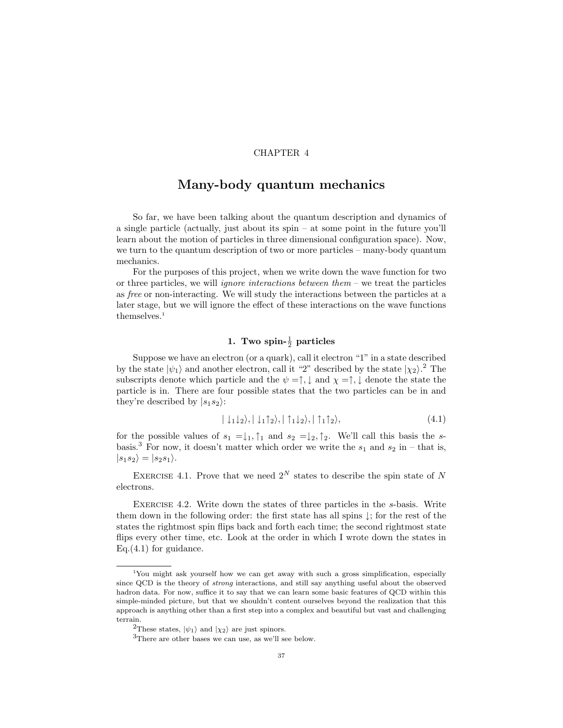# CHAPTER 4

# Many-body quantum mechanics

So far, we have been talking about the quantum description and dynamics of a single particle (actually, just about its spin – at some point in the future you'll learn about the motion of particles in three dimensional configuration space). Now, we turn to the quantum description of two or more particles – many-body quantum mechanics.

For the purposes of this project, when we write down the wave function for two or three particles, we will *ignore interactions between them* – we treat the particles as *free* or non-interacting. We will study the interactions between the particles at a later stage, but we will ignore the effect of these interactions on the wave functions themselves.<sup>1</sup>

# 1. Two spin- $\frac{1}{2}$  particles

Suppose we have an electron (or a quark), call it electron "1" in a state described by the state  $|\psi_1\rangle$  and another electron, call it "2" described by the state  $|\chi_2\rangle$ .<sup>2</sup> The subscripts denote which particle and the  $\psi = \uparrow, \downarrow$  and  $\chi = \uparrow, \downarrow$  denote the state the particle is in. There are four possible states that the two particles can be in and they're described by  $|s_1s_2\rangle$ :

$$
|\downarrow_1\downarrow_2\rangle, |\downarrow_1\uparrow_2\rangle, |\uparrow_1\downarrow_2\rangle, |\uparrow_1\uparrow_2\rangle, \tag{4.1}
$$

for the possible values of  $s_1 = \downarrow_1$ ,  $\uparrow_1$  and  $s_2 = \downarrow_2$ ,  $\uparrow_2$ . We'll call this basis the sbasis.<sup>3</sup> For now, it doesn't matter which order we write the  $s_1$  and  $s_2$  in – that is,  $|s_1s_2\rangle = |s_2s_1\rangle.$ 

EXERCISE 4.1. Prove that we need  $2^N$  states to describe the spin state of N electrons.

Exercise 4.2. Write down the states of three particles in the s-basis. Write them down in the following order: the first state has all spins ↓; for the rest of the states the rightmost spin flips back and forth each time; the second rightmost state flips every other time, etc. Look at the order in which I wrote down the states in Eq.(4.1) for guidance.

<sup>&</sup>lt;sup>1</sup>You might ask yourself how we can get away with such a gross simplification, especially since QCD is the theory of strong interactions, and still say anything useful about the observed hadron data. For now, suffice it to say that we can learn some basic features of QCD within this simple-minded picture, but that we shouldn't content ourselves beyond the realization that this approach is anything other than a first step into a complex and beautiful but vast and challenging terrain.

<sup>&</sup>lt;sup>2</sup>These states,  $|\psi_1\rangle$  and  $|\chi_2\rangle$  are just spinors.

<sup>3</sup>There are other bases we can use, as we'll see below.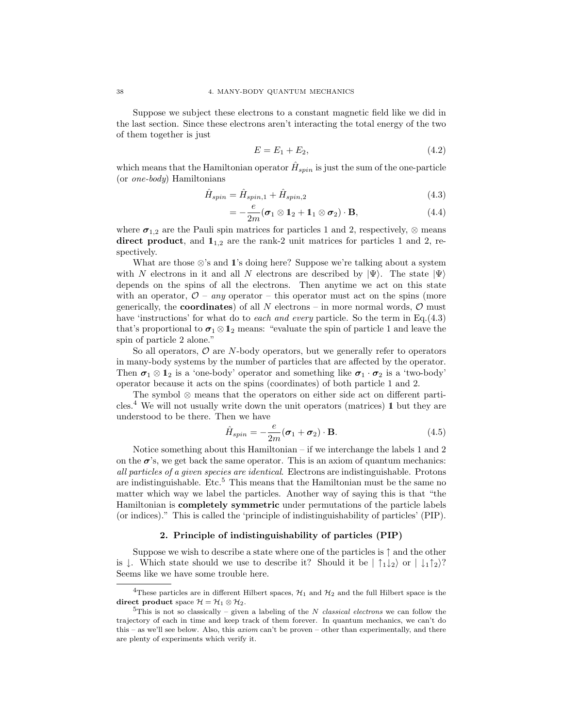Suppose we subject these electrons to a constant magnetic field like we did in the last section. Since these electrons aren't interacting the total energy of the two of them together is just

$$
E = E_1 + E_2, \t\t(4.2)
$$

which means that the Hamiltonian operator  $\hat{H}_{spin}$  is just the sum of the one-particle (or *one-body*) Hamiltonians

$$
\hat{H}_{spin} = \hat{H}_{spin,1} + \hat{H}_{spin,2} \tag{4.3}
$$

$$
=-\frac{e}{2m}(\boldsymbol{\sigma}_1\otimes \mathbf{1}_2+\mathbf{1}_1\otimes \boldsymbol{\sigma}_2)\cdot \mathbf{B},\qquad(4.4)
$$

where  $\sigma_{1,2}$  are the Pauli spin matrices for particles 1 and 2, respectively,  $\otimes$  means direct product, and  $1_{1,2}$  are the rank-2 unit matrices for particles 1 and 2, respectively.

What are those  $\otimes$ 's and 1's doing here? Suppose we're talking about a system with N electrons in it and all N electrons are described by  $|\Psi\rangle$ . The state  $|\Psi\rangle$ depends on the spins of all the electrons. Then anytime we act on this state with an operator,  $\mathcal{O}$  – *any* operator – this operator must act on the spins (more generically, the **coordinates**) of all N electrons – in more normal words,  $\mathcal{O}$  must have 'instructions' for what do to *each and every* particle. So the term in Eq.(4.3) that's proportional to  $\sigma_1 \otimes \mathbf{1}_2$  means: "evaluate the spin of particle 1 and leave the spin of particle 2 alone."

So all operators,  $\mathcal O$  are N-body operators, but we generally refer to operators in many-body systems by the number of particles that are affected by the operator. Then  $\sigma_1 \otimes 1_2$  is a 'one-body' operator and something like  $\sigma_1 \cdot \sigma_2$  is a 'two-body' operator because it acts on the spins (coordinates) of both particle 1 and 2.

The symbol ⊗ means that the operators on either side act on different parti- $\text{cles.}^4$  We will not usually write down the unit operators (matrices) 1 but they are understood to be there. Then we have

$$
\hat{H}_{spin} = -\frac{e}{2m}(\boldsymbol{\sigma}_1 + \boldsymbol{\sigma}_2) \cdot \mathbf{B}.
$$
\n(4.5)

Notice something about this Hamiltonian – if we interchange the labels 1 and 2 on the  $\sigma$ 's, we get back the same operator. This is an axiom of quantum mechanics: *all particles of a given species are identical*. Electrons are indistinguishable. Protons are indistinguishable. Etc.<sup>5</sup> This means that the Hamiltonian must be the same no matter which way we label the particles. Another way of saying this is that "the Hamiltonian is completely symmetric under permutations of the particle labels (or indices)." This is called the 'principle of indistinguishability of particles' (PIP).

## 2. Principle of indistinguishability of particles (PIP)

Suppose we wish to describe a state where one of the particles is  $\uparrow$  and the other is  $\downarrow$ . Which state should we use to describe it? Should it be  $|\uparrow_1\downarrow_2\rangle$  or  $|\downarrow_1\uparrow_2\rangle$ ? Seems like we have some trouble here.

<sup>&</sup>lt;sup>4</sup>These particles are in different Hilbert spaces,  $\mathcal{H}_1$  and  $\mathcal{H}_2$  and the full Hilbert space is the direct product space  $\mathcal{H} = \mathcal{H}_1 \otimes \mathcal{H}_2$ .

<sup>&</sup>lt;sup>5</sup>This is not so classically – given a labeling of the N classical electrons we can follow the trajectory of each in time and keep track of them forever. In quantum mechanics, we can't do this – as we'll see below. Also, this  $axiom$  can't be proven – other than experimentally, and there are plenty of experiments which verify it.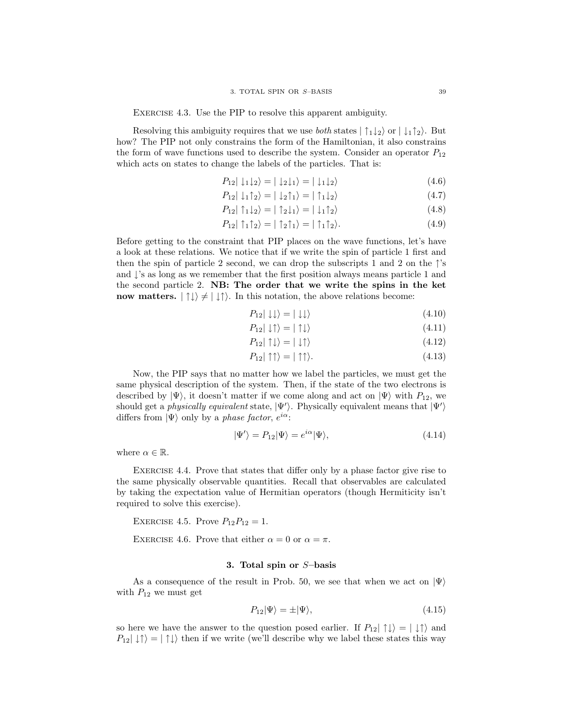EXERCISE 4.3. Use the PIP to resolve this apparent ambiguity.

Resolving this ambiguity requires that we use *both* states  $|\uparrow_1\downarrow_2\rangle$  or  $|\downarrow_1\uparrow_2\rangle$ . But how? The PIP not only constrains the form of the Hamiltonian, it also constrains the form of wave functions used to describe the system. Consider an operator  $P_{12}$ which acts on states to change the labels of the particles. That is:

$$
P_{12}|\downarrow_1\downarrow_2\rangle = |\downarrow_2\downarrow_1\rangle = |\downarrow_1\downarrow_2\rangle \tag{4.6}
$$

$$
P_{12} | \downarrow_1 \uparrow_2 \rangle = | \downarrow_2 \uparrow_1 \rangle = | \uparrow_1 \downarrow_2 \rangle \tag{4.7}
$$

$$
P_{12} \mid \hat{1}_1 \downarrow_2 \rangle = \mid \hat{1}_2 \downarrow_1 \rangle = \mid \downarrow_1 \hat{1}_2 \rangle \tag{4.8}
$$

$$
P_{12}|\uparrow_1\uparrow_2\rangle = |\uparrow_2\uparrow_1\rangle = |\uparrow_1\uparrow_2\rangle. \tag{4.9}
$$

Before getting to the constraint that PIP places on the wave functions, let's have a look at these relations. We notice that if we write the spin of particle 1 first and then the spin of particle 2 second, we can drop the subscripts 1 and 2 on the  $\uparrow$ 's and  $\downarrow$ 's as long as we remember that the first position always means particle 1 and the second particle 2. NB: The order that we write the spins in the ket now matters.  $|\uparrow\downarrow\rangle \neq |\downarrow\uparrow\rangle$ . In this notation, the above relations become:

$$
P_{12}|\downarrow\downarrow\rangle = |\downarrow\downarrow\rangle \tag{4.10}
$$

$$
P_{12}|\downarrow\uparrow\rangle = |\uparrow\downarrow\rangle \tag{4.11}
$$

$$
P_{12} | \uparrow \downarrow \rangle = | \downarrow \uparrow \rangle \tag{4.12}
$$

$$
P_{12}|\uparrow\uparrow\rangle = |\uparrow\uparrow\rangle. \tag{4.13}
$$

Now, the PIP says that no matter how we label the particles, we must get the same physical description of the system. Then, if the state of the two electrons is described by  $|\Psi\rangle$ , it doesn't matter if we come along and act on  $|\Psi\rangle$  with  $P_{12}$ , we should get a *physically equivalent* state,  $|\Psi'\rangle$ . Physically equivalent means that  $|\Psi'\rangle$ differs from  $|\Psi\rangle$  only by a *phase factor*,  $e^{i\alpha}$ :

$$
|\Psi'\rangle = P_{12}|\Psi\rangle = e^{i\alpha}|\Psi\rangle, \tag{4.14}
$$

where  $\alpha \in \mathbb{R}$ .

Exercise 4.4. Prove that states that differ only by a phase factor give rise to the same physically observable quantities. Recall that observables are calculated by taking the expectation value of Hermitian operators (though Hermiticity isn't required to solve this exercise).

EXERCISE 4.5. Prove  $P_{12}P_{12} = 1$ .

EXERCISE 4.6. Prove that either  $\alpha = 0$  or  $\alpha = \pi$ .

### 3. Total spin or S–basis

As a consequence of the result in Prob. 50, we see that when we act on  $|\Psi\rangle$ with  $P_{12}$  we must get

$$
P_{12}|\Psi\rangle = \pm |\Psi\rangle, \tag{4.15}
$$

so here we have the answer to the question posed earlier. If  $P_{12} | \uparrow \downarrow \rangle = | \downarrow \uparrow \rangle$  and  $P_{12}|\downarrow\uparrow\rangle = |\uparrow\downarrow\rangle$  then if we write (we'll describe why we label these states this way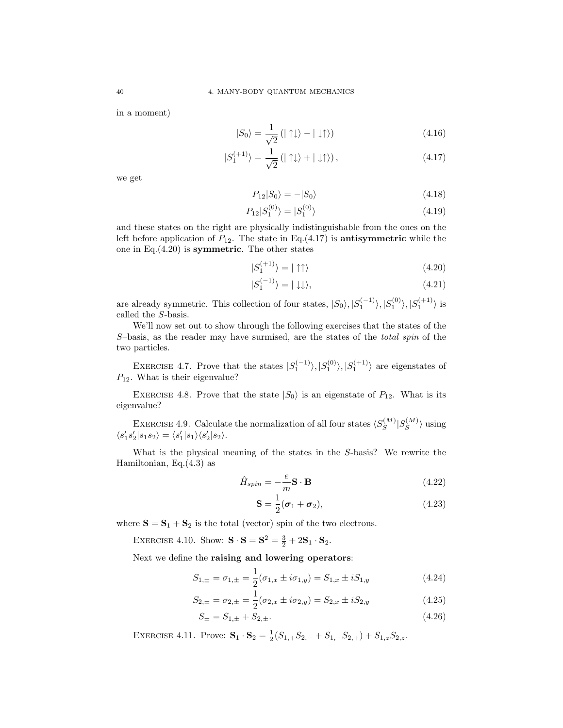in a moment)

$$
|S_0\rangle = \frac{1}{\sqrt{2}} \left( |\uparrow \downarrow \rangle - |\downarrow \uparrow \rangle \right) \tag{4.16}
$$

$$
|S_1^{(+1)}\rangle = \frac{1}{\sqrt{2}} \left( |\uparrow \downarrow \rangle + |\downarrow \uparrow \rangle \right), \tag{4.17}
$$

we get

$$
P_{12}|S_0\rangle = -|S_0\rangle \tag{4.18}
$$

$$
P_{12}|S_1^{(0)}\rangle = |S_1^{(0)}\rangle \tag{4.19}
$$

and these states on the right are physically indistinguishable from the ones on the left before application of  $P_{12}$ . The state in Eq.(4.17) is **antisymmetric** while the one in Eq. $(4.20)$  is symmetric. The other states

$$
|S_1^{(+1)}\rangle = |\uparrow \uparrow\rangle \tag{4.20}
$$

$$
|S_1^{(-1)}\rangle = |\downarrow\downarrow\rangle,\tag{4.21}
$$

are already symmetric. This collection of four states,  $|S_0\rangle, |S_1^{(-1)}\rangle, |S_1^{(0)}\rangle, |S_1^{(+1)}\rangle$  is called the S-basis.

We'll now set out to show through the following exercises that the states of the S–basis, as the reader may have surmised, are the states of the *total spin* of the two particles.

EXERCISE 4.7. Prove that the states  $|S_1^{(-1)}\rangle, |S_1^{(0)}\rangle, |S_1^{(+1)}\rangle$  are eigenstates of  $P_{12}$ . What is their eigenvalue?

EXERCISE 4.8. Prove that the state  $|S_0\rangle$  is an eigenstate of  $P_{12}$ . What is its eigenvalue?

EXERCISE 4.9. Calculate the normalization of all four states  $\langle S_S^{(M)} \rangle$  $|S_{S}^{(M)}|S_{S}^{(M)}$  $\langle S^{(M)} \rangle$  using  $\langle s_1' s_2' | s_1 s_2 \rangle = \langle s_1' | s_1 \rangle \langle s_2' | s_2 \rangle.$ 

What is the physical meaning of the states in the S-basis? We rewrite the Hamiltonian, Eq.(4.3) as

$$
\hat{H}_{spin} = -\frac{e}{m}\mathbf{S} \cdot \mathbf{B} \tag{4.22}
$$

$$
\mathbf{S} = \frac{1}{2}(\boldsymbol{\sigma}_1 + \boldsymbol{\sigma}_2),\tag{4.23}
$$

where  $S = S_1 + S_2$  is the total (vector) spin of the two electrons.

EXERCISE 4.10. Show:  $\mathbf{S} \cdot \mathbf{S} = \mathbf{S}^2 = \frac{3}{2} + 2\mathbf{S}_1 \cdot \mathbf{S}_2$ .

Next we define the raising and lowering operators:

$$
S_{1,\pm} = \sigma_{1,\pm} = \frac{1}{2}(\sigma_{1,x} \pm i\sigma_{1,y}) = S_{1,x} \pm iS_{1,y}
$$
 (4.24)

$$
S_{2,\pm} = \sigma_{2,\pm} = \frac{1}{2} (\sigma_{2,x} \pm i \sigma_{2,y}) = S_{2,x} \pm i S_{2,y}
$$
 (4.25)

$$
S_{\pm} = S_{1,\pm} + S_{2,\pm}.
$$
\n<sup>(4.26)</sup>

EXERCISE 4.11. Prove:  $\mathbf{S}_1 \cdot \mathbf{S}_2 = \frac{1}{2}(S_{1,+}S_{2,-} + S_{1,-}S_{2,+}) + S_{1,z}S_{2,z}.$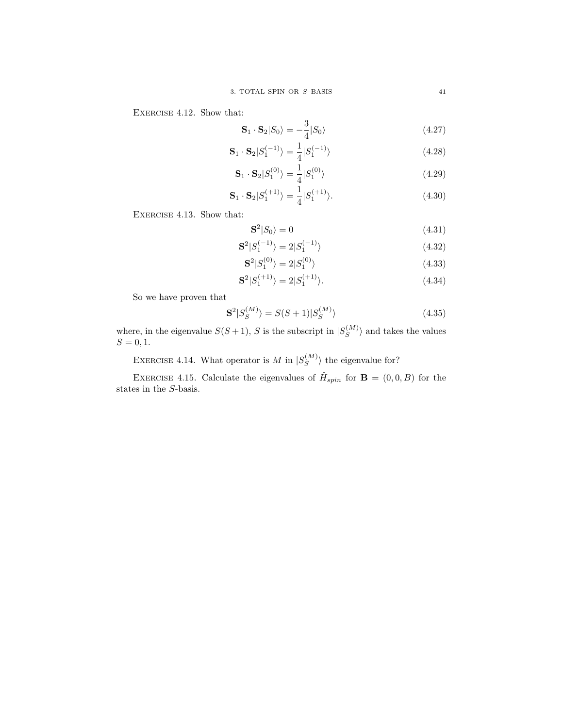EXERCISE 4.12. Show that:

$$
\mathbf{S}_1 \cdot \mathbf{S}_2 | S_0 \rangle = -\frac{3}{4} | S_0 \rangle \tag{4.27}
$$

$$
\mathbf{S}_1 \cdot \mathbf{S}_2 | S_1^{(-1)} \rangle = \frac{1}{4} | S_1^{(-1)} \rangle \tag{4.28}
$$

$$
\mathbf{S}_1 \cdot \mathbf{S}_2 | S_1^{(0)} \rangle = \frac{1}{4} | S_1^{(0)} \rangle \tag{4.29}
$$

$$
\mathbf{S}_1 \cdot \mathbf{S}_2 | S_1^{(+1)} \rangle = \frac{1}{4} | S_1^{(+1)} \rangle. \tag{4.30}
$$

EXERCISE 4.13. Show that:

$$
\mathbf{S}^2 | S_0 \rangle = 0 \tag{4.31}
$$

$$
\mathbf{S}^2 | S_1^{(-1)} \rangle = 2 | S_1^{(-1)} \rangle \tag{4.32}
$$

$$
\mathbf{S}^2 | S_1^{(0)} \rangle = 2 | S_1^{(0)} \rangle \tag{4.33}
$$

$$
\mathbf{S}^2 | S_1^{(+1)} \rangle = 2 | S_1^{(+1)} \rangle. \tag{4.34}
$$

So we have proven that

$$
\mathbf{S}^2|S_S^{(M)}\rangle = S(S+1)|S_S^{(M)}\rangle\tag{4.35}
$$

where, in the eigenvalue  $S(S+1)$ , S is the subscript in  $|S_S^{(M)}|$  $\langle S \rangle$  and takes the values  $S = 0, 1.$ 

EXERCISE 4.14. What operator is M in  $|S_S^{(M)}|$  $\langle S^{(M)} \rangle$  the eigenvalue for?

EXERCISE 4.15. Calculate the eigenvalues of  $\hat{H}_{spin}$  for  $\mathbf{B} = (0,0,B)$  for the states in the S-basis.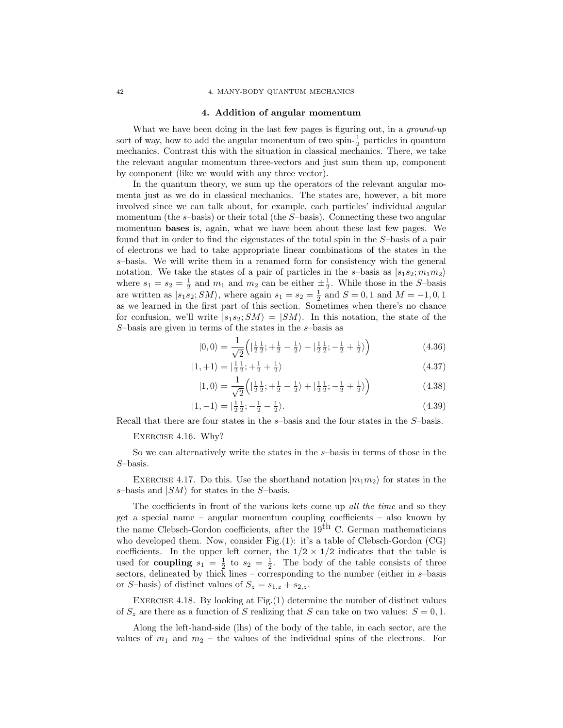### 42 4. MANY-BODY QUANTUM MECHANICS

### 4. Addition of angular momentum

What we have been doing in the last few pages is figuring out, in a *ground-up* sort of way, how to add the angular momentum of two spin- $\frac{1}{2}$  particles in quantum mechanics. Contrast this with the situation in classical mechanics. There, we take the relevant angular momentum three-vectors and just sum them up, component by component (like we would with any three vector).

In the quantum theory, we sum up the operators of the relevant angular momenta just as we do in classical mechanics. The states are, however, a bit more involved since we can talk about, for example, each particles' individual angular momentum (the s-basis) or their total (the S-basis). Connecting these two angular momentum bases is, again, what we have been about these last few pages. We found that in order to find the eigenstates of the total spin in the S–basis of a pair of electrons we had to take appropriate linear combinations of the states in the s–basis. We will write them in a renamed form for consistency with the general notation. We take the states of a pair of particles in the s-basis as  $|s_1s_2; m_1m_2\rangle$ where  $s_1 = s_2 = \frac{1}{2}$  and  $m_1$  and  $m_2$  can be either  $\pm \frac{1}{2}$ . While those in the S-basis are written as  $|s_1s_2; SM\rangle$ , where again  $s_1 = s_2 = \frac{1}{2}$  and  $S = 0, 1$  and  $M = -1, 0, 1$ as we learned in the first part of this section. Sometimes when there's no chance for confusion, we'll write  $|s_1s_2; SM\rangle = |SM\rangle$ . In this notation, the state of the  $S$ -basis are given in terms of the states in the  $s$ -basis as

$$
|0,0\rangle = \frac{1}{\sqrt{2}} \left( \left| \frac{1}{2} \frac{1}{2}; + \frac{1}{2} - \frac{1}{2} \right\rangle - \left| \frac{1}{2} \frac{1}{2}; - \frac{1}{2} + \frac{1}{2} \right\rangle \right) \tag{4.36}
$$

$$
|1,+1\rangle = |\frac{1}{2}\frac{1}{2};+\frac{1}{2}+\frac{1}{2}\rangle
$$
 (4.37)

$$
|1,0\rangle = \frac{1}{\sqrt{2}} \left( \left| \frac{1}{2} \frac{1}{2}; + \frac{1}{2} - \frac{1}{2} \right\rangle + \left| \frac{1}{2} \frac{1}{2}; - \frac{1}{2} + \frac{1}{2} \right\rangle \right) \tag{4.38}
$$

$$
|1, -1\rangle = |\frac{1}{2}\frac{1}{2}; -\frac{1}{2} - \frac{1}{2}\rangle. \tag{4.39}
$$

Recall that there are four states in the s–basis and the four states in the S–basis.

### Exercise 4.16. Why?

So we can alternatively write the states in the s–basis in terms of those in the S–basis.

EXERCISE 4.17. Do this. Use the shorthand notation  $|m_1m_2\rangle$  for states in the s–basis and  $|SM\rangle$  for states in the S–basis.

The coefficients in front of the various kets come up *all the time* and so they get a special name – angular momentum coupling coefficients – also known by the name Clebsch-Gordon coefficients, after the  $19<sup>th</sup>$  C. German mathematicians who developed them. Now, consider Fig. $(1)$ : it's a table of Clebsch-Gordon  $(CG)$ coefficients. In the upper left corner, the  $1/2 \times 1/2$  indicates that the table is used for **coupling**  $s_1 = \frac{1}{2}$  to  $s_2 = \frac{1}{2}$ . The body of the table consists of three sectors, delineated by thick lines – corresponding to the number (either in s–basis or S-basis) of distinct values of  $S_z = s_{1,z} + s_{2,z}$ .

Exercise 4.18. By looking at Fig.(1) determine the number of distinct values of  $S_z$  are there as a function of S realizing that S can take on two values:  $S = 0, 1$ .

Along the left-hand-side (lhs) of the body of the table, in each sector, are the values of  $m_1$  and  $m_2$  – the values of the individual spins of the electrons. For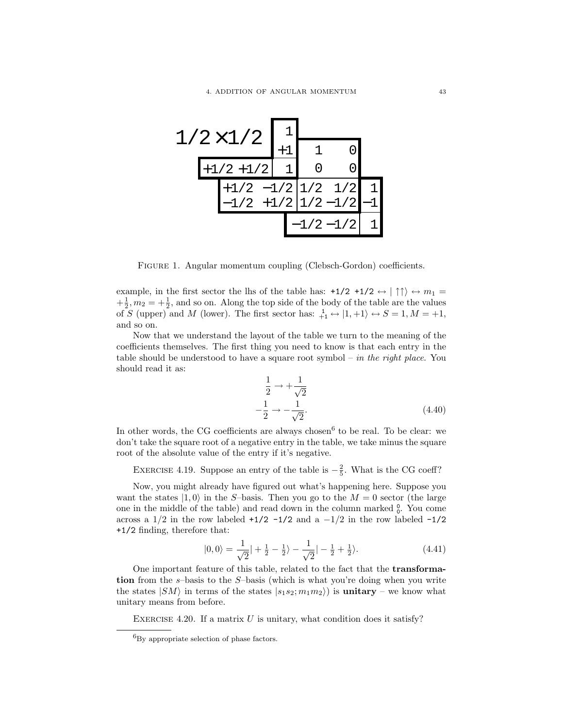

FIGURE 1. Angular momentum coupling (Clebsch-Gordon) coefficients.

example, in the first sector the lhs of the table has:  $+1/2 +1/2 \leftrightarrow |\uparrow \uparrow \rangle \leftrightarrow m_1 =$  $+\frac{1}{2}$ ,  $m_2 = +\frac{1}{2}$ , and so on. Along the top side of the body of the table are the values of S (upper) and M (lower). The first sector has:  $\frac{1}{+1} \leftrightarrow |1, +1\rangle \leftrightarrow S = 1, M = +1,$ and so on.

Now that we understand the layout of the table we turn to the meaning of the coefficients themselves. The first thing you need to know is that each entry in the table should be understood to have a square root symbol – *in the right place*. You should read it as:

$$
\frac{1}{2} \rightarrow +\frac{1}{\sqrt{2}}
$$
  

$$
-\frac{1}{2} \rightarrow -\frac{1}{\sqrt{2}}.
$$
 (4.40)

In other words, the CG coefficients are always chosen<sup>6</sup> to be real. To be clear: we don't take the square root of a negative entry in the table, we take minus the square root of the absolute value of the entry if it's negative.

EXERCISE 4.19. Suppose an entry of the table is  $-\frac{2}{5}$ . What is the CG coeff?

Now, you might already have figured out what's happening here. Suppose you want the states  $|1, 0\rangle$  in the S-basis. Then you go to the  $M = 0$  sector (the large one in the middle of the table) and read down in the column marked  $\frac{0}{0}$ . You come across a  $1/2$  in the row labeled +1/2 -1/2 and a -1/2 in the row labeled -1/2 +1/2 finding, therefore that:

$$
|0,0\rangle = \frac{1}{\sqrt{2}}| + \frac{1}{2} - \frac{1}{2}\rangle - \frac{1}{\sqrt{2}}| - \frac{1}{2} + \frac{1}{2}\rangle.
$$
 (4.41)

One important feature of this table, related to the fact that the transformation from the  $s$ -basis to the  $S$ -basis (which is what you're doing when you write the states  $|SM\rangle$  in terms of the states  $|s_1s_2; m_1m_2\rangle$  is unitary – we know what unitary means from before.

EXERCISE 4.20. If a matrix  $U$  is unitary, what condition does it satisfy?

 ${}^{6}$ By appropriate selection of phase factors.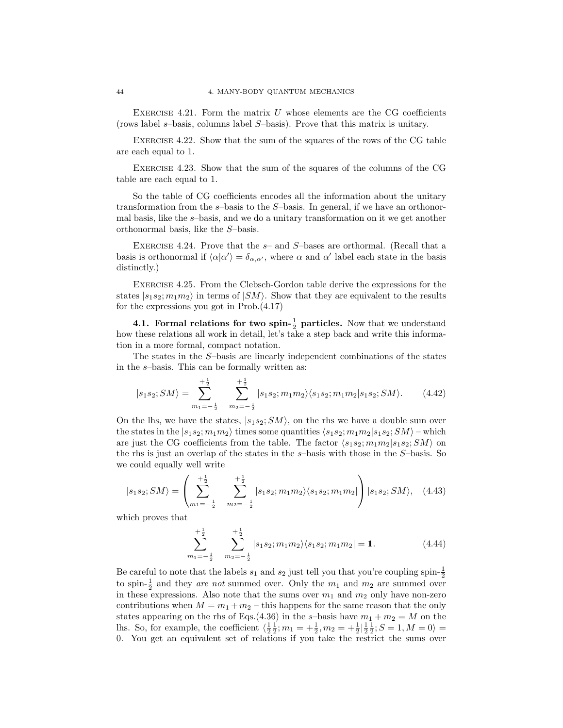EXERCISE 4.21. Form the matrix  $U$  whose elements are the CG coefficients (rows label s–basis, columns label S–basis). Prove that this matrix is unitary.

Exercise 4.22. Show that the sum of the squares of the rows of the CG table are each equal to 1.

Exercise 4.23. Show that the sum of the squares of the columns of the CG table are each equal to 1.

So the table of CG coefficients encodes all the information about the unitary transformation from the  $s$ -basis to the  $S$ -basis. In general, if we have an orthonormal basis, like the s–basis, and we do a unitary transformation on it we get another orthonormal basis, like the S–basis.

EXERCISE 4.24. Prove that the  $s-$  and  $S-$ bases are orthormal. (Recall that a basis is orthonormal if  $\langle \alpha | \alpha' \rangle = \delta_{\alpha,\alpha'}$ , where  $\alpha$  and  $\alpha'$  label each state in the basis distinctly.)

Exercise 4.25. From the Clebsch-Gordon table derive the expressions for the states  $|s_1s_2; m_1m_2\rangle$  in terms of  $|SM\rangle$ . Show that they are equivalent to the results for the expressions you got in Prob.(4.17)

**4.1. Formal relations for two spin-** $\frac{1}{2}$  **particles.** Now that we understand how these relations all work in detail, let's take a step back and write this information in a more formal, compact notation.

The states in the S–basis are linearly independent combinations of the states in the s–basis. This can be formally written as:

$$
|s_1s_2; SM\rangle = \sum_{m_1 = -\frac{1}{2}}^{+\frac{1}{2}} \sum_{m_2 = -\frac{1}{2}}^{+\frac{1}{2}} |s_1s_2; m_1m_2\rangle\langle s_1s_2; m_1m_2|s_1s_2; SM\rangle. \tag{4.42}
$$

On the lhs, we have the states,  $|s_1s_2; SM\rangle$ , on the rhs we have a double sum over the states in the  $|s_1s_2; m_1m_2\rangle$  times some quantities  $\langle s_1s_2; m_1m_2|s_1s_2; SM\rangle$  – which are just the CG coefficients from the table. The factor  $\langle s_1 s_2; m_1 m_2 | s_1 s_2; SM \rangle$  on the rhs is just an overlap of the states in the s–basis with those in the S–basis. So we could equally well write

$$
|s_1s_2; SM\rangle = \left(\sum_{m_1=-\frac{1}{2}}^{+\frac{1}{2}} \sum_{m_2=-\frac{1}{2}}^{+\frac{1}{2}} |s_1s_2; m_1m_2\rangle\langle s_1s_2; m_1m_2| \right) |s_1s_2; SM\rangle, \quad (4.43)
$$

which proves that

$$
\sum_{m_1=-\frac{1}{2}}^{\frac{1}{2}} \sum_{m_2=-\frac{1}{2}}^{\frac{1}{2}} |s_1s_2; m_1m_2\rangle\langle s_1s_2; m_1m_2| = 1.
$$
 (4.44)

Be careful to note that the labels  $s_1$  and  $s_2$  just tell you that you're coupling spin- $\frac{1}{2}$ to spin- $\frac{1}{2}$  and they *are not* summed over. Only the  $m_1$  and  $m_2$  are summed over in these expressions. Also note that the sums over  $m_1$  and  $m_2$  only have non-zero contributions when  $M = m_1 + m_2$  – this happens for the same reason that the only states appearing on the rhs of Eqs.(4.36) in the s-basis have  $m_1 + m_2 = M$  on the lhs. So, for example, the coefficient  $\langle \frac{1}{2}, \frac{1}{2}; m_1 = +\frac{1}{2}, m_2 = +\frac{1}{2} | \frac{1}{2}, \frac{1}{2}; S = 1, M = 0 \rangle =$ 0. You get an equivalent set of relations if you take the restrict the sums over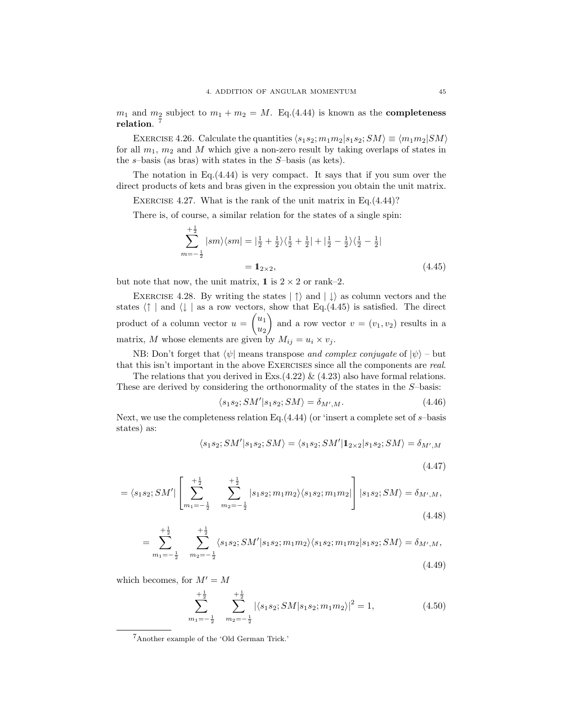$m_1$  and  $m_2$  subject to  $m_1 + m_2 = M$ . Eq.(4.44) is known as the **completeness** relation. 7

EXERCISE 4.26. Calculate the quantities  $\langle s_1 s_2; m_1 m_2 | s_1 s_2; SM \rangle \equiv \langle m_1 m_2 | SM \rangle$ for all  $m_1$ ,  $m_2$  and M which give a non-zero result by taking overlaps of states in the  $s$ -basis (as bras) with states in the  $S$ -basis (as kets).

The notation in Eq.(4.44) is very compact. It says that if you sum over the direct products of kets and bras given in the expression you obtain the unit matrix.

EXERCISE 4.27. What is the rank of the unit matrix in Eq.  $(4.44)$ ?

There is, of course, a similar relation for the states of a single spin:

$$
\sum_{m=-\frac{1}{2}}^{+\frac{1}{2}} |sm\rangle\langle sm| = |\frac{1}{2} + \frac{1}{2}\rangle\langle\frac{1}{2} + \frac{1}{2}| + |\frac{1}{2} - \frac{1}{2}\rangle\langle\frac{1}{2} - \frac{1}{2}|
$$
  
=  $\mathbf{1}_{2\times 2}$ , (4.45)

but note that now, the unit matrix, 1 is  $2 \times 2$  or rank–2.

EXERCISE 4.28. By writing the states  $|\uparrow\rangle$  and  $|\downarrow\rangle$  as column vectors and the states  $\langle \uparrow |$  and  $\langle \downarrow |$  as a row vectors, show that Eq.(4.45) is satisfied. The direct product of a column vector  $u = \begin{pmatrix} u_1 \\ u_2 \end{pmatrix}$  $u_2$ ) and a row vector  $v = (v_1, v_2)$  results in a matrix, M whose elements are given by  $M_{ij} = u_i \times v_j$ .

NB: Don't forget that  $\langle \psi |$  means transpose *and complex conjugate* of  $|\psi \rangle$  – but that this isn't important in the above Exercises since all the components are *real*.

The relations that you derived in Exs.(4.22)  $\&$  (4.23) also have formal relations. These are derived by considering the orthonormality of the states in the S–basis:

$$
\langle s_1 s_2; SM' | s_1 s_2; SM \rangle = \delta_{M',M}.\tag{4.46}
$$

Next, we use the completeness relation Eq.  $(4.44)$  (or 'insert a complete set of s-basis states) as:

$$
\langle s_1 s_2; SM' | s_1 s_2; SM \rangle = \langle s_1 s_2; SM' | 1_{2 \times 2} | s_1 s_2; SM \rangle = \delta_{M',M}
$$

(4.47)

$$
= \langle s_1 s_2; SM' | \left[ \sum_{m_1 = -\frac{1}{2}}^{+\frac{1}{2}} \sum_{m_2 = -\frac{1}{2}}^{+\frac{1}{2}} |s_1 s_2; m_1 m_2\rangle \langle s_1 s_2; m_1 m_2 | \right] |s_1 s_2; SM \rangle = \delta_{M',M}, \tag{4.48}
$$

$$
= \sum_{m_1=-\frac{1}{2}}^{\frac{1}{2}} \sum_{m_2=-\frac{1}{2}}^{\frac{1}{2}} \langle s_1 s_2; SM' | s_1 s_2; m_1 m_2 \rangle \langle s_1 s_2; m_1 m_2 | s_1 s_2; SM \rangle = \delta_{M',M},
$$
\n(4.49)

which becomes, for  $M' = M$ 

$$
\sum_{m_1=-\frac{1}{2}}^{\frac{1}{2}} \sum_{m_2=-\frac{1}{2}}^{\frac{1}{2}} |\langle s_1 s_2; SM | s_1 s_2; m_1 m_2 \rangle|^2 = 1, \tag{4.50}
$$

<sup>7</sup>Another example of the 'Old German Trick.'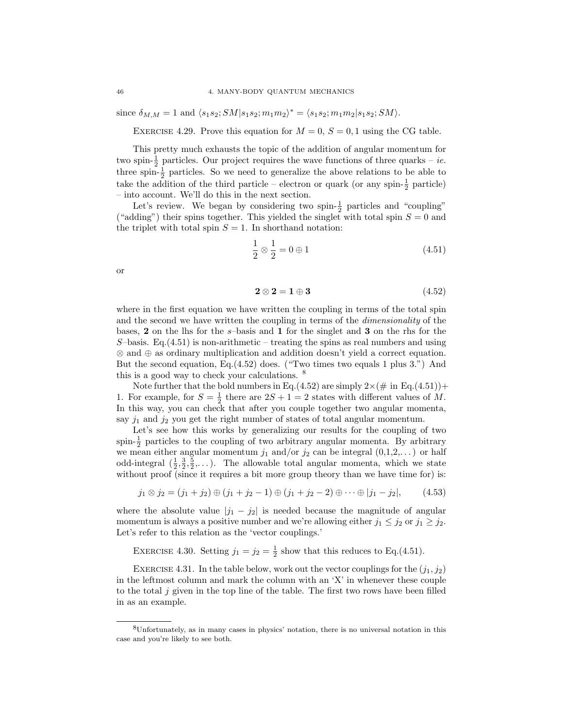since  $\delta_{M,M} = 1$  and  $\langle s_1 s_2; SM | s_1 s_2; m_1 m_2 \rangle^* = \langle s_1 s_2; m_1 m_2 | s_1 s_2; SM \rangle.$ 

EXERCISE 4.29. Prove this equation for  $M = 0$ ,  $S = 0, 1$  using the CG table.

This pretty much exhausts the topic of the addition of angular momentum for two spin- $\frac{1}{2}$  particles. Our project requires the wave functions of three quarks – *ie.* three spin- $\frac{1}{2}$  particles. So we need to generalize the above relations to be able to take the addition of the third particle – electron or quark (or any spin- $\frac{1}{2}$  particle) – into account. We'll do this in the next section.

Let's review. We began by considering two spin- $\frac{1}{2}$  particles and "coupling" ("adding") their spins together. This yielded the singlet with total spin  $S = 0$  and the triplet with total spin  $S = 1$ . In shorthand notation:

$$
\frac{1}{2} \otimes \frac{1}{2} = 0 \oplus 1 \tag{4.51}
$$

or

$$
2 \otimes 2 = 1 \oplus 3 \tag{4.52}
$$

where in the first equation we have written the coupling in terms of the total spin and the second we have written the coupling in terms of the *dimensionality* of the bases, 2 on the lhs for the s–basis and 1 for the singlet and 3 on the rhs for the  $S$ –basis. Eq.(4.51) is non-arithmetic – treating the spins as real numbers and using ⊗ and ⊕ as ordinary multiplication and addition doesn't yield a correct equation. But the second equation, Eq.(4.52) does. ("Two times two equals 1 plus 3.") And this is a good way to check your calculations. <sup>8</sup>

Note further that the bold numbers in Eq.(4.52) are simply  $2\times(\text{\# in Eq.}(4.51))+$ 1. For example, for  $S = \frac{1}{2}$  there are  $2S + 1 = 2$  states with different values of M. In this way, you can check that after you couple together two angular momenta, say  $j_1$  and  $j_2$  you get the right number of states of total angular momentum.

Let's see how this works by generalizing our results for the coupling of two spin- $\frac{1}{2}$  particles to the coupling of two arbitrary angular momenta. By arbitrary we mean either angular momentum  $j_1$  and/or  $j_2$  can be integral  $(0,1,2,...)$  or half odd-integral  $(\frac{1}{2}, \frac{3}{2}, \frac{5}{2}, \dots)$ . The allowable total angular momenta, which we state without proof (since it requires a bit more group theory than we have time for) is:

$$
j_1 \otimes j_2 = (j_1 + j_2) \oplus (j_1 + j_2 - 1) \oplus (j_1 + j_2 - 2) \oplus \cdots \oplus |j_1 - j_2|,
$$
 (4.53)

where the absolute value  $|j_1 - j_2|$  is needed because the magnitude of angular momentum is always a positive number and we're allowing either  $j_1 \leq j_2$  or  $j_1 \geq j_2$ . Let's refer to this relation as the 'vector couplings.'

EXERCISE 4.30. Setting  $j_1 = j_2 = \frac{1}{2}$  show that this reduces to Eq.(4.51).

EXERCISE 4.31. In the table below, work out the vector couplings for the  $(j_1, j_2)$ in the leftmost column and mark the column with an 'X' in whenever these couple to the total j given in the top line of the table. The first two rows have been filled in as an example.

<sup>8</sup>Unfortunately, as in many cases in physics' notation, there is no universal notation in this case and you're likely to see both.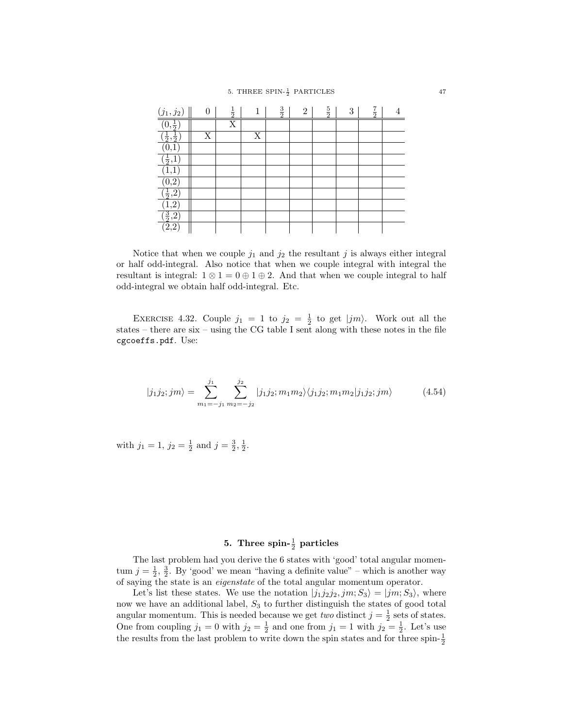| $\underline{(j_1, j_2)}$      |   | $\frac{1}{2}$ | T | $\frac{3}{2}$ | $\overline{2}$ | $\frac{5}{2}$ | 3 | $rac{7}{2}$ |  |
|-------------------------------|---|---------------|---|---------------|----------------|---------------|---|-------------|--|
| $(0,\frac{1}{2})$             |   | Χ             |   |               |                |               |   |             |  |
| $(\frac{1}{2}, \frac{1}{2})$  | X |               | X |               |                |               |   |             |  |
|                               |   |               |   |               |                |               |   |             |  |
| $(\frac{1}{2},\underline{1})$ |   |               |   |               |                |               |   |             |  |
| 1,1                           |   |               |   |               |                |               |   |             |  |
| 0,2                           |   |               |   |               |                |               |   |             |  |
| $(\frac{1}{2}, 2)$            |   |               |   |               |                |               |   |             |  |
| 1,2                           |   |               |   |               |                |               |   |             |  |
| $(\frac{3}{2},2)$             |   |               |   |               |                |               |   |             |  |
| $(\bar{2}, 2)$                |   |               |   |               |                |               |   |             |  |

Notice that when we couple  $j_1$  and  $j_2$  the resultant j is always either integral or half odd-integral. Also notice that when we couple integral with integral the resultant is integral:  $1 \otimes 1 = 0 \oplus 1 \oplus 2$ . And that when we couple integral to half odd-integral we obtain half odd-integral. Etc.

EXERCISE 4.32. Couple  $j_1 = 1$  to  $j_2 = \frac{1}{2}$  to get  $|jm\rangle$ . Work out all the states – there are six – using the CG table I sent along with these notes in the file cgcoeffs.pdf. Use:

$$
|j_1 j_2; jm\rangle = \sum_{m_1 = -j_1}^{j_1} \sum_{m_2 = -j_2}^{j_2} |j_1 j_2; m_1 m_2\rangle \langle j_1 j_2; m_1 m_2 | j_1 j_2; jm\rangle \tag{4.54}
$$

with  $j_1 = 1$ ,  $j_2 = \frac{1}{2}$  and  $j = \frac{3}{2}, \frac{1}{2}$ .

# 5. Three spin- $\frac{1}{2}$  particles

The last problem had you derive the 6 states with 'good' total angular momentum  $j = \frac{1}{2}, \frac{3}{2}$ . By 'good' we mean "having a definite value" – which is another way of saying the state is an *eigenstate* of the total angular momentum operator.

Let's list these states. We use the notation  $|j_1j_2j_2,jm;S_3\rangle = |jm;S_3\rangle$ , where now we have an additional label,  $S_3$  to further distinguish the states of good total angular momentum. This is needed because we get *two* distinct  $j = \frac{1}{2}$  sets of states. One from coupling  $j_1 = 0$  with  $j_2 = \frac{1}{2}$  and one from  $j_1 = 1$  with  $j_2 = \frac{1}{2}$ . Let's use the results from the last problem to write down the spin states and for three spin- $\frac{1}{2}$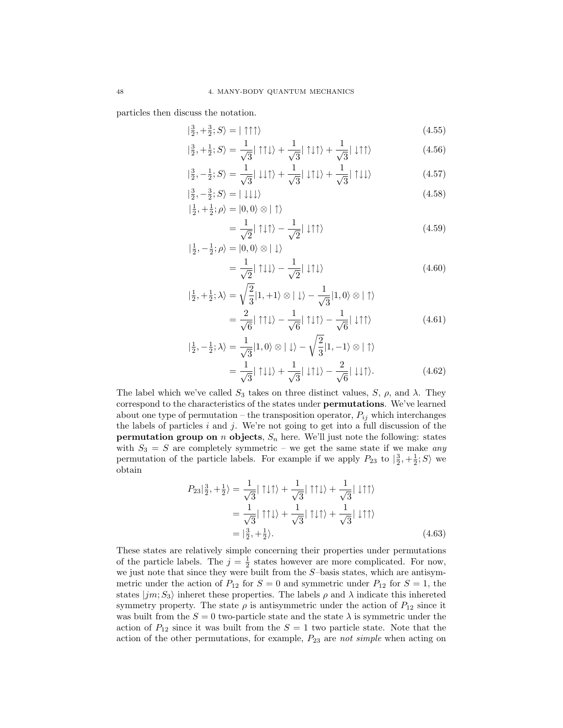particles then discuss the notation.

$$
|\frac{3}{2}, +\frac{3}{2}; S\rangle = |\uparrow \uparrow \uparrow\rangle \tag{4.55}
$$

$$
|\frac{3}{2},+\frac{1}{2};S\rangle = \frac{1}{\sqrt{3}}|\uparrow\uparrow\downarrow\rangle + \frac{1}{\sqrt{3}}|\uparrow\downarrow\uparrow\rangle + \frac{1}{\sqrt{3}}|\downarrow\uparrow\uparrow\rangle
$$
 (4.56)

$$
|\frac{3}{2}, -\frac{1}{2}; S\rangle = \frac{1}{\sqrt{3}} |\downarrow \downarrow \uparrow\rangle + \frac{1}{\sqrt{3}} |\downarrow \uparrow \downarrow\rangle + \frac{1}{\sqrt{3}} |\uparrow \downarrow \downarrow\rangle \tag{4.57}
$$

$$
\left|\frac{3}{2}, -\frac{3}{2}; S\right\rangle = \left|\downarrow \downarrow \downarrow\right\rangle
$$
\n
$$
\left|\frac{1}{2}, +\frac{1}{2}; \rho\right\rangle = \left|0, 0\right\rangle \otimes \left|\uparrow\right\rangle
$$
\n(4.58)

$$
= \frac{1}{\sqrt{2}} |\uparrow \downarrow \uparrow \rangle - \frac{1}{\sqrt{2}} |\downarrow \uparrow \uparrow \rangle
$$
\n
$$
\frac{1}{2} \cdot \rho \rangle = |0, 0 \rangle \otimes | \downarrow \rangle
$$
\n(4.59)

$$
|\frac{1}{2}, -\frac{1}{2}; \rho\rangle = |0, 0\rangle \otimes | \downarrow\rangle
$$
  
= 
$$
\frac{1}{\sqrt{2}} |\uparrow \downarrow \downarrow\rangle - \frac{1}{\sqrt{2}} |\downarrow \uparrow \downarrow\rangle
$$
 (4.60)

$$
|\frac{1}{2}, +\frac{1}{2}; \lambda\rangle = \sqrt{\frac{2}{3}} |1, +1\rangle \otimes |\downarrow\rangle - \frac{1}{\sqrt{3}} |1, 0\rangle \otimes |\uparrow\rangle
$$

$$
= \frac{2}{\sqrt{6}} |\uparrow \uparrow \downarrow\rangle - \frac{1}{\sqrt{6}} |\uparrow \downarrow \uparrow\rangle - \frac{1}{\sqrt{6}} |\downarrow \uparrow \uparrow\rangle
$$
(4.61)

$$
|\frac{1}{2}, -\frac{1}{2}; \lambda\rangle = \frac{1}{\sqrt{3}} |1, 0\rangle \otimes |\downarrow\rangle - \sqrt{\frac{2}{3}} |1, -1\rangle \otimes |\uparrow\rangle
$$

$$
= \frac{1}{\sqrt{3}} |\uparrow \downarrow \downarrow\rangle + \frac{1}{\sqrt{3}} |\downarrow \uparrow \downarrow\rangle - \frac{2}{\sqrt{6}} |\downarrow \downarrow \uparrow\rangle. \tag{4.62}
$$

The label which we've called  $S_3$  takes on three distinct values, S,  $\rho$ , and  $\lambda$ . They correspond to the characteristics of the states under permutations. We've learned about one type of permutation – the transposition operator,  $P_{ij}$  which interchanges the labels of particles  $i$  and  $j$ . We're not going to get into a full discussion of the **permutation group on** n **objects**,  $S_n$  here. We'll just note the following: states with  $S_3 = S$  are completely symmetric – we get the same state if we make *any* permutation of the particle labels. For example if we apply  $P_{23}$  to  $\left|\frac{3}{2},+\frac{1}{2};S\right>$  we obtain

$$
P_{23}|\frac{3}{2},+\frac{1}{2}\rangle = \frac{1}{\sqrt{3}}|\uparrow\downarrow\uparrow\rangle + \frac{1}{\sqrt{3}}|\uparrow\uparrow\downarrow\rangle + \frac{1}{\sqrt{3}}|\downarrow\uparrow\uparrow\rangle
$$
  
=  $\frac{1}{\sqrt{3}}|\uparrow\uparrow\downarrow\rangle + \frac{1}{\sqrt{3}}|\uparrow\downarrow\uparrow\rangle + \frac{1}{\sqrt{3}}|\downarrow\uparrow\uparrow\rangle$   
=  $|\frac{3}{2},+\frac{1}{2}\rangle.$  (4.63)

These states are relatively simple concerning their properties under permutations of the particle labels. The  $j = \frac{1}{2}$  states however are more complicated. For now, we just note that since they were built from the S–basis states, which are antisymmetric under the action of  $P_{12}$  for  $S = 0$  and symmetric under  $P_{12}$  for  $S = 1$ , the states  $|jm;S_3\rangle$  inheret these properties. The labels  $\rho$  and  $\lambda$  indicate this inhereted symmetry property. The state  $\rho$  is antisymmetric under the action of  $P_{12}$  since it was built from the  $S = 0$  two-particle state and the state  $\lambda$  is symmetric under the action of  $P_{12}$  since it was built from the  $S = 1$  two particle state. Note that the action of the other permutations, for example,  $P_{23}$  are *not simple* when acting on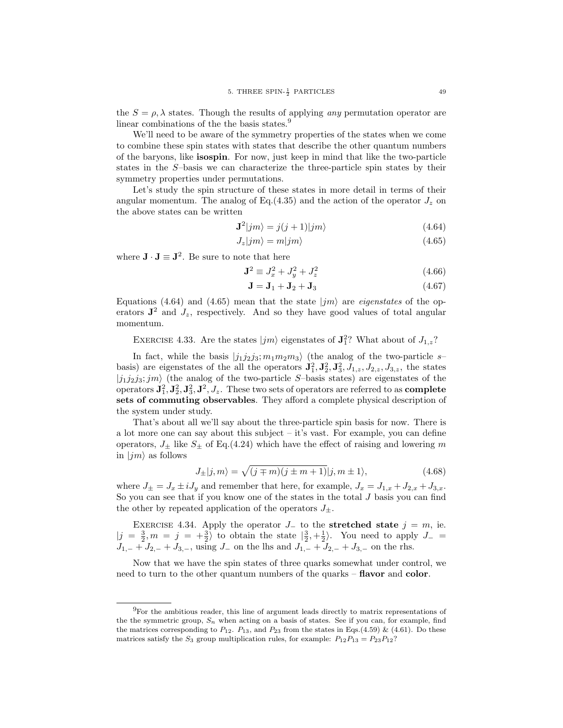the  $S = \rho$ ,  $\lambda$  states. Though the results of applying *any* permutation operator are linear combinations of the the basis states.<sup>9</sup>

We'll need to be aware of the symmetry properties of the states when we come to combine these spin states with states that describe the other quantum numbers of the baryons, like isospin. For now, just keep in mind that like the two-particle states in the S–basis we can characterize the three-particle spin states by their symmetry properties under permutations.

Let's study the spin structure of these states in more detail in terms of their angular momentum. The analog of Eq.(4.35) and the action of the operator  $J_z$  on the above states can be written

$$
\mathbf{J}^2|jm\rangle = j(j+1)|jm\rangle \tag{4.64}
$$

$$
J_z|jm\rangle = m|jm\rangle \tag{4.65}
$$

where  $\mathbf{J} \cdot \mathbf{J} \equiv \mathbf{J}^2$ . Be sure to note that here

$$
\mathbf{J}^2 \equiv J_x^2 + J_y^2 + J_z^2 \tag{4.66}
$$

$$
\mathbf{J} = \mathbf{J}_1 + \mathbf{J}_2 + \mathbf{J}_3 \tag{4.67}
$$

Equations (4.64) and (4.65) mean that the state  $|jm\rangle$  are *eigenstates* of the operators  $J^2$  and  $J_z$ , respectively. And so they have good values of total angular momentum.

EXERCISE 4.33. Are the states  $|jm\rangle$  eigenstates of  $\mathbf{J}_1^2$ ? What about of  $J_{1,z}$ ?

In fact, while the basis  $|j_1j_2j_3; m_1m_2m_3\rangle$  (the analog of the two-particle s– basis) are eigenstates of the all the operators  ${\bf J}_1^2, {\bf J}_2^2, {\bf J}_3^2, J_{1,z}, J_{2,z}, J_{3,z}$ , the states  $|j_1j_2j_3;jm\rangle$  (the analog of the two-particle S-basis states) are eigenstates of the operators  ${\bf J}_1^2, {\bf J}_2^2, {\bf J}_3^2, {\bf J}^2, J_z.$  These two sets of operators are referred to as **complete** sets of commuting observables. They afford a complete physical description of the system under study.

That's about all we'll say about the three-particle spin basis for now. There is a lot more one can say about this subject  $-$  it's vast. For example, you can define operators,  $J_{\pm}$  like  $S_{\pm}$  of Eq.(4.24) which have the effect of raising and lowering m in  $|jm\rangle$  as follows

$$
J_{\pm}|j,m\rangle = \sqrt{(j \mp m)(j \pm m + 1)}|j,m \pm 1\rangle, \tag{4.68}
$$

where  $J_{\pm} = J_x \pm i J_y$  and remember that here, for example,  $J_x = J_{1,x} + J_{2,x} + J_{3,x}$ . So you can see that if you know one of the states in the total  $J$  basis you can find the other by repeated application of the operators  $J_{+}$ .

EXERCISE 4.34. Apply the operator  $J_$  to the stretched state  $j = m$ , ie.  $|j = \frac{3}{2}, m = j = +\frac{3}{2}$  to obtain the state  $|\frac{3}{2}, +\frac{1}{2}\rangle$ . You need to apply  $J_ J_{1,-} + J_{2,-} + J_{3,-}$ , using  $J_{-}$  on the lhs and  $J_{1,-} + J_{2,-} + J_{3,-}$  on the rhs.

Now that we have the spin states of three quarks somewhat under control, we need to turn to the other quantum numbers of the quarks – **flavor** and **color**.

<sup>9</sup>For the ambitious reader, this line of argument leads directly to matrix representations of the the symmetric group,  $S_n$  when acting on a basis of states. See if you can, for example, find the matrices corresponding to  $P_{12}$ .  $P_{13}$ , and  $P_{23}$  from the states in Eqs.(4.59) & (4.61). Do these matrices satisfy the  $S_3$  group multiplication rules, for example:  $P_{12}P_{13} = P_{23}P_{12}$ ?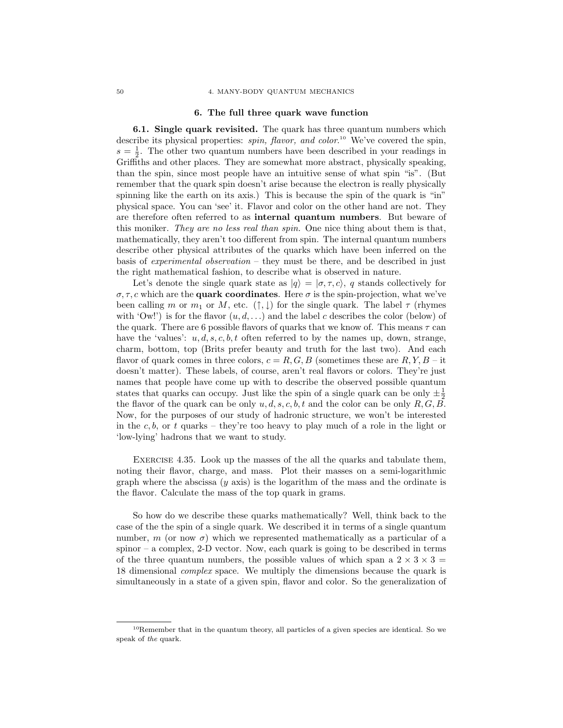### 50 4. MANY-BODY QUANTUM MECHANICS

### 6. The full three quark wave function

6.1. Single quark revisited. The quark has three quantum numbers which describe its physical properties: *spin, flavor, and color*.<sup>10</sup> We've covered the spin,  $s = \frac{1}{2}$ . The other two quantum numbers have been described in your readings in Griffiths and other places. They are somewhat more abstract, physically speaking, than the spin, since most people have an intuitive sense of what spin "is". (But remember that the quark spin doesn't arise because the electron is really physically spinning like the earth on its axis.) This is because the spin of the quark is "in" physical space. You can 'see' it. Flavor and color on the other hand are not. They are therefore often referred to as internal quantum numbers. But beware of this moniker. *They are no less real than spin.* One nice thing about them is that, mathematically, they aren't too different from spin. The internal quantum numbers describe other physical attributes of the quarks which have been inferred on the basis of *experimental observation* – they must be there, and be described in just the right mathematical fashion, to describe what is observed in nature.

Let's denote the single quark state as  $|q\rangle = |\sigma, \tau, c\rangle$ , q stands collectively for  $\sigma, \tau, c$  which are the **quark coordinates**. Here  $\sigma$  is the spin-projection, what we've been calling m or  $m_1$  or M, etc.  $(\uparrow,\downarrow)$  for the single quark. The label  $\tau$  (rhymes with 'Ow!') is for the flavor  $(u, d, \ldots)$  and the label c describes the color (below) of the quark. There are 6 possible flavors of quarks that we know of. This means  $\tau$  can have the 'values':  $u, d, s, c, b, t$  often referred to by the names up, down, strange, charm, bottom, top (Brits prefer beauty and truth for the last two). And each flavor of quark comes in three colors,  $c = R, G, B$  (sometimes these are  $R, Y, B$  – it doesn't matter). These labels, of course, aren't real flavors or colors. They're just names that people have come up with to describe the observed possible quantum states that quarks can occupy. Just like the spin of a single quark can be only  $\pm \frac{1}{2}$ the flavor of the quark can be only  $u, d, s, c, b, t$  and the color can be only  $R, G, B$ . Now, for the purposes of our study of hadronic structure, we won't be interested in the c, b, or t quarks – they're too heavy to play much of a role in the light or 'low-lying' hadrons that we want to study.

Exercise 4.35. Look up the masses of the all the quarks and tabulate them, noting their flavor, charge, and mass. Plot their masses on a semi-logarithmic graph where the abscissa  $(y \text{ axis})$  is the logarithm of the mass and the ordinate is the flavor. Calculate the mass of the top quark in grams.

So how do we describe these quarks mathematically? Well, think back to the case of the the spin of a single quark. We described it in terms of a single quantum number, m (or now  $\sigma$ ) which we represented mathematically as a particular of a spinor – a complex, 2-D vector. Now, each quark is going to be described in terms of the three quantum numbers, the possible values of which span a  $2 \times 3 \times 3 =$ 18 dimensional *complex* space. We multiply the dimensions because the quark is simultaneously in a state of a given spin, flavor and color. So the generalization of

 $10$ Remember that in the quantum theory, all particles of a given species are identical. So we speak of the quark.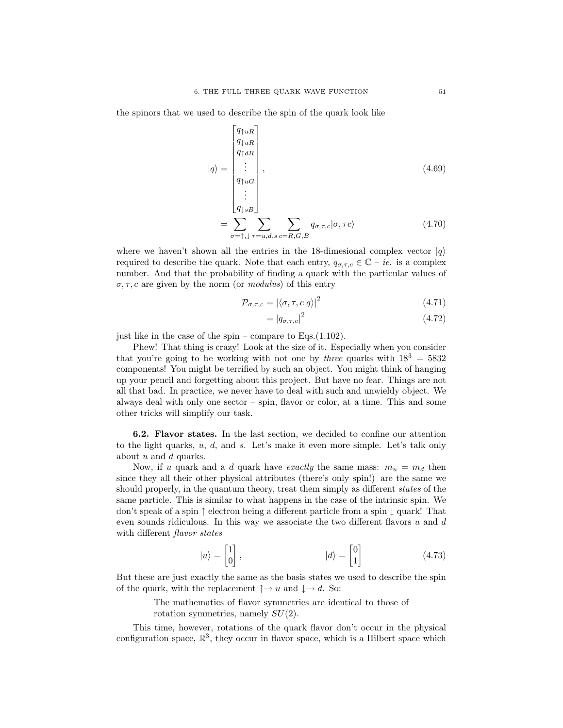the spinors that we used to describe the spin of the quark look like

$$
|q\rangle = \begin{bmatrix} q_{\uparrow uR} \\ q_{\downarrow uR} \\ q_{\uparrow dR} \\ \vdots \\ q_{\uparrow uG} \\ q_{\downarrow sB} \end{bmatrix},
$$
\n
$$
= \sum_{\sigma = \uparrow, \downarrow} \sum_{\tau = u,d,s} \sum_{c=R,G,B} q_{\sigma,\tau,c} |\sigma, \tau c\rangle
$$
\n(4.70)

where we haven't shown all the entries in the 18-dimesional complex vector  $|q\rangle$ required to describe the quark. Note that each entry,  $q_{\sigma,\tau,c} \in \mathbb{C} - ie$  is a complex number. And that the probability of finding a quark with the particular values of  $\sigma, \tau, c$  are given by the norm (or *modulus*) of this entry

$$
\mathcal{P}_{\sigma,\tau,c} = |\langle \sigma, \tau, c | q \rangle|^2 \tag{4.71}
$$

$$
= |q_{\sigma,\tau,c}|^2 \tag{4.72}
$$

just like in the case of the spin – compare to Eqs.(1.102).

Phew! That thing is crazy! Look at the size of it. Especially when you consider that you're going to be working with not one by *three* quarks with  $18^3 = 5832$ components! You might be terrified by such an object. You might think of hanging up your pencil and forgetting about this project. But have no fear. Things are not all that bad. In practice, we never have to deal with such and unwieldy object. We always deal with only one sector – spin, flavor or color, at a time. This and some other tricks will simplify our task.

6.2. Flavor states. In the last section, we decided to confine our attention to the light quarks,  $u, d$ , and  $s$ . Let's make it even more simple. Let's talk only about u and d quarks.

Now, if u quark and a d quark have *exactly* the same mass:  $m_u = m_d$  then since they all their other physical attributes (there's only spin!) are the same we should properly, in the quantum theory, treat them simply as different *states* of the same particle. This is similar to what happens in the case of the intrinsic spin. We don't speak of a spin ↑ electron being a different particle from a spin ↓ quark! That even sounds ridiculous. In this way we associate the two different flavors  $u$  and  $d$ with different *flavor states*

$$
|u\rangle = \begin{bmatrix} 1 \\ 0 \end{bmatrix}, \qquad |d\rangle = \begin{bmatrix} 0 \\ 1 \end{bmatrix} \tag{4.73}
$$

But these are just exactly the same as the basis states we used to describe the spin of the quark, with the replacement  $\uparrow \rightarrow u$  and  $\downarrow \rightarrow d$ . So:

> The mathematics of flavor symmetries are identical to those of rotation symmetries, namely  $SU(2)$ .

This time, however, rotations of the quark flavor don't occur in the physical configuration space,  $\mathbb{R}^3$ , they occur in flavor space, which is a Hilbert space which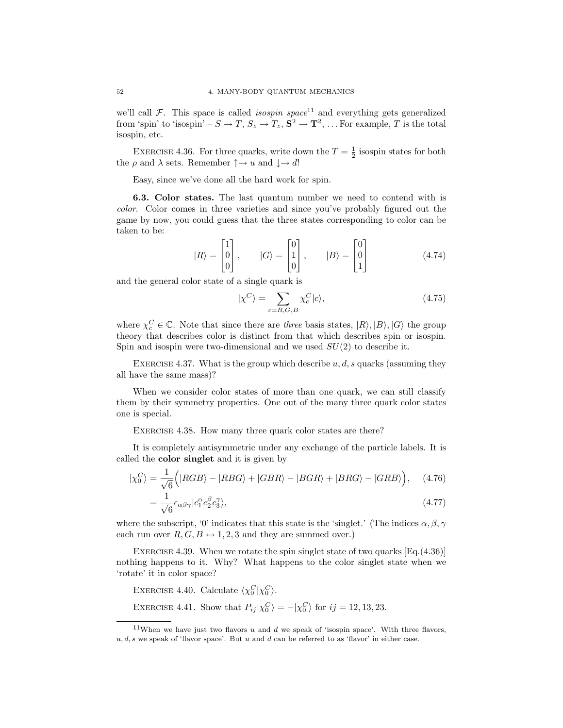we'll call  $\mathcal{F}$ . This space is called *isospin space*<sup>11</sup> and everything gets generalized from 'spin' to 'isospin' –  $S \to T$ ,  $S_z \to T_z$ ,  $S^2 \to T^2$ , ... For example, T is the total isospin, etc.

EXERCISE 4.36. For three quarks, write down the  $T = \frac{1}{2}$  isospin states for both the  $\rho$  and  $\lambda$  sets. Remember  $\uparrow \rightarrow u$  and  $\downarrow \rightarrow d!$ 

Easy, since we've done all the hard work for spin.

6.3. Color states. The last quantum number we need to contend with is *color*. Color comes in three varieties and since you've probably figured out the game by now, you could guess that the three states corresponding to color can be taken to be:

$$
|R\rangle = \begin{bmatrix} 1 \\ 0 \\ 0 \end{bmatrix}, \qquad |G\rangle = \begin{bmatrix} 0 \\ 1 \\ 0 \end{bmatrix}, \qquad |B\rangle = \begin{bmatrix} 0 \\ 0 \\ 1 \end{bmatrix}
$$
(4.74)

and the general color state of a single quark is

$$
|\chi^C\rangle = \sum_{c=R,G,B} \chi_c^C |c\rangle,\tag{4.75}
$$

where  $\chi_c^C \in \mathbb{C}$ . Note that since there are *three* basis states,  $|R\rangle, |B\rangle, |G\rangle$  the group theory that describes color is distinct from that which describes spin or isospin. Spin and isospin were two-dimensional and we used  $SU(2)$  to describe it.

EXERCISE 4.37. What is the group which describe  $u, d, s$  quarks (assuming they all have the same mass)?

When we consider color states of more than one quark, we can still classify them by their symmetry properties. One out of the many three quark color states one is special.

EXERCISE 4.38. How many three quark color states are there?

It is completely antisymmetric under any exchange of the particle labels. It is called the color singlet and it is given by

$$
|\chi_0^C\rangle = \frac{1}{\sqrt{6}} \Big( |RGB\rangle - |RBG\rangle + |GBR\rangle - |BGR\rangle + |BRG\rangle - |GRB\rangle \Big), \quad (4.76)
$$

$$
=\frac{1}{\sqrt{6}}\epsilon_{\alpha\beta\gamma}|c_1^{\alpha}c_2^{\beta}c_3^{\gamma}\rangle,\tag{4.77}
$$

where the subscript, '0' indicates that this state is the 'singlet.' (The indices  $\alpha, \beta, \gamma$ each run over  $R, G, B \leftrightarrow 1, 2, 3$  and they are summed over.)

EXERCISE 4.39. When we rotate the spin singlet state of two quarks  $[Eq. (4.36)]$ nothing happens to it. Why? What happens to the color singlet state when we 'rotate' it in color space?

EXERCISE 4.40. Calculate  $\langle \chi_0^C | \chi_0^C \rangle$ . EXERCISE 4.41. Show that  $P_{ij}|\chi_0^C\rangle = -|\chi_0^C\rangle$  for  $ij = 12, 13, 23$ .

<sup>&</sup>lt;sup>11</sup>When we have just two flavors u and d we speak of 'isospin space'. With three flavors,  $u, d, s$  we speak of 'flavor space'. But u and d can be referred to as 'flavor' in either case.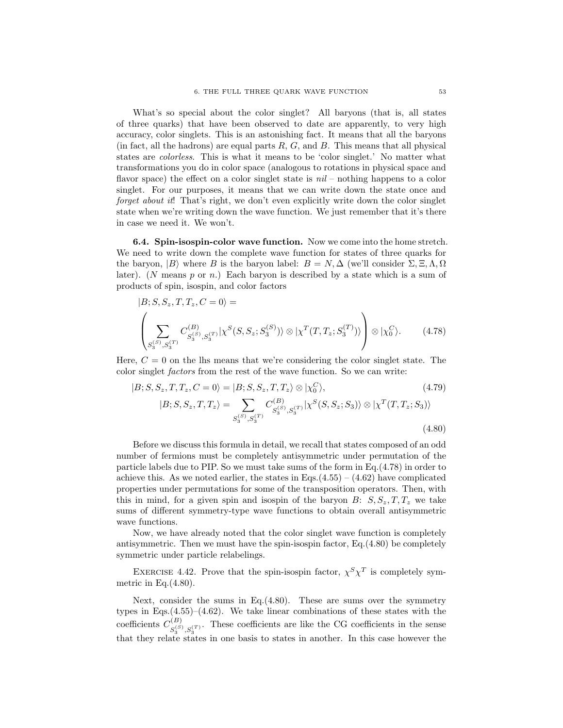What's so special about the color singlet? All baryons (that is, all states of three quarks) that have been observed to date are apparently, to very high accuracy, color singlets. This is an astonishing fact. It means that all the baryons (in fact, all the hadrons) are equal parts  $R, G$ , and  $B$ . This means that all physical states are *colorless*. This is what it means to be 'color singlet.' No matter what transformations you do in color space (analogous to rotations in physical space and flavor space) the effect on a color singlet state is *nil* – nothing happens to a color singlet. For our purposes, it means that we can write down the state once and *forget about it*! That's right, we don't even explicitly write down the color singlet state when we're writing down the wave function. We just remember that it's there in case we need it. We won't.

6.4. Spin-isospin-color wave function. Now we come into the home stretch. We need to write down the complete wave function for states of three quarks for the baryon,  $|B\rangle$  where B is the baryon label:  $B = N$ ,  $\Delta$  (we'll consider  $\Sigma$ ,  $\Xi$ ,  $\Lambda$ ,  $\Omega$ ) later). (N means  $p$  or  $n$ .) Each baryon is described by a state which is a sum of products of spin, isospin, and color factors

$$
|B; S, S_z, T, T_z, C = 0\rangle =
$$
\n
$$
\left(\sum_{S_3^{(S)}, S_3^{(T)}} C_{S_3^{(S)}, S_3^{(T)}}^{(B)} |\chi^S(S, S_z; S_3^{(S)})\rangle \otimes |\chi^T(T, T_z; S_3^{(T)})\rangle \right) \otimes |\chi_0^C\rangle.
$$
\n(4.78)

Here,  $C = 0$  on the lhs means that we're considering the color singlet state. The color singlet *factors* from the rest of the wave function. So we can write:

$$
|B; S, S_z, T, T_z, C = 0\rangle = |B; S, S_z, T, T_z\rangle \otimes |\chi_0^C\rangle, \tag{4.79}
$$
  

$$
|B; S, S_z, T, T_z\rangle = \sum_{S_3^{(S)}, S_3^{(T)}} C_{S_3^{(S)}, S_3^{(T)}}^{(B)} |\chi^S(S, S_z; S_3)\rangle \otimes |\chi^T(T, T_z; S_3)\rangle
$$
  

$$
\tag{4.80}
$$

Before we discuss this formula in detail, we recall that states composed of an odd number of fermions must be completely antisymmetric under permutation of the particle labels due to PIP. So we must take sums of the form in Eq.(4.78) in order to achieve this. As we noted earlier, the states in Eqs.  $(4.55) - (4.62)$  have complicated properties under permutations for some of the transposition operators. Then, with this in mind, for a given spin and isospin of the baryon  $B: S, S_z, T, T_z$  we take sums of different symmetry-type wave functions to obtain overall antisymmetric wave functions.

Now, we have already noted that the color singlet wave function is completely antisymmetric. Then we must have the spin-isospin factor, Eq.(4.80) be completely symmetric under particle relabelings.

EXERCISE 4.42. Prove that the spin-isospin factor,  $\chi^S \chi^T$  is completely symmetric in Eq. $(4.80)$ .

Next, consider the sums in Eq.(4.80). These are sums over the symmetry types in Eqs. $(4.55)$ – $(4.62)$ . We take linear combinations of these states with the coefficients  $C_{\alpha S}^{(B)}$  $S_3^{(S)}, S_3^{(T)}$ . These coefficients are like the CG coefficients in the sense that they relate states in one basis to states in another. In this case however the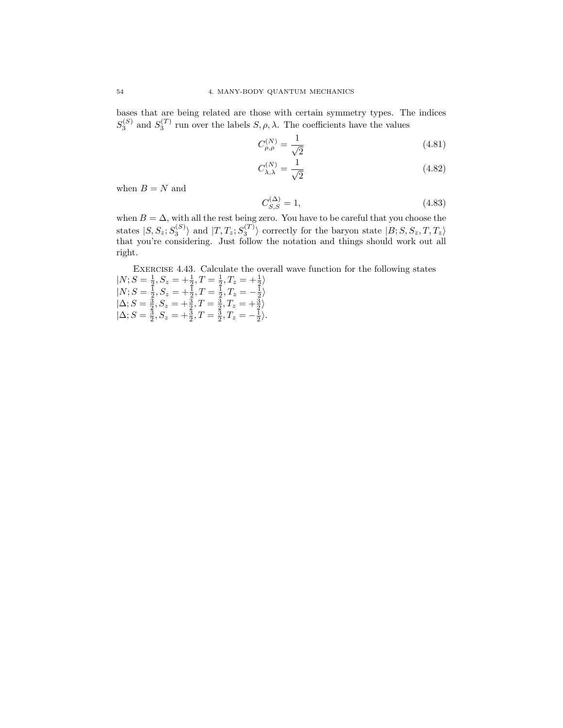bases that are being related are those with certain symmetry types. The indices  $S_3^{(S)}$  and  $S_3^{(T)}$  run over the labels  $S, \rho, \lambda$ . The coefficients have the values

$$
C_{\rho,\rho}^{(N)} = \frac{1}{\sqrt{2}}\tag{4.81}
$$

$$
C_{\lambda,\lambda}^{(N)} = \frac{1}{\sqrt{2}}\tag{4.82}
$$

when  $B = N$  and

$$
C_{S,S}^{(\Delta)} = 1,\t\t(4.83)
$$

when  $B = \Delta$ , with all the rest being zero. You have to be careful that you choose the states  $|S, S_z; S_3^{(S)}\rangle$  and  $|T, T_z; S_3^{(T)}\rangle$  correctly for the baryon state  $|B; S, S_z, T, T_z\rangle$ that you're considering. Just follow the notation and things should work out all right.

EXERCISE 4.43. Calculate the overall wave function for the following states  $|N; S = \frac{1}{2}, S_z = +\frac{1}{2}, T = \frac{1}{2}, T_z = +\frac{1}{2}$  $|N; S = \frac{1}{2}, S_z = +\frac{1}{2}, T = \frac{1}{2}, T_z = -\frac{1}{2}$  $|\Delta; S = \frac{3}{2}, S_z = +\frac{3}{2}, T = \frac{3}{2}, T_z = +\frac{3}{2}$  $|\Delta; S = \frac{3}{2}, S_z = +\frac{3}{2}, T = \frac{3}{2}, T_z = -\frac{1}{2}\rangle.$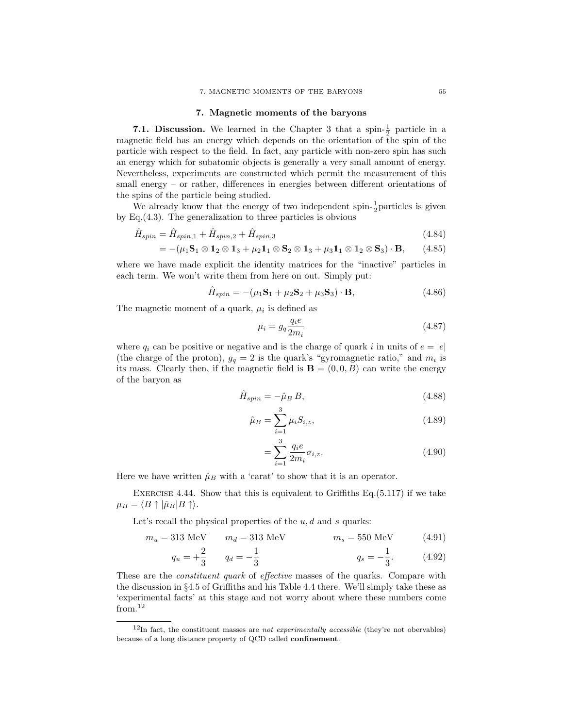#### 7. MAGNETIC MOMENTS OF THE BARYONS 55

### 7. Magnetic moments of the baryons

**7.1. Discussion.** We learned in the Chapter 3 that a spin- $\frac{1}{2}$  particle in a magnetic field has an energy which depends on the orientation of the spin of the particle with respect to the field. In fact, any particle with non-zero spin has such an energy which for subatomic objects is generally a very small amount of energy. Nevertheless, experiments are constructed which permit the measurement of this small energy – or rather, differences in energies between different orientations of the spins of the particle being studied.

We already know that the energy of two independent spin- $\frac{1}{2}$  particles is given by Eq.(4.3). The generalization to three particles is obvious

$$
\hat{H}_{spin} = \hat{H}_{spin,1} + \hat{H}_{spin,2} + \hat{H}_{spin,3}
$$
\n(4.84)

$$
= -(\mu_1 \mathbf{S}_1 \otimes \mathbf{1}_2 \otimes \mathbf{1}_3 + \mu_2 \mathbf{1}_1 \otimes \mathbf{S}_2 \otimes \mathbf{1}_3 + \mu_3 \mathbf{1}_1 \otimes \mathbf{1}_2 \otimes \mathbf{S}_3) \cdot \mathbf{B}, \qquad (4.85)
$$

where we have made explicit the identity matrices for the "inactive" particles in each term. We won't write them from here on out. Simply put:

$$
\hat{H}_{spin} = -(\mu_1 \mathbf{S}_1 + \mu_2 \mathbf{S}_2 + \mu_3 \mathbf{S}_3) \cdot \mathbf{B},\tag{4.86}
$$

The magnetic moment of a quark,  $\mu_i$  is defined as

$$
\mu_i = g_q \frac{q_i e}{2m_i} \tag{4.87}
$$

where  $q_i$  can be positive or negative and is the charge of quark i in units of  $e = |e|$ (the charge of the proton),  $g_q = 2$  is the quark's "gyromagnetic ratio," and  $m_i$  is its mass. Clearly then, if the magnetic field is  $\mathbf{B} = (0,0,B)$  can write the energy of the baryon as

 $\circ$ 

$$
\hat{H}_{spin} = -\hat{\mu}_B B,\tag{4.88}
$$

$$
\hat{\mu}_B = \sum_{i=1}^{\infty} \mu_i S_{i,z},\tag{4.89}
$$

$$
=\sum_{i=1}^{3} \frac{q_i e}{2m_i} \sigma_{i,z}.
$$
\n(4.90)

Here we have written  $\hat{\mu}_B$  with a 'carat' to show that it is an operator.

EXERCISE 4.44. Show that this is equivalent to Griffiths Eq. $(5.117)$  if we take  $\mu_B = \langle B \uparrow | \hat{\mu}_B | B \uparrow \rangle.$ 

Let's recall the physical properties of the  $u, d$  and s quarks:

$$
m_u = 313 \text{ MeV} \qquad m_d = 313 \text{ MeV} \qquad m_s = 550 \text{ MeV} \qquad (4.91)
$$

$$
q_u = +\frac{2}{3} \qquad q_d = -\frac{1}{3} \qquad q_s = -\frac{1}{3}. \qquad (4.92)
$$

These are the *constituent quark* of *effective* masses of the quarks. Compare with the discussion in §4.5 of Griffiths and his Table 4.4 there. We'll simply take these as 'experimental facts' at this stage and not worry about where these numbers come from.<sup>12</sup>

 $12$ In fact, the constituent masses are *not experimentally accessible* (they're not obervables) because of a long distance property of QCD called confinement.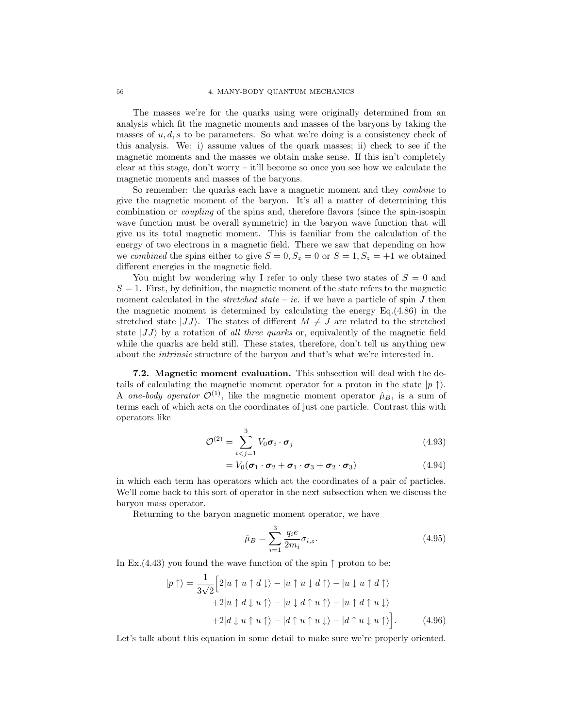The masses we're for the quarks using were originally determined from an analysis which fit the magnetic moments and masses of the baryons by taking the masses of  $u, d, s$  to be parameters. So what we're doing is a consistency check of this analysis. We: i) assume values of the quark masses; ii) check to see if the magnetic moments and the masses we obtain make sense. If this isn't completely clear at this stage, don't worry – it'll become so once you see how we calculate the magnetic moments and masses of the baryons.

So remember: the quarks each have a magnetic moment and they *combine* to give the magnetic moment of the baryon. It's all a matter of determining this combination or *coupling* of the spins and, therefore flavors (since the spin-isospin wave function must be overall symmetric) in the baryon wave function that will give us its total magnetic moment. This is familiar from the calculation of the energy of two electrons in a magnetic field. There we saw that depending on how we *combined* the spins either to give  $S = 0, S_z = 0$  or  $S = 1, S_z = +1$  we obtained different energies in the magnetic field.

You might bw wondering why I refer to only these two states of  $S = 0$  and  $S = 1$ . First, by definition, the magnetic moment of the state refers to the magnetic moment calculated in the *stretched state* – *ie.* if we have a particle of spin  $J$  then the magnetic moment is determined by calculating the energy Eq.(4.86) in the stretched state  $|JJ\rangle$ . The states of different  $M \neq J$  are related to the stretched state  $|JJ\rangle$  by a rotation of *all three quarks* or, equivalently of the magnetic field while the quarks are held still. These states, therefore, don't tell us anything new about the *intrinsic* structure of the baryon and that's what we're interested in.

7.2. Magnetic moment evaluation. This subsection will deal with the details of calculating the magnetic moment operator for a proton in the state  $|p|$ . A *one-body operator*  $\mathcal{O}^{(1)}$ , like the magnetic moment operator  $\hat{\mu}_B$ , is a sum of terms each of which acts on the coordinates of just one particle. Contrast this with operators like

$$
\mathcal{O}^{(2)} = \sum_{i < j=1}^{3} V_0 \boldsymbol{\sigma}_i \cdot \boldsymbol{\sigma}_j \tag{4.93}
$$

$$
= V_0(\boldsymbol{\sigma}_1 \cdot \boldsymbol{\sigma}_2 + \boldsymbol{\sigma}_1 \cdot \boldsymbol{\sigma}_3 + \boldsymbol{\sigma}_2 \cdot \boldsymbol{\sigma}_3) \tag{4.94}
$$

in which each term has operators which act the coordinates of a pair of particles. We'll come back to this sort of operator in the next subsection when we discuss the baryon mass operator.

Returning to the baryon magnetic moment operator, we have

$$
\hat{\mu}_B = \sum_{i=1}^3 \frac{q_i e}{2m_i} \sigma_{i,z}.
$$
\n(4.95)

In Ex.(4.43) you found the wave function of the spin  $\uparrow$  proton to be:

$$
|p \uparrow\rangle = \frac{1}{3\sqrt{2}} \Big[ 2|u \uparrow u \uparrow d \downarrow\rangle - |u \uparrow u \downarrow d \uparrow\rangle - |u \downarrow u \uparrow d \uparrow\rangle
$$
  
+2|u \uparrow d \downarrow u \uparrow\rangle - |u \downarrow d \uparrow u \uparrow\rangle - |u \uparrow d \uparrow u \downarrow\rangle   
+2|d \downarrow u \uparrow u \uparrow\rangle - |d \uparrow u \uparrow u \downarrow\rangle - |d \uparrow u \downarrow u \uparrow\rangle \Big]. (4.96)

Let's talk about this equation in some detail to make sure we're properly oriented.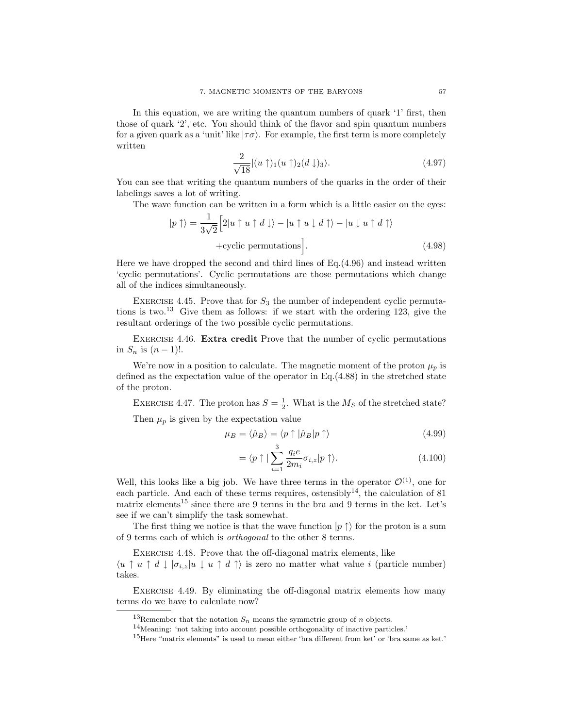In this equation, we are writing the quantum numbers of quark '1' first, then those of quark '2', etc. You should think of the flavor and spin quantum numbers for a given quark as a 'unit' like  $|\tau\sigma\rangle$ . For example, the first term is more completely written

$$
\frac{2}{\sqrt{18}}|(u\uparrow)_1(u\uparrow)_2(d\downarrow)_3\rangle.
$$
 (4.97)

You can see that writing the quantum numbers of the quarks in the order of their labelings saves a lot of writing.

The wave function can be written in a form which is a little easier on the eyes:

$$
|p \uparrow\rangle = \frac{1}{3\sqrt{2}} \Big[ 2|u \uparrow u \uparrow d \downarrow\rangle - |u \uparrow u \downarrow d \uparrow\rangle - |u \downarrow u \uparrow d \uparrow\rangle
$$
  
+cyclic permutations \Big]. (4.98)

Here we have dropped the second and third lines of Eq.(4.96) and instead written 'cyclic permutations'. Cyclic permutations are those permutations which change all of the indices simultaneously.

EXERCISE 4.45. Prove that for  $S_3$  the number of independent cyclic permutations is two.<sup>13</sup> Give them as follows: if we start with the ordering 123, give the resultant orderings of the two possible cyclic permutations.

EXERCISE 4.46. Extra credit Prove that the number of cyclic permutations in  $S_n$  is  $(n-1)!$ .

We're now in a position to calculate. The magnetic moment of the proton  $\mu_n$  is defined as the expectation value of the operator in Eq.(4.88) in the stretched state of the proton.

EXERCISE 4.47. The proton has  $S = \frac{1}{2}$ . What is the  $M_S$  of the stretched state? Then  $\mu_p$  is given by the expectation value

$$
\mu_B = \langle \hat{\mu}_B \rangle = \langle p \uparrow | \hat{\mu}_B | p \uparrow \rangle \tag{4.99}
$$

$$
= \langle p \uparrow | \sum_{i=1}^{3} \frac{q_i e}{2m_i} \sigma_{i,z} | p \uparrow \rangle. \tag{4.100}
$$

Well, this looks like a big job. We have three terms in the operator  $\mathcal{O}^{(1)}$ , one for each particle. And each of these terms requires, ostensibly<sup>14</sup>, the calculation of 81 matrix elements<sup>15</sup> since there are 9 terms in the bra and 9 terms in the ket. Let's see if we can't simplify the task somewhat.

The first thing we notice is that the wave function  $|p \uparrow\rangle$  for the proton is a sum of 9 terms each of which is *orthogonal* to the other 8 terms.

EXERCISE 4.48. Prove that the off-diagonal matrix elements, like

 $\langle u \uparrow u \uparrow d \downarrow |\sigma_{i,z}|u \downarrow u \uparrow d \uparrow \rangle$  is zero no matter what value i (particle number) takes.

EXERCISE 4.49. By eliminating the off-diagonal matrix elements how many terms do we have to calculate now?

<sup>&</sup>lt;sup>13</sup>Remember that the notation  $S_n$  means the symmetric group of n objects.

<sup>14</sup>Meaning: 'not taking into account possible orthogonality of inactive particles.'

<sup>&</sup>lt;sup>15</sup>Here "matrix elements" is used to mean either 'bra different from ket' or 'bra same as ket.'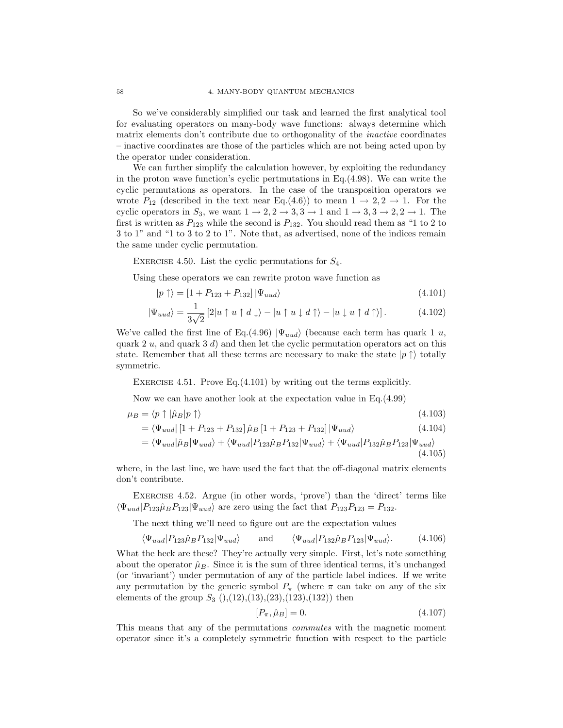So we've considerably simplified our task and learned the first analytical tool for evaluating operators on many-body wave functions: always determine which matrix elements don't contribute due to orthogonality of the *inactive* coordinates – inactive coordinates are those of the particles which are not being acted upon by the operator under consideration.

We can further simplify the calculation however, by exploiting the redundancy in the proton wave function's cyclic pertmutations in Eq.(4.98). We can write the cyclic permutations as operators. In the case of the transposition operators we wrote  $P_{12}$  (described in the text near Eq.(4.6)) to mean  $1 \rightarrow 2, 2 \rightarrow 1$ . For the cyclic operators in  $S_3$ , we want  $1 \rightarrow 2, 2 \rightarrow 3, 3 \rightarrow 1$  and  $1 \rightarrow 3, 3 \rightarrow 2, 2 \rightarrow 1$ . The first is written as  $P_{123}$  while the second is  $P_{132}$ . You should read them as "1 to 2 to 3 to 1" and "1 to 3 to 2 to 1". Note that, as advertised, none of the indices remain the same under cyclic permutation.

EXERCISE 4.50. List the cyclic permutations for  $S_4$ .

Using these operators we can rewrite proton wave function as

$$
|p \uparrow\rangle = [1 + P_{123} + P_{132}] |\Psi_{uud}\rangle \tag{4.101}
$$

$$
|\Psi_{uud}\rangle = \frac{1}{3\sqrt{2}} \left[2|u\uparrow u\uparrow d\downarrow\rangle - |u\uparrow u\downarrow d\uparrow\rangle - |u\downarrow u\uparrow d\uparrow\rangle\right].\tag{4.102}
$$

We've called the first line of Eq.(4.96)  $|\Psi_{uud}\rangle$  (because each term has quark 1 u, quark 2 u, and quark 3 d) and then let the cyclic permutation operators act on this state. Remember that all these terms are necessary to make the state  $|p \uparrow \rangle$  totally symmetric.

EXERCISE 4.51. Prove Eq.  $(4.101)$  by writing out the terms explicitly.

Now we can have another look at the expectation value in Eq.(4.99)

$$
\mu_B = \langle p \uparrow | \hat{\mu}_B | p \uparrow \rangle \tag{4.103}
$$

$$
= \langle \Psi_{uud} | [1 + P_{123} + P_{132}] \hat{\mu}_B [1 + P_{123} + P_{132}] | \Psi_{uud} \rangle \tag{4.104}
$$

$$
= \langle \Psi_{uud} | \hat{\mu}_B | \Psi_{uud} \rangle + \langle \Psi_{uud} | P_{123} \hat{\mu}_B P_{132} | \Psi_{uud} \rangle + \langle \Psi_{uud} | P_{132} \hat{\mu}_B P_{123} | \Psi_{uud} \rangle
$$
\n(4.105)

where, in the last line, we have used the fact that the off-diagonal matrix elements don't contribute.

Exercise 4.52. Argue (in other words, 'prove') than the 'direct' terms like  $\langle \Psi_{uud} | P_{123} \hat{\mu}_B P_{123} | \Psi_{uud} \rangle$  are zero using the fact that  $P_{123}P_{123} = P_{132}$ .

The next thing we'll need to figure out are the expectation values

$$
\langle \Psi_{uud} | P_{123} \hat{\mu}_B P_{132} | \Psi_{uud} \rangle \quad \text{and} \quad \langle \Psi_{uud} | P_{132} \hat{\mu}_B P_{123} | \Psi_{uud} \rangle. \tag{4.106}
$$

What the heck are these? They're actually very simple. First, let's note something about the operator  $\hat{\mu}_B$ . Since it is the sum of three identical terms, it's unchanged (or 'invariant') under permutation of any of the particle label indices. If we write any permutation by the generic symbol  $P_{\pi}$  (where  $\pi$  can take on any of the six elements of the group  $S_3$   $(), (12), (13), (23), (123), (132))$  then

$$
[P_{\pi}, \hat{\mu}_B] = 0. \tag{4.107}
$$

This means that any of the permutations *commutes* with the magnetic moment operator since it's a completely symmetric function with respect to the particle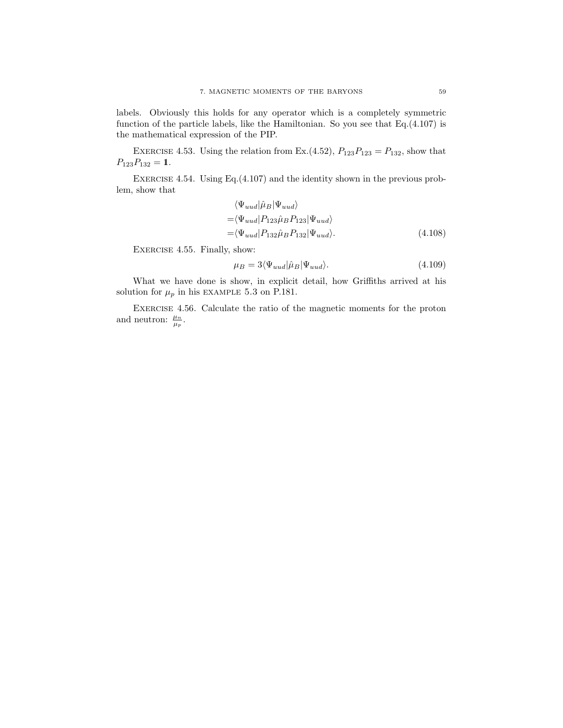labels. Obviously this holds for any operator which is a completely symmetric function of the particle labels, like the Hamiltonian. So you see that Eq.(4.107) is the mathematical expression of the PIP.

EXERCISE 4.53. Using the relation from Ex.  $(4.52)$ ,  $P_{123}P_{123} = P_{132}$ , show that  $P_{123}P_{132} = 1.$ 

EXERCISE 4.54. Using Eq.  $(4.107)$  and the identity shown in the previous problem, show that

$$
\langle \Psi_{uud} | \hat{\mu}_B | \Psi_{uud} \rangle
$$
  
=\langle \Psi\_{uud} | P\_{123} \hat{\mu}\_B P\_{123} | \Psi\_{uud} \rangle  
=\langle \Psi\_{uud} | P\_{132} \hat{\mu}\_B P\_{132} | \Psi\_{uud} \rangle. (4.108)

EXERCISE 4.55. Finally, show:

$$
\mu_B = 3 \langle \Psi_{uud} | \hat{\mu}_B | \Psi_{uud} \rangle. \tag{4.109}
$$

What we have done is show, in explicit detail, how Griffiths arrived at his solution for  $\mu_p$  in his EXAMPLE 5.3 on P.181.

Exercise 4.56. Calculate the ratio of the magnetic moments for the proton and neutron:  $\frac{\mu_n}{\mu_p}$ .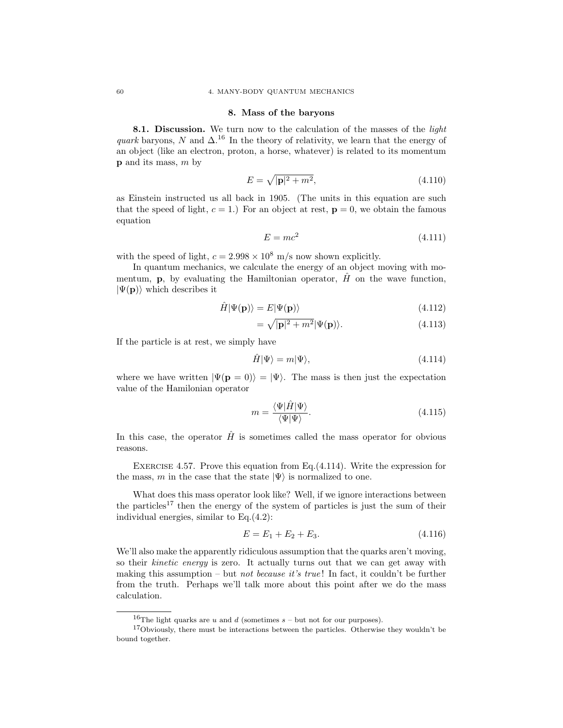### 8. Mass of the baryons

8.1. Discussion. We turn now to the calculation of the masses of the *light quark* baryons, N and  $\Delta$ .<sup>16</sup> In the theory of relativity, we learn that the energy of an object (like an electron, proton, a horse, whatever) is related to its momentum  $p$  and its mass,  $m$  by

$$
E = \sqrt{|\mathbf{p}|^2 + m^2},\tag{4.110}
$$

as Einstein instructed us all back in 1905. (The units in this equation are such that the speed of light,  $c = 1$ . For an object at rest,  $\mathbf{p} = 0$ , we obtain the famous equation

$$
E = mc^2 \tag{4.111}
$$

with the speed of light,  $c = 2.998 \times 10^8$  m/s now shown explicitly.

In quantum mechanics, we calculate the energy of an object moving with momentum, **p**, by evaluating the Hamiltonian operator,  $\hat{H}$  on the wave function,  $|\Psi(\mathbf{p})\rangle$  which describes it

$$
\hat{H}|\Psi(\mathbf{p})\rangle = E|\Psi(\mathbf{p})\rangle \tag{4.112}
$$

$$
= \sqrt{|\mathbf{p}|^2 + m^2} |\Psi(\mathbf{p})\rangle. \tag{4.113}
$$

If the particle is at rest, we simply have

$$
\hat{H}|\Psi\rangle = m|\Psi\rangle, \tag{4.114}
$$

where we have written  $|\Psi(\mathbf{p} = 0)\rangle = |\Psi\rangle$ . The mass is then just the expectation value of the Hamilonian operator

$$
m = \frac{\langle \Psi | \hat{H} | \Psi \rangle}{\langle \Psi | \Psi \rangle}.
$$
\n(4.115)

In this case, the operator  $\hat{H}$  is sometimes called the mass operator for obvious reasons.

EXERCISE 4.57. Prove this equation from Eq.  $(4.114)$ . Write the expression for the mass, m in the case that the state  $|\Psi\rangle$  is normalized to one.

What does this mass operator look like? Well, if we ignore interactions between the particles<sup>17</sup> then the energy of the system of particles is just the sum of their individual energies, similar to Eq.(4.2):

$$
E = E_1 + E_2 + E_3. \tag{4.116}
$$

We'll also make the apparently ridiculous assumption that the quarks aren't moving, so their *kinetic energy* is zero. It actually turns out that we can get away with making this assumption – but *not because it's true* ! In fact, it couldn't be further from the truth. Perhaps we'll talk more about this point after we do the mass calculation.

<sup>&</sup>lt;sup>16</sup>The light quarks are u and d (sometimes  $s$  – but not for our purposes).

<sup>17</sup>Obviously, there must be interactions between the particles. Otherwise they wouldn't be bound together.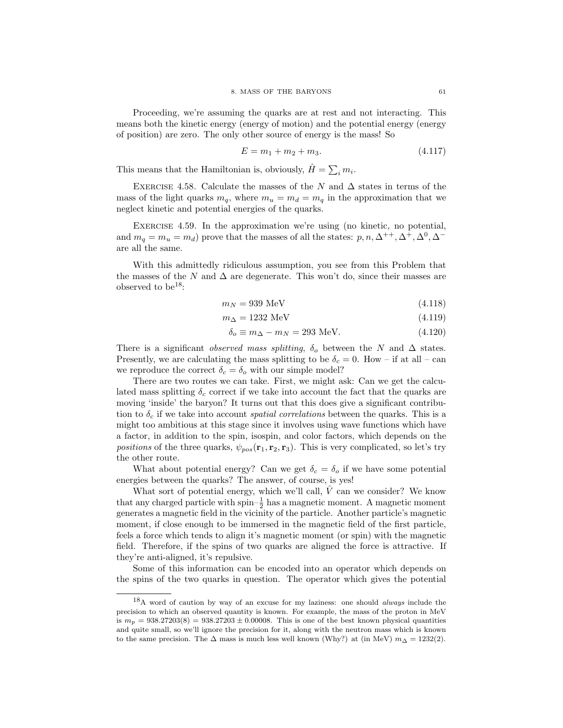Proceeding, we're assuming the quarks are at rest and not interacting. This means both the kinetic energy (energy of motion) and the potential energy (energy of position) are zero. The only other source of energy is the mass! So

$$
E = m_1 + m_2 + m_3. \tag{4.117}
$$

This means that the Hamiltonian is, obviously,  $\hat{H} = \sum_i m_i$ .

EXERCISE 4.58. Calculate the masses of the N and  $\Delta$  states in terms of the mass of the light quarks  $m_q$ , where  $m_u = m_d = m_q$  in the approximation that we neglect kinetic and potential energies of the quarks.

Exercise 4.59. In the approximation we're using (no kinetic, no potential, and  $m_q = m_u = m_d$ ) prove that the masses of all the states:  $p, n, \Delta^{++}, \Delta^+, \Delta^0, \Delta^$ are all the same.

With this admittedly ridiculous assumption, you see from this Problem that the masses of the N and  $\Delta$  are degenerate. This won't do, since their masses are observed to be<sup>18</sup>:

$$
m_N = 939 \text{ MeV} \tag{4.118}
$$

$$
m_{\Delta} = 1232 \text{ MeV} \tag{4.119}
$$

$$
\delta_o \equiv m_\Delta - m_N = 293 \text{ MeV}.\tag{4.120}
$$

There is a significant *observed mass splitting*,  $\delta_o$  between the N and  $\Delta$  states. Presently, we are calculating the mass splitting to be  $\delta_c = 0$ . How – if at all – can we reproduce the correct  $\delta_c = \delta_o$  with our simple model?

There are two routes we can take. First, we might ask: Can we get the calculated mass splitting  $\delta_c$  correct if we take into account the fact that the quarks are moving 'inside' the baryon? It turns out that this does give a significant contribution to  $\delta_c$  if we take into account *spatial correlations* between the quarks. This is a might too ambitious at this stage since it involves using wave functions which have a factor, in addition to the spin, isospin, and color factors, which depends on the *positions* of the three quarks,  $\psi_{pos}(\mathbf{r}_1, \mathbf{r}_2, \mathbf{r}_3)$ . This is very complicated, so let's try the other route.

What about potential energy? Can we get  $\delta_c = \delta_o$  if we have some potential energies between the quarks? The answer, of course, is yes!

What sort of potential energy, which we'll call,  $\hat{V}$  can we consider? We know that any charged particle with spin– $\frac{1}{2}$  has a magnetic moment. A magnetic moment generates a magnetic field in the vicinity of the particle. Another particle's magnetic moment, if close enough to be immersed in the magnetic field of the first particle, feels a force which tends to align it's magnetic moment (or spin) with the magnetic field. Therefore, if the spins of two quarks are aligned the force is attractive. If they're anti-aligned, it's repulsive.

Some of this information can be encoded into an operator which depends on the spins of the two quarks in question. The operator which gives the potential

<sup>18</sup>A word of caution by way of an excuse for my laziness: one should always include the precision to which an observed quantity is known. For example, the mass of the proton in MeV is  $m_p = 938.27203(8) = 938.27203 \pm 0.00008$ . This is one of the best known physical quantities and quite small, so we'll ignore the precision for it, along with the neutron mass which is known to the same precision. The  $\Delta$  mass is much less well known (Why?) at (in MeV)  $m_{\Delta} = 1232(2)$ .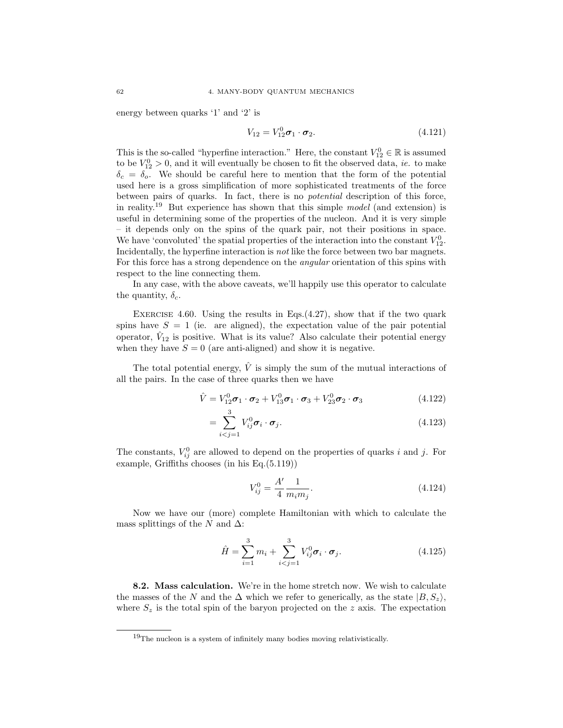energy between quarks '1' and '2' is

$$
V_{12} = V_{12}^0 \sigma_1 \cdot \sigma_2. \tag{4.121}
$$

This is the so-called "hyperfine interaction." Here, the constant  $V_{12}^0 \in \mathbb{R}$  is assumed to be  $V_{12}^0 > 0$ , and it will eventually be chosen to fit the observed data, *ie.* to make  $\delta_c = \delta_o$ . We should be careful here to mention that the form of the potential used here is a gross simplification of more sophisticated treatments of the force between pairs of quarks. In fact, there is no *potential* description of this force, in reality.<sup>19</sup> But experience has shown that this simple *model* (and extension) is useful in determining some of the properties of the nucleon. And it is very simple – it depends only on the spins of the quark pair, not their positions in space. We have 'convoluted' the spatial properties of the interaction into the constant  $V_{12}^0$ . Incidentally, the hyperfine interaction is *not* like the force between two bar magnets. For this force has a strong dependence on the *angular* orientation of this spins with respect to the line connecting them.

In any case, with the above caveats, we'll happily use this operator to calculate the quantity,  $\delta_c$ .

EXERCISE 4.60. Using the results in Eqs.  $(4.27)$ , show that if the two quark spins have  $S = 1$  (ie. are aligned), the expectation value of the pair potential operator,  $\hat{V}_{12}$  is positive. What is its value? Also calculate their potential energy when they have  $S = 0$  (are anti-aligned) and show it is negative.

The total potential energy,  $\hat{V}$  is simply the sum of the mutual interactions of all the pairs. In the case of three quarks then we have

$$
\hat{V} = V_{12}^{0} \sigma_1 \cdot \sigma_2 + V_{13}^{0} \sigma_1 \cdot \sigma_3 + V_{23}^{0} \sigma_2 \cdot \sigma_3
$$
\n(4.122)

$$
=\sum_{i\n(4.123)
$$

The constants,  $V_{ij}^0$  are allowed to depend on the properties of quarks i and j. For example, Griffiths chooses (in his Eq.(5.119))

$$
V_{ij}^0 = \frac{A'}{4} \frac{1}{m_i m_j}.
$$
\n(4.124)

Now we have our (more) complete Hamiltonian with which to calculate the mass splittings of the N and  $\Delta$ :

$$
\hat{H} = \sum_{i=1}^{3} m_i + \sum_{i < j=1}^{3} V_{ij}^0 \sigma_i \cdot \sigma_j. \tag{4.125}
$$

8.2. Mass calculation. We're in the home stretch now. We wish to calculate the masses of the N and the  $\Delta$  which we refer to generically, as the state  $|B, S_z\rangle$ , where  $S_z$  is the total spin of the baryon projected on the z axis. The expectation

<sup>19</sup>The nucleon is a system of infinitely many bodies moving relativistically.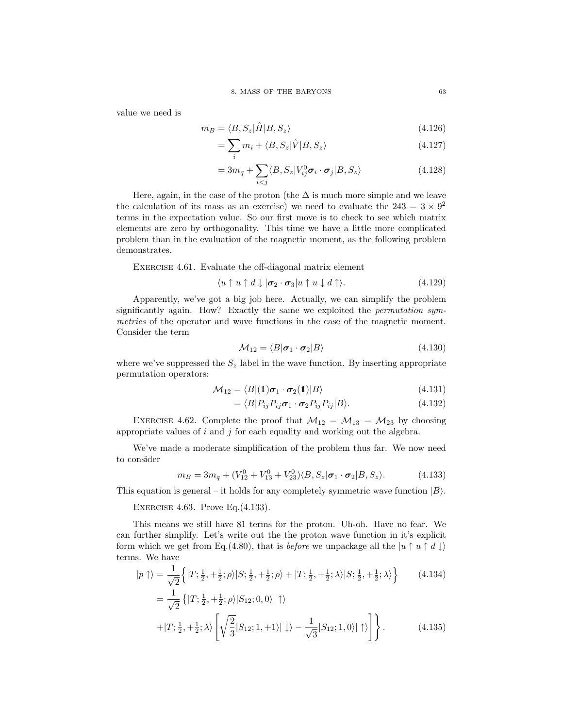value we need is

$$
m_B = \langle B, S_z | \hat{H} | B, S_z \rangle \tag{4.126}
$$

$$
=\sum_{i}m_{i}+\langle B,S_{z}|\hat{V}|B,S_{z}\rangle
$$
\n(4.127)

$$
=3m_q+\sum_{i\n(4.128)
$$

Here, again, in the case of the proton (the  $\Delta$  is much more simple and we leave the calculation of its mass as an exercise) we need to evaluate the  $243 = 3 \times 9^2$ terms in the expectation value. So our first move is to check to see which matrix elements are zero by orthogonality. This time we have a little more complicated problem than in the evaluation of the magnetic moment, as the following problem demonstrates.

Exercise 4.61. Evaluate the off-diagonal matrix element

$$
\langle u \uparrow u \uparrow d \downarrow |\sigma_2 \cdot \sigma_3| u \uparrow u \downarrow d \uparrow \rangle. \tag{4.129}
$$

Apparently, we've got a big job here. Actually, we can simplify the problem significantly again. How? Exactly the same we exploited the *permutation symmetries* of the operator and wave functions in the case of the magnetic moment. Consider the term

$$
\mathcal{M}_{12} = \langle B|\boldsymbol{\sigma}_1 \cdot \boldsymbol{\sigma}_2|B\rangle \tag{4.130}
$$

where we've suppressed the  $S_z$  label in the wave function. By inserting appropriate permutation operators:

$$
\mathcal{M}_{12} = \langle B|(\mathbf{1})\boldsymbol{\sigma}_1 \cdot \boldsymbol{\sigma}_2(\mathbf{1})|B\rangle \tag{4.131}
$$

$$
= \langle B|P_{ij}P_{ij}\boldsymbol{\sigma}_1 \cdot \boldsymbol{\sigma}_2 P_{ij}P_{ij}|B\rangle. \tag{4.132}
$$

EXERCISE 4.62. Complete the proof that  $\mathcal{M}_{12} = \mathcal{M}_{13} = \mathcal{M}_{23}$  by choosing appropriate values of  $i$  and  $j$  for each equality and working out the algebra.

We've made a moderate simplification of the problem thus far. We now need to consider

$$
m_B = 3m_q + (V_{12}^0 + V_{13}^0 + V_{23}^0) \langle B, S_z | \boldsymbol{\sigma}_1 \cdot \boldsymbol{\sigma}_2 | B, S_z \rangle.
$$
 (4.133)

This equation is general – it holds for any completely symmetric wave function  $|B\rangle$ .

Exercise 4.63. Prove Eq.(4.133).

This means we still have 81 terms for the proton. Uh-oh. Have no fear. We can further simplify. Let's write out the the proton wave function in it's explicit form which we get from Eq.(4.80), that is *before* we unpackage all the  $|u \uparrow u \uparrow d \downarrow\rangle$ terms. We have

$$
|p \uparrow\rangle = \frac{1}{\sqrt{2}} \Big\{ |T; \frac{1}{2}, +\frac{1}{2}; \rho\rangle |S; \frac{1}{2}, +\frac{1}{2}; \rho\rangle + |T; \frac{1}{2}, +\frac{1}{2}; \lambda\rangle |S; \frac{1}{2}, +\frac{1}{2}; \lambda\rangle \Big\} \tag{4.134}
$$

$$
= \frac{1}{\sqrt{2}} \left\{ |T; \frac{1}{2}, +\frac{1}{2}; \rho \rangle |S_{12}; 0, 0\rangle | \uparrow \rangle \right\}
$$
  
+|T;  $\frac{1}{2}, +\frac{1}{2}; \lambda \rangle \left[ \sqrt{\frac{2}{3}} |S_{12}; 1, +1\rangle | \downarrow \rangle - \frac{1}{\sqrt{3}} |S_{12}; 1, 0\rangle | \uparrow \rangle \right] \left\}$ . (4.135)